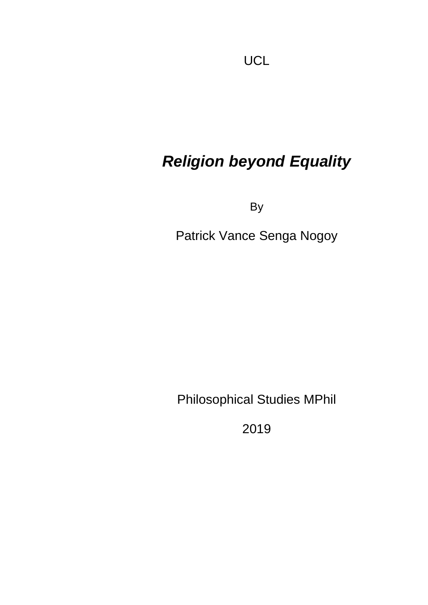# *Religion beyond Equality*

By

Patrick Vance Senga Nogoy

Philosophical Studies MPhil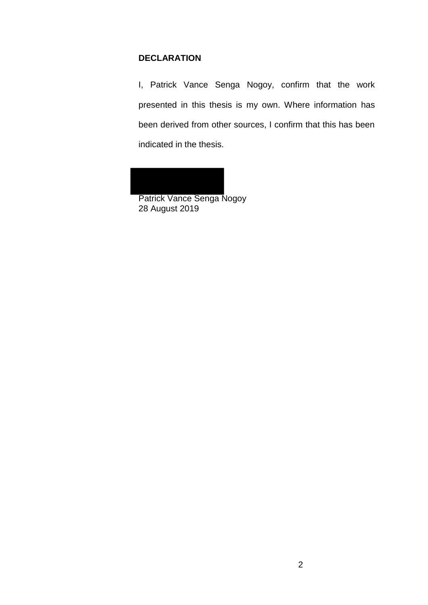#### **DECLARATION**

I, Patrick Vance Senga Nogoy, confirm that the work presented in this thesis is my own. Where information has been derived from other sources, I confirm that this has been indicated in the thesis.

Patrick Vance Senga Nogoy 28 August 2019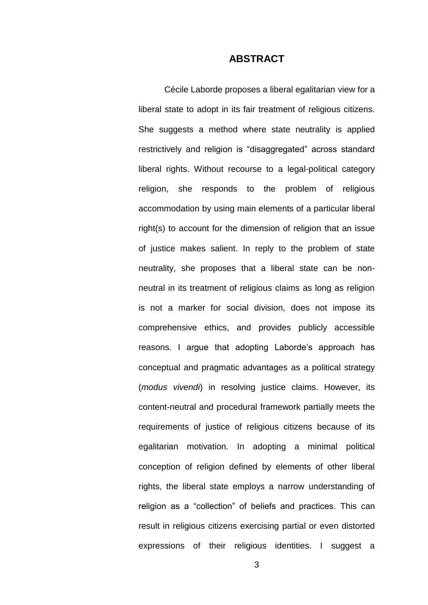#### **ABSTRACT**

Cécile Laborde proposes a liberal egalitarian view for a liberal state to adopt in its fair treatment of religious citizens. She suggests a method where state neutrality is applied restrictively and religion is "disaggregated" across standard liberal rights. Without recourse to a legal-political category religion, she responds to the problem of religious accommodation by using main elements of a particular liberal right(s) to account for the dimension of religion that an issue of justice makes salient. In reply to the problem of state neutrality, she proposes that a liberal state can be nonneutral in its treatment of religious claims as long as religion is not a marker for social division, does not impose its comprehensive ethics, and provides publicly accessible reasons. I argue that adopting Laborde's approach has conceptual and pragmatic advantages as a political strategy (*modus vivendi*) in resolving justice claims. However, its content-neutral and procedural framework partially meets the requirements of justice of religious citizens because of its egalitarian motivation. In adopting a minimal political conception of religion defined by elements of other liberal rights, the liberal state employs a narrow understanding of religion as a "collection" of beliefs and practices. This can result in religious citizens exercising partial or even distorted expressions of their religious identities. I suggest a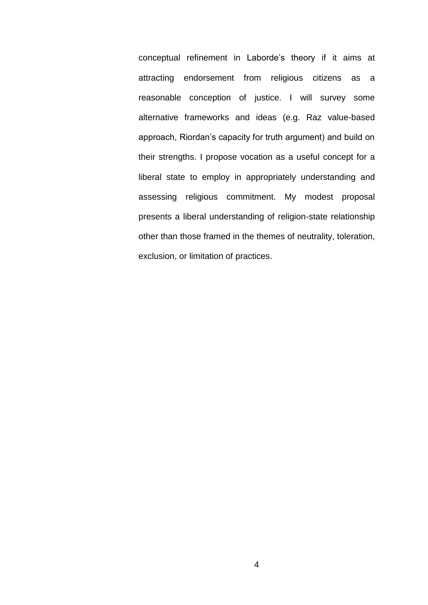conceptual refinement in Laborde's theory if it aims at attracting endorsement from religious citizens as a reasonable conception of justice. I will survey some alternative frameworks and ideas (e.g. Raz value-based approach, Riordan's capacity for truth argument) and build on their strengths. I propose vocation as a useful concept for a liberal state to employ in appropriately understanding and assessing religious commitment. My modest proposal presents a liberal understanding of religion-state relationship other than those framed in the themes of neutrality, toleration, exclusion, or limitation of practices.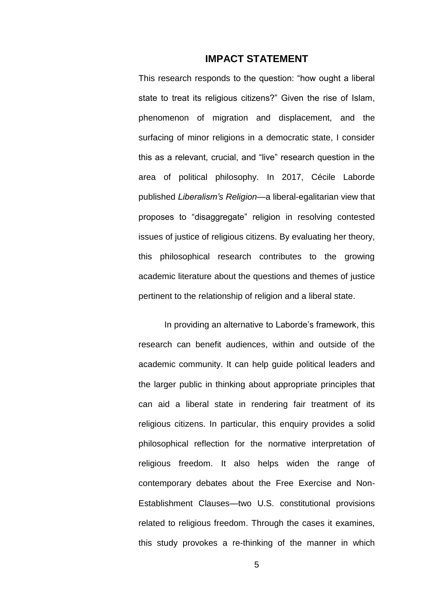#### **IMPACT STATEMENT**

This research responds to the question: "how ought a liberal state to treat its religious citizens?" Given the rise of Islam, phenomenon of migration and displacement, and the surfacing of minor religions in a democratic state, I consider this as a relevant, crucial, and "live" research question in the area of political philosophy. In 2017, Cécile Laborde published *Liberalism's Religion—*a liberal-egalitarian view that proposes to "disaggregate" religion in resolving contested issues of justice of religious citizens. By evaluating her theory, this philosophical research contributes to the growing academic literature about the questions and themes of justice pertinent to the relationship of religion and a liberal state.

In providing an alternative to Laborde's framework, this research can benefit audiences, within and outside of the academic community. It can help guide political leaders and the larger public in thinking about appropriate principles that can aid a liberal state in rendering fair treatment of its religious citizens. In particular, this enquiry provides a solid philosophical reflection for the normative interpretation of religious freedom. It also helps widen the range of contemporary debates about the Free Exercise and Non-Establishment Clauses—two U.S. constitutional provisions related to religious freedom. Through the cases it examines, this study provokes a re-thinking of the manner in which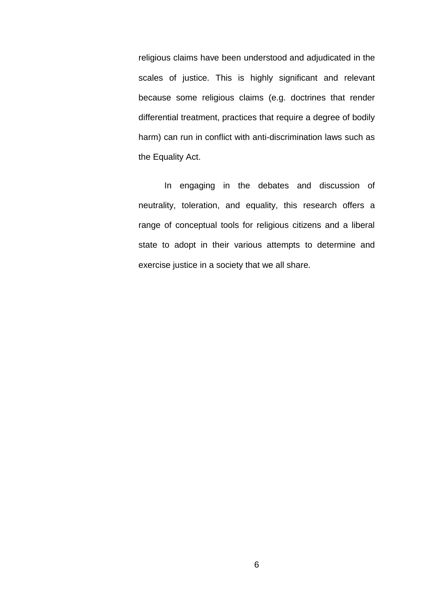religious claims have been understood and adjudicated in the scales of justice. This is highly significant and relevant because some religious claims (e.g. doctrines that render differential treatment, practices that require a degree of bodily harm) can run in conflict with anti-discrimination laws such as the Equality Act.

In engaging in the debates and discussion of neutrality, toleration, and equality, this research offers a range of conceptual tools for religious citizens and a liberal state to adopt in their various attempts to determine and exercise justice in a society that we all share.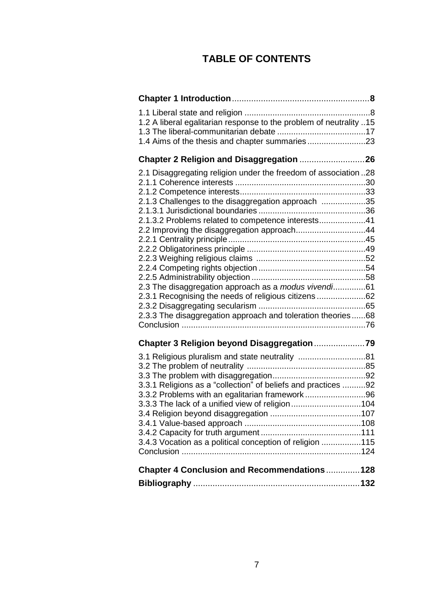### **TABLE OF CONTENTS**

| 1.2 A liberal egalitarian response to the problem of neutrality 15                                |  |
|---------------------------------------------------------------------------------------------------|--|
|                                                                                                   |  |
| Chapter 2 Religion and Disaggregation  26                                                         |  |
| 2.1 Disaggregating religion under the freedom of association  28                                  |  |
|                                                                                                   |  |
| 2.1.3 Challenges to the disaggregation approach 35                                                |  |
|                                                                                                   |  |
| 2.1.3.2 Problems related to competence interests41<br>2.2 Improving the disaggregation approach44 |  |
|                                                                                                   |  |
|                                                                                                   |  |
|                                                                                                   |  |
|                                                                                                   |  |
| 2.3 The disaggregation approach as a modus vivendi61                                              |  |
| 2.3.1 Recognising the needs of religious citizens62                                               |  |
|                                                                                                   |  |
| 2.3.3 The disaggregation approach and toleration theories68                                       |  |
|                                                                                                   |  |
|                                                                                                   |  |
| 3.1 Religious pluralism and state neutrality 81                                                   |  |
|                                                                                                   |  |
| 3.3.1 Religions as a "collection" of beliefs and practices 92                                     |  |
| 3.3.2 Problems with an egalitarian framework96                                                    |  |
| 3.3.3 The lack of a unified view of religion104                                                   |  |
|                                                                                                   |  |
|                                                                                                   |  |
| 3.4.3 Vocation as a political conception of religion 115                                          |  |
|                                                                                                   |  |
| <b>Chapter 4 Conclusion and Recommendations128</b>                                                |  |
|                                                                                                   |  |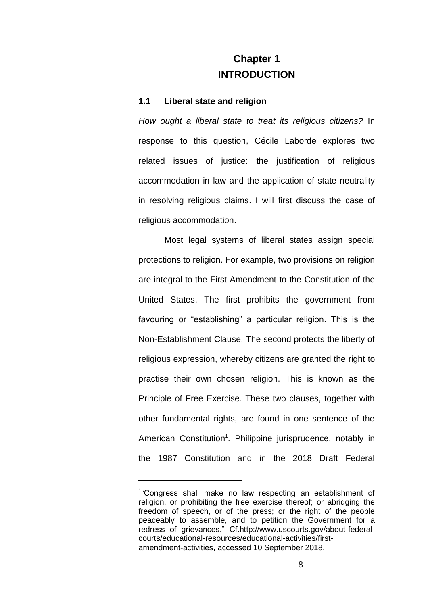### **Chapter 1 INTRODUCTION**

#### **1.1 Liberal state and religion**

*How ought a liberal state to treat its religious citizens?* In response to this question, Cécile Laborde explores two related issues of justice: the justification of religious accommodation in law and the application of state neutrality in resolving religious claims. I will first discuss the case of religious accommodation.

Most legal systems of liberal states assign special protections to religion. For example, two provisions on religion are integral to the First Amendment to the Constitution of the United States. The first prohibits the government from favouring or "establishing" a particular religion. This is the Non-Establishment Clause. The second protects the liberty of religious expression, whereby citizens are granted the right to practise their own chosen religion. This is known as the Principle of Free Exercise. These two clauses, together with other fundamental rights, are found in one sentence of the American Constitution<sup>1</sup>. Philippine jurisprudence, notably in the 1987 Constitution and in the 2018 Draft Federal

<u>.</u>

<sup>&</sup>lt;sup>1</sup>"Congress shall make no law respecting an establishment of religion, or prohibiting the free exercise thereof; or abridging the freedom of speech, or of the press; or the right of the people peaceably to assemble, and to petition the Government for a redress of grievances." Cf.http://www.uscourts.gov/about-federalcourts/educational-resources/educational-activities/firstamendment-activities, accessed 10 September 2018.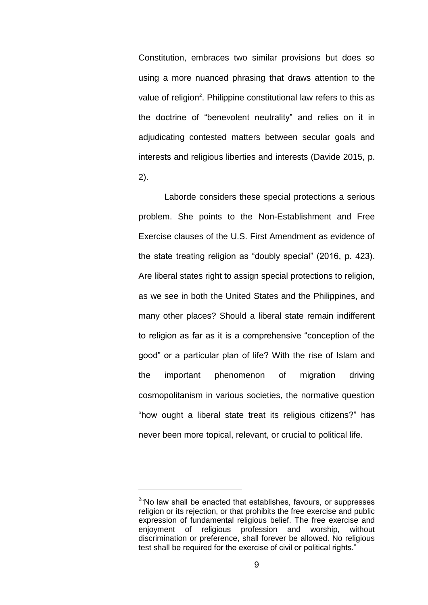Constitution, embraces two similar provisions but does so using a more nuanced phrasing that draws attention to the value of religion<sup>2</sup>. Philippine constitutional law refers to this as the doctrine of "benevolent neutrality" and relies on it in adjudicating contested matters between secular goals and interests and religious liberties and interests (Davide 2015, p. 2).

Laborde considers these special protections a serious problem. She points to the Non-Establishment and Free Exercise clauses of the U.S. First Amendment as evidence of the state treating religion as "doubly special" (2016, p. 423). Are liberal states right to assign special protections to religion, as we see in both the United States and the Philippines, and many other places? Should a liberal state remain indifferent to religion as far as it is a comprehensive "conception of the good" or a particular plan of life? With the rise of Islam and the important phenomenon of migration driving cosmopolitanism in various societies, the normative question "how ought a liberal state treat its religious citizens?" has never been more topical, relevant, or crucial to political life.

<u>.</u>

<sup>&</sup>lt;sup>2</sup>"No law shall be enacted that establishes, favours, or suppresses religion or its rejection, or that prohibits the free exercise and public expression of fundamental religious belief. The free exercise and enjoyment of religious profession and worship, without discrimination or preference, shall forever be allowed. No religious test shall be required for the exercise of civil or political rights."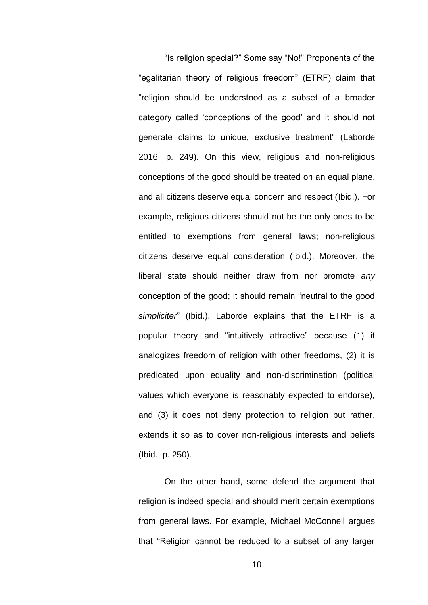"Is religion special?" Some say "No!" Proponents of the "egalitarian theory of religious freedom" (ETRF) claim that ―religion should be understood as a subset of a broader category called 'conceptions of the good' and it should not generate claims to unique, exclusive treatment" (Laborde 2016, p. 249). On this view, religious and non-religious conceptions of the good should be treated on an equal plane, and all citizens deserve equal concern and respect (Ibid.). For example, religious citizens should not be the only ones to be entitled to exemptions from general laws; non-religious citizens deserve equal consideration (Ibid.). Moreover, the liberal state should neither draw from nor promote *any* conception of the good; it should remain "neutral to the good *simpliciter*‖ (Ibid.). Laborde explains that the ETRF is a popular theory and "intuitively attractive" because (1) it analogizes freedom of religion with other freedoms, (2) it is predicated upon equality and non-discrimination (political values which everyone is reasonably expected to endorse), and (3) it does not deny protection to religion but rather, extends it so as to cover non-religious interests and beliefs (Ibid., p. 250).

On the other hand, some defend the argument that religion is indeed special and should merit certain exemptions from general laws. For example, Michael McConnell argues that "Religion cannot be reduced to a subset of any larger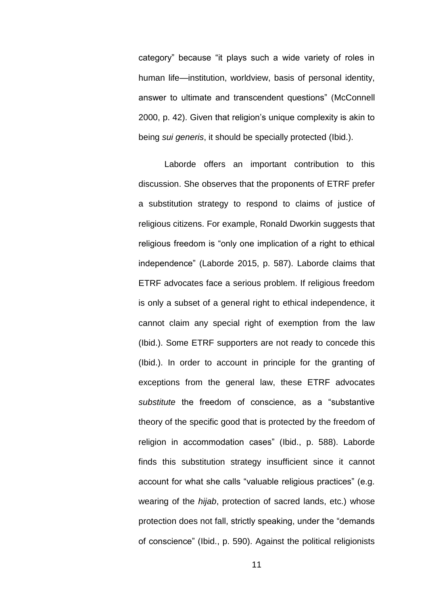category" because "it plays such a wide variety of roles in human life—institution, worldview, basis of personal identity, answer to ultimate and transcendent questions" (McConnell 2000, p. 42). Given that religion's unique complexity is akin to being *sui generis*, it should be specially protected (Ibid.).

Laborde offers an important contribution to this discussion. She observes that the proponents of ETRF prefer a substitution strategy to respond to claims of justice of religious citizens. For example, Ronald Dworkin suggests that religious freedom is "only one implication of a right to ethical independence‖ (Laborde 2015, p. 587). Laborde claims that ETRF advocates face a serious problem. If religious freedom is only a subset of a general right to ethical independence, it cannot claim any special right of exemption from the law (Ibid.). Some ETRF supporters are not ready to concede this (Ibid.). In order to account in principle for the granting of exceptions from the general law, these ETRF advocates substitute the freedom of conscience, as a "substantive theory of the specific good that is protected by the freedom of religion in accommodation cases" (Ibid., p. 588). Laborde finds this substitution strategy insufficient since it cannot account for what she calls "valuable religious practices" (e.g. wearing of the *hijab*, protection of sacred lands, etc.) whose protection does not fall, strictly speaking, under the "demands" of conscience‖ (Ibid., p. 590). Against the political religionists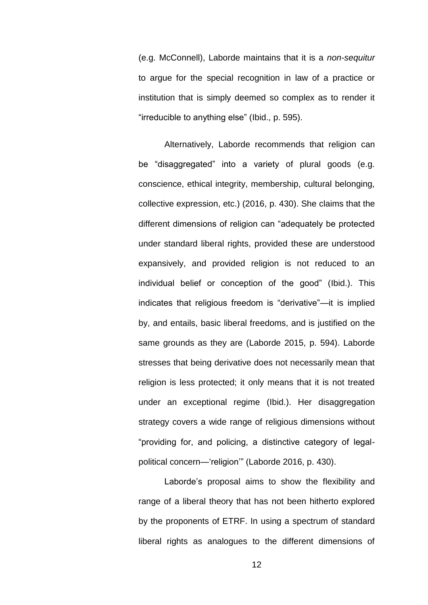(e.g. McConnell), Laborde maintains that it is a *non-sequitur* to argue for the special recognition in law of a practice or institution that is simply deemed so complex as to render it "irreducible to anything else" (Ibid., p. 595).

Alternatively, Laborde recommends that religion can be "disaggregated" into a variety of plural goods (e.g. conscience, ethical integrity, membership, cultural belonging, collective expression, etc.) (2016, p. 430). She claims that the different dimensions of religion can "adequately be protected under standard liberal rights, provided these are understood expansively, and provided religion is not reduced to an individual belief or conception of the good" (Ibid.). This indicates that religious freedom is "derivative"—it is implied by, and entails, basic liberal freedoms, and is justified on the same grounds as they are (Laborde 2015, p. 594). Laborde stresses that being derivative does not necessarily mean that religion is less protected; it only means that it is not treated under an exceptional regime (Ibid.). Her disaggregation strategy covers a wide range of religious dimensions without "providing for, and policing, a distinctive category of legalpolitical concern—'religion'" (Laborde 2016, p. 430).

Laborde's proposal aims to show the flexibility and range of a liberal theory that has not been hitherto explored by the proponents of ETRF. In using a spectrum of standard liberal rights as analogues to the different dimensions of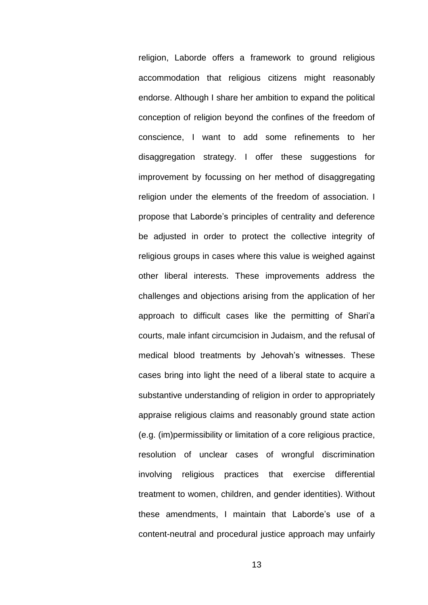religion, Laborde offers a framework to ground religious accommodation that religious citizens might reasonably endorse. Although I share her ambition to expand the political conception of religion beyond the confines of the freedom of conscience, I want to add some refinements to her disaggregation strategy. I offer these suggestions for improvement by focussing on her method of disaggregating religion under the elements of the freedom of association. I propose that Laborde's principles of centrality and deference be adjusted in order to protect the collective integrity of religious groups in cases where this value is weighed against other liberal interests. These improvements address the challenges and objections arising from the application of her approach to difficult cases like the permitting of Shari'a courts, male infant circumcision in Judaism, and the refusal of medical blood treatments by Jehovah's witnesses. These cases bring into light the need of a liberal state to acquire a substantive understanding of religion in order to appropriately appraise religious claims and reasonably ground state action (e.g. (im)permissibility or limitation of a core religious practice, resolution of unclear cases of wrongful discrimination involving religious practices that exercise differential treatment to women, children, and gender identities). Without these amendments, I maintain that Laborde's use of a content-neutral and procedural justice approach may unfairly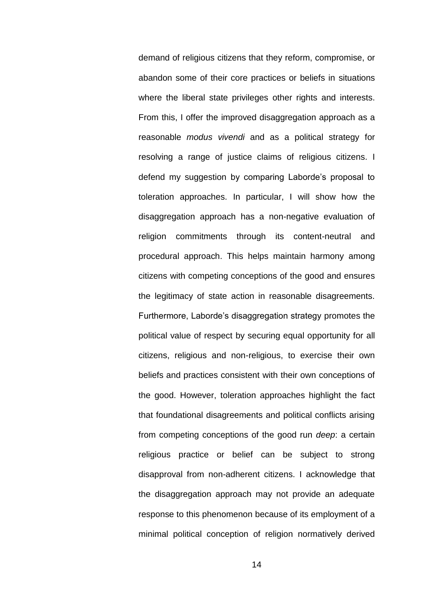demand of religious citizens that they reform, compromise, or abandon some of their core practices or beliefs in situations where the liberal state privileges other rights and interests. From this, I offer the improved disaggregation approach as a reasonable *modus vivendi* and as a political strategy for resolving a range of justice claims of religious citizens. I defend my suggestion by comparing Laborde's proposal to toleration approaches. In particular, I will show how the disaggregation approach has a non-negative evaluation of religion commitments through its content-neutral and procedural approach. This helps maintain harmony among citizens with competing conceptions of the good and ensures the legitimacy of state action in reasonable disagreements. Furthermore, Laborde's disaggregation strategy promotes the political value of respect by securing equal opportunity for all citizens, religious and non-religious, to exercise their own beliefs and practices consistent with their own conceptions of the good. However, toleration approaches highlight the fact that foundational disagreements and political conflicts arising from competing conceptions of the good run *deep*: a certain religious practice or belief can be subject to strong disapproval from non-adherent citizens. I acknowledge that the disaggregation approach may not provide an adequate response to this phenomenon because of its employment of a minimal political conception of religion normatively derived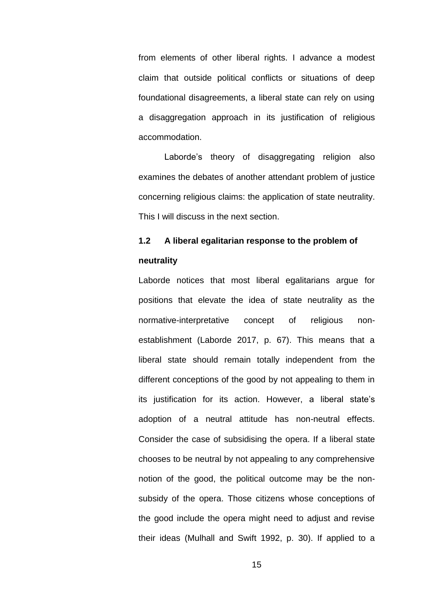from elements of other liberal rights. I advance a modest claim that outside political conflicts or situations of deep foundational disagreements, a liberal state can rely on using a disaggregation approach in its justification of religious accommodation.

Laborde's theory of disaggregating religion also examines the debates of another attendant problem of justice concerning religious claims: the application of state neutrality. This I will discuss in the next section.

## **1.2 A liberal egalitarian response to the problem of neutrality**

Laborde notices that most liberal egalitarians argue for positions that elevate the idea of state neutrality as the normative-interpretative concept of religious nonestablishment (Laborde 2017, p. 67). This means that a liberal state should remain totally independent from the different conceptions of the good by not appealing to them in its justification for its action. However, a liberal state's adoption of a neutral attitude has non-neutral effects. Consider the case of subsidising the opera. If a liberal state chooses to be neutral by not appealing to any comprehensive notion of the good, the political outcome may be the nonsubsidy of the opera. Those citizens whose conceptions of the good include the opera might need to adjust and revise their ideas (Mulhall and Swift 1992, p. 30). If applied to a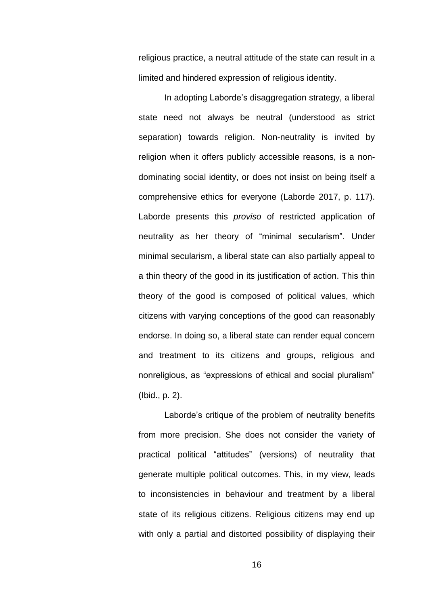religious practice, a neutral attitude of the state can result in a limited and hindered expression of religious identity.

In adopting Laborde's disaggregation strategy, a liberal state need not always be neutral (understood as strict separation) towards religion. Non-neutrality is invited by religion when it offers publicly accessible reasons, is a nondominating social identity, or does not insist on being itself a comprehensive ethics for everyone (Laborde 2017, p. 117). Laborde presents this *proviso* of restricted application of neutrality as her theory of "minimal secularism". Under minimal secularism, a liberal state can also partially appeal to a thin theory of the good in its justification of action. This thin theory of the good is composed of political values, which citizens with varying conceptions of the good can reasonably endorse. In doing so, a liberal state can render equal concern and treatment to its citizens and groups, religious and nonreligious, as "expressions of ethical and social pluralism" (Ibid., p. 2).

Laborde's critique of the problem of neutrality benefits from more precision. She does not consider the variety of practical political "attitudes" (versions) of neutrality that generate multiple political outcomes. This, in my view, leads to inconsistencies in behaviour and treatment by a liberal state of its religious citizens. Religious citizens may end up with only a partial and distorted possibility of displaying their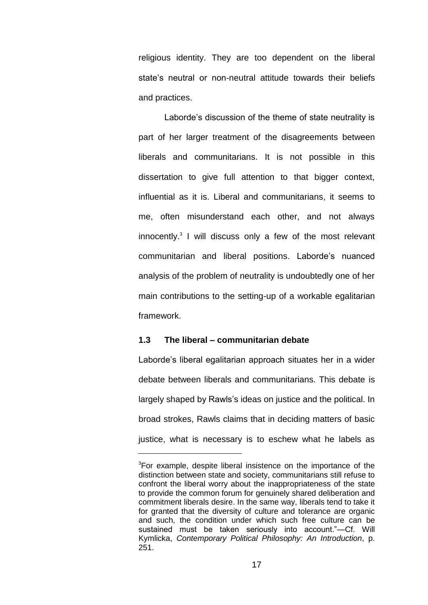religious identity. They are too dependent on the liberal state's neutral or non-neutral attitude towards their beliefs and practices.

Laborde's discussion of the theme of state neutrality is part of her larger treatment of the disagreements between liberals and communitarians. It is not possible in this dissertation to give full attention to that bigger context, influential as it is. Liberal and communitarians, it seems to me, often misunderstand each other, and not always innocently. 3 I will discuss only a few of the most relevant communitarian and liberal positions. Laborde's nuanced analysis of the problem of neutrality is undoubtedly one of her main contributions to the setting-up of a workable egalitarian framework.

#### **1.3 The liberal – communitarian debate**

<u>.</u>

Laborde's liberal egalitarian approach situates her in a wider debate between liberals and communitarians. This debate is largely shaped by Rawls's ideas on justice and the political. In broad strokes, Rawls claims that in deciding matters of basic justice, what is necessary is to eschew what he labels as

<sup>&</sup>lt;sup>3</sup>For example, despite liberal insistence on the importance of the distinction between state and society, communitarians still refuse to confront the liberal worry about the inappropriateness of the state to provide the common forum for genuinely shared deliberation and commitment liberals desire. In the same way, liberals tend to take it for granted that the diversity of culture and tolerance are organic and such, the condition under which such free culture can be sustained must be taken seriously into account."-Cf. Will Kymlicka, *Contemporary Political Philosophy: An Introduction*, p. 251.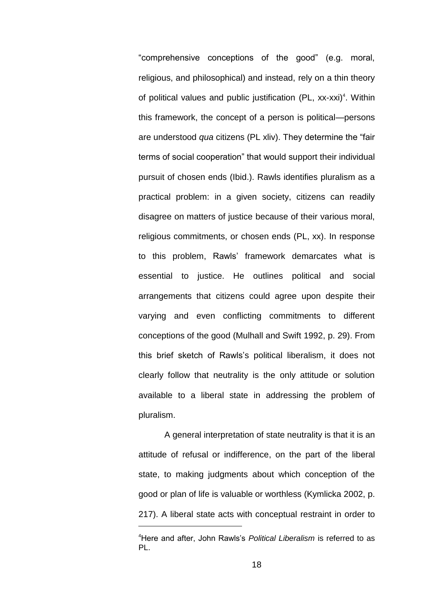―comprehensive conceptions of the good‖ (e.g. moral, religious, and philosophical) and instead, rely on a thin theory of political values and public justification (PL, xx-xxi)<sup>4</sup>. Within this framework, the concept of a person is political—persons are understood *qua* citizens (PL xliv). They determine the "fair terms of social cooperation" that would support their individual pursuit of chosen ends (Ibid.). Rawls identifies pluralism as a practical problem: in a given society, citizens can readily disagree on matters of justice because of their various moral, religious commitments, or chosen ends (PL, xx). In response to this problem, Rawls' framework demarcates what is essential to justice. He outlines political and social arrangements that citizens could agree upon despite their varying and even conflicting commitments to different conceptions of the good (Mulhall and Swift 1992, p. 29). From this brief sketch of Rawls's political liberalism, it does not clearly follow that neutrality is the only attitude or solution available to a liberal state in addressing the problem of pluralism.

A general interpretation of state neutrality is that it is an attitude of refusal or indifference, on the part of the liberal state, to making judgments about which conception of the good or plan of life is valuable or worthless (Kymlicka 2002, p. 217). A liberal state acts with conceptual restraint in order to 1

<sup>4</sup>Here and after, John Rawls's *Political Liberalism* is referred to as PL.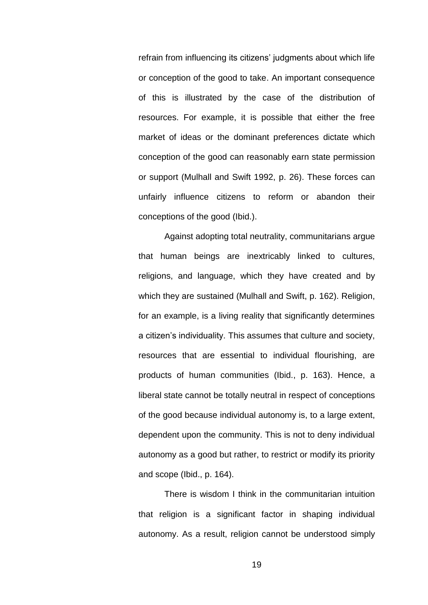refrain from influencing its citizens' judgments about which life or conception of the good to take. An important consequence of this is illustrated by the case of the distribution of resources. For example, it is possible that either the free market of ideas or the dominant preferences dictate which conception of the good can reasonably earn state permission or support (Mulhall and Swift 1992, p. 26). These forces can unfairly influence citizens to reform or abandon their conceptions of the good (Ibid.).

Against adopting total neutrality, communitarians argue that human beings are inextricably linked to cultures, religions, and language, which they have created and by which they are sustained (Mulhall and Swift, p. 162). Religion, for an example, is a living reality that significantly determines a citizen's individuality. This assumes that culture and society, resources that are essential to individual flourishing, are products of human communities (Ibid., p. 163). Hence, a liberal state cannot be totally neutral in respect of conceptions of the good because individual autonomy is, to a large extent, dependent upon the community. This is not to deny individual autonomy as a good but rather, to restrict or modify its priority and scope (Ibid., p. 164).

There is wisdom I think in the communitarian intuition that religion is a significant factor in shaping individual autonomy. As a result, religion cannot be understood simply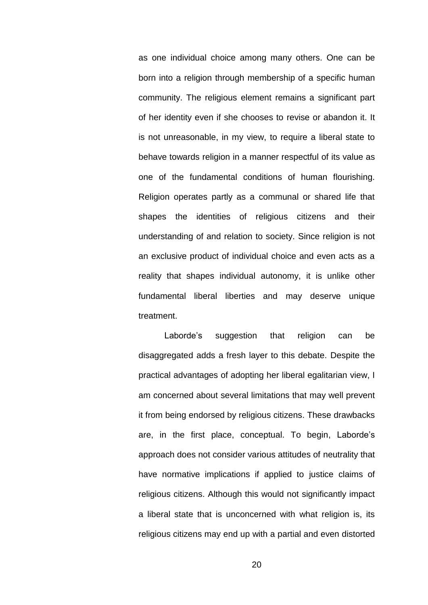as one individual choice among many others. One can be born into a religion through membership of a specific human community. The religious element remains a significant part of her identity even if she chooses to revise or abandon it. It is not unreasonable, in my view, to require a liberal state to behave towards religion in a manner respectful of its value as one of the fundamental conditions of human flourishing. Religion operates partly as a communal or shared life that shapes the identities of religious citizens and their understanding of and relation to society. Since religion is not an exclusive product of individual choice and even acts as a reality that shapes individual autonomy, it is unlike other fundamental liberal liberties and may deserve unique treatment.

Laborde's suggestion that religion can be disaggregated adds a fresh layer to this debate. Despite the practical advantages of adopting her liberal egalitarian view, I am concerned about several limitations that may well prevent it from being endorsed by religious citizens. These drawbacks are, in the first place, conceptual. To begin, Laborde's approach does not consider various attitudes of neutrality that have normative implications if applied to justice claims of religious citizens. Although this would not significantly impact a liberal state that is unconcerned with what religion is, its religious citizens may end up with a partial and even distorted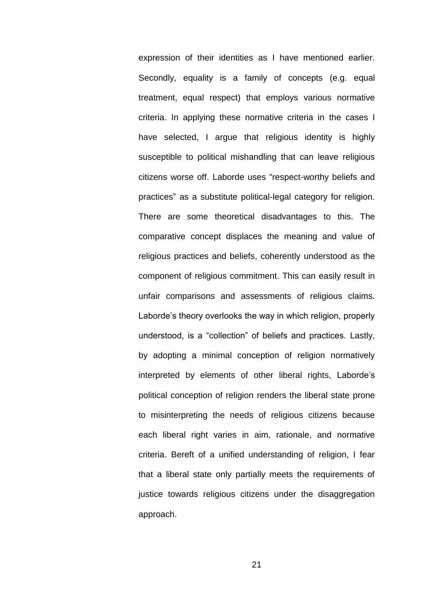expression of their identities as I have mentioned earlier. Secondly, equality is a family of concepts (e.g. equal treatment, equal respect) that employs various normative criteria. In applying these normative criteria in the cases I have selected, I argue that religious identity is highly susceptible to political mishandling that can leave religious citizens worse off. Laborde uses "respect-worthy beliefs and practices‖ as a substitute political-legal category for religion. There are some theoretical disadvantages to this. The comparative concept displaces the meaning and value of religious practices and beliefs, coherently understood as the component of religious commitment. This can easily result in unfair comparisons and assessments of religious claims. Laborde's theory overlooks the way in which religion, properly understood, is a "collection" of beliefs and practices. Lastly, by adopting a minimal conception of religion normatively interpreted by elements of other liberal rights, Laborde's political conception of religion renders the liberal state prone to misinterpreting the needs of religious citizens because each liberal right varies in aim, rationale, and normative criteria. Bereft of a unified understanding of religion, I fear that a liberal state only partially meets the requirements of justice towards religious citizens under the disaggregation approach.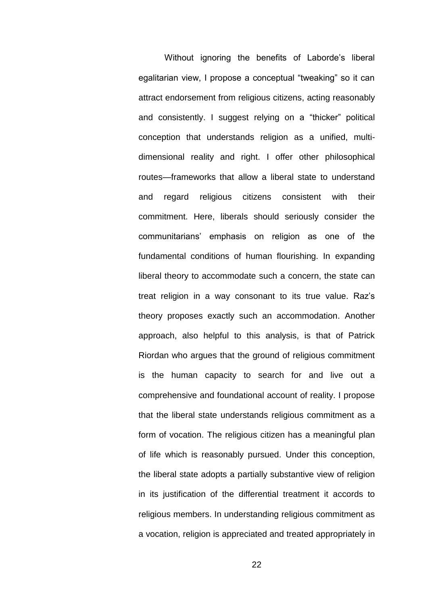Without ignoring the benefits of Laborde's liberal egalitarian view, I propose a conceptual "tweaking" so it can attract endorsement from religious citizens, acting reasonably and consistently. I suggest relying on a "thicker" political conception that understands religion as a unified, multidimensional reality and right. I offer other philosophical routes—frameworks that allow a liberal state to understand and regard religious citizens consistent with their commitment. Here, liberals should seriously consider the communitarians' emphasis on religion as one of the fundamental conditions of human flourishing. In expanding liberal theory to accommodate such a concern, the state can treat religion in a way consonant to its true value. Raz's theory proposes exactly such an accommodation. Another approach, also helpful to this analysis, is that of Patrick Riordan who argues that the ground of religious commitment is the human capacity to search for and live out a comprehensive and foundational account of reality. I propose that the liberal state understands religious commitment as a form of vocation. The religious citizen has a meaningful plan of life which is reasonably pursued. Under this conception, the liberal state adopts a partially substantive view of religion in its justification of the differential treatment it accords to religious members. In understanding religious commitment as a vocation, religion is appreciated and treated appropriately in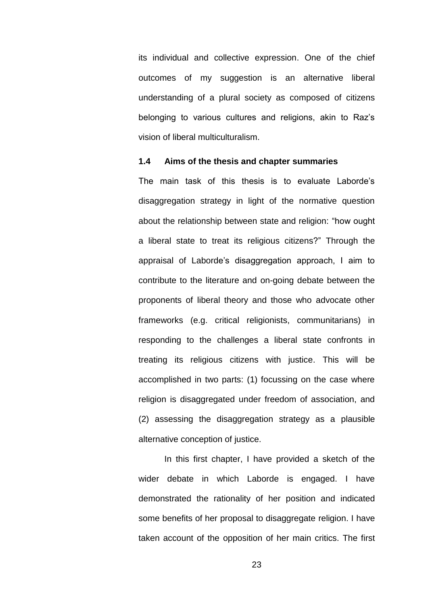its individual and collective expression. One of the chief outcomes of my suggestion is an alternative liberal understanding of a plural society as composed of citizens belonging to various cultures and religions, akin to Raz's vision of liberal multiculturalism.

#### **1.4 Aims of the thesis and chapter summaries**

The main task of this thesis is to evaluate Laborde's disaggregation strategy in light of the normative question about the relationship between state and religion: "how ought a liberal state to treat its religious citizens?" Through the appraisal of Laborde's disaggregation approach, I aim to contribute to the literature and on-going debate between the proponents of liberal theory and those who advocate other frameworks (e.g. critical religionists, communitarians) in responding to the challenges a liberal state confronts in treating its religious citizens with justice. This will be accomplished in two parts: (1) focussing on the case where religion is disaggregated under freedom of association, and (2) assessing the disaggregation strategy as a plausible alternative conception of justice.

In this first chapter, I have provided a sketch of the wider debate in which Laborde is engaged. I have demonstrated the rationality of her position and indicated some benefits of her proposal to disaggregate religion. I have taken account of the opposition of her main critics. The first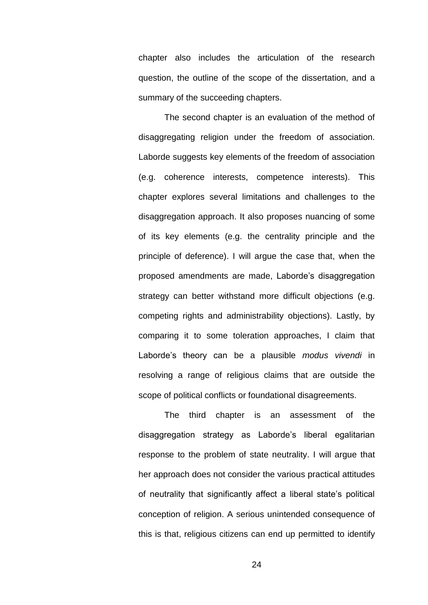chapter also includes the articulation of the research question, the outline of the scope of the dissertation, and a summary of the succeeding chapters.

The second chapter is an evaluation of the method of disaggregating religion under the freedom of association. Laborde suggests key elements of the freedom of association (e.g. coherence interests, competence interests). This chapter explores several limitations and challenges to the disaggregation approach. It also proposes nuancing of some of its key elements (e.g. the centrality principle and the principle of deference). I will argue the case that, when the proposed amendments are made, Laborde's disaggregation strategy can better withstand more difficult objections (e.g. competing rights and administrability objections). Lastly, by comparing it to some toleration approaches, I claim that Laborde's theory can be a plausible *modus vivendi* in resolving a range of religious claims that are outside the scope of political conflicts or foundational disagreements.

The third chapter is an assessment of the disaggregation strategy as Laborde's liberal egalitarian response to the problem of state neutrality. I will argue that her approach does not consider the various practical attitudes of neutrality that significantly affect a liberal state's political conception of religion. A serious unintended consequence of this is that, religious citizens can end up permitted to identify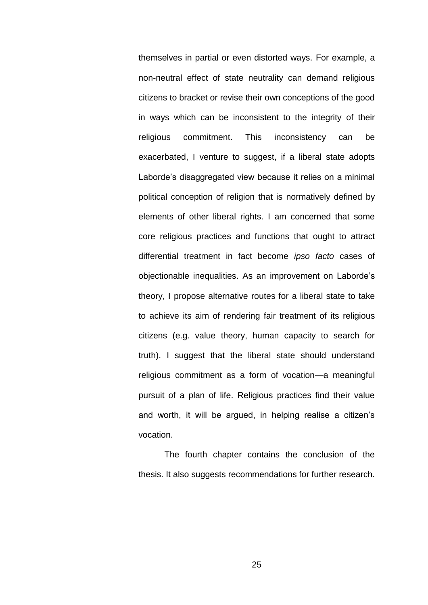themselves in partial or even distorted ways. For example, a non-neutral effect of state neutrality can demand religious citizens to bracket or revise their own conceptions of the good in ways which can be inconsistent to the integrity of their religious commitment. This inconsistency can be exacerbated, I venture to suggest, if a liberal state adopts Laborde's disaggregated view because it relies on a minimal political conception of religion that is normatively defined by elements of other liberal rights. I am concerned that some core religious practices and functions that ought to attract differential treatment in fact become *ipso facto* cases of objectionable inequalities. As an improvement on Laborde's theory, I propose alternative routes for a liberal state to take to achieve its aim of rendering fair treatment of its religious citizens (e.g. value theory, human capacity to search for truth). I suggest that the liberal state should understand religious commitment as a form of vocation—a meaningful pursuit of a plan of life. Religious practices find their value and worth, it will be argued, in helping realise a citizen's vocation.

The fourth chapter contains the conclusion of the thesis. It also suggests recommendations for further research.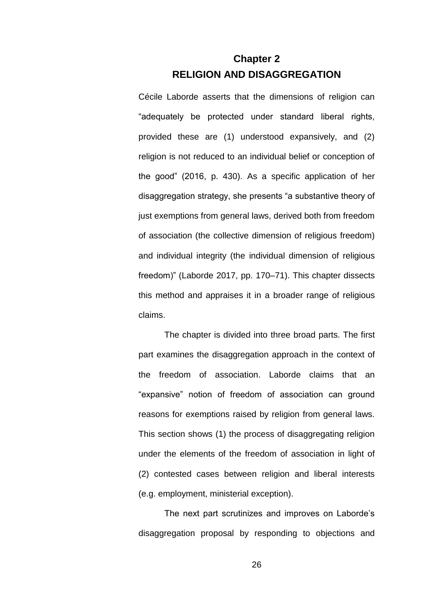### **Chapter 2 RELIGION AND DISAGGREGATION**

Cécile Laborde asserts that the dimensions of religion can "adequately be protected under standard liberal rights, provided these are (1) understood expansively, and (2) religion is not reduced to an individual belief or conception of the good‖ (2016, p. 430). As a specific application of her disaggregation strategy, she presents "a substantive theory of just exemptions from general laws, derived both from freedom of association (the collective dimension of religious freedom) and individual integrity (the individual dimension of religious freedom)" (Laborde 2017, pp. 170–71). This chapter dissects this method and appraises it in a broader range of religious claims.

The chapter is divided into three broad parts. The first part examines the disaggregation approach in the context of the freedom of association. Laborde claims that an "expansive" notion of freedom of association can ground reasons for exemptions raised by religion from general laws. This section shows (1) the process of disaggregating religion under the elements of the freedom of association in light of (2) contested cases between religion and liberal interests (e.g. employment, ministerial exception).

The next part scrutinizes and improves on Laborde's disaggregation proposal by responding to objections and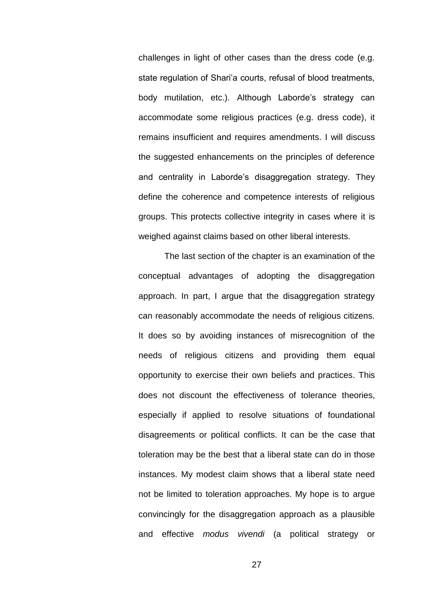challenges in light of other cases than the dress code (e.g. state regulation of Shari'a courts, refusal of blood treatments, body mutilation, etc.). Although Laborde's strategy can accommodate some religious practices (e.g. dress code), it remains insufficient and requires amendments. I will discuss the suggested enhancements on the principles of deference and centrality in Laborde's disaggregation strategy. They define the coherence and competence interests of religious groups. This protects collective integrity in cases where it is weighed against claims based on other liberal interests.

The last section of the chapter is an examination of the conceptual advantages of adopting the disaggregation approach. In part, I argue that the disaggregation strategy can reasonably accommodate the needs of religious citizens. It does so by avoiding instances of misrecognition of the needs of religious citizens and providing them equal opportunity to exercise their own beliefs and practices. This does not discount the effectiveness of tolerance theories, especially if applied to resolve situations of foundational disagreements or political conflicts. It can be the case that toleration may be the best that a liberal state can do in those instances. My modest claim shows that a liberal state need not be limited to toleration approaches. My hope is to argue convincingly for the disaggregation approach as a plausible and effective *modus vivendi* (a political strategy or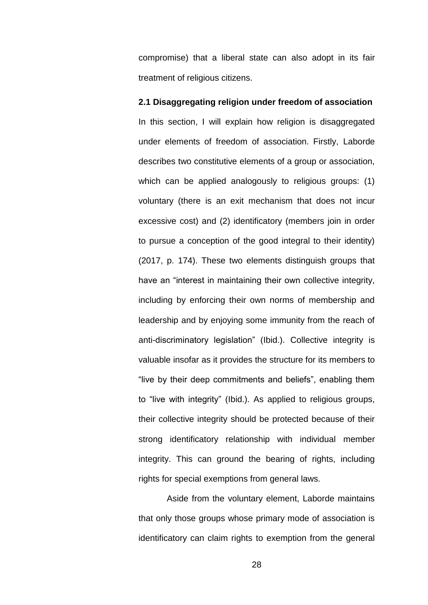compromise) that a liberal state can also adopt in its fair treatment of religious citizens.

**2.1 Disaggregating religion under freedom of association** In this section, I will explain how religion is disaggregated under elements of freedom of association. Firstly, Laborde describes two constitutive elements of a group or association, which can be applied analogously to religious groups: (1) voluntary (there is an exit mechanism that does not incur excessive cost) and (2) identificatory (members join in order to pursue a conception of the good integral to their identity) (2017, p. 174). These two elements distinguish groups that have an "interest in maintaining their own collective integrity, including by enforcing their own norms of membership and leadership and by enjoying some immunity from the reach of anti-discriminatory legislation" (Ibid.). Collective integrity is valuable insofar as it provides the structure for its members to "live by their deep commitments and beliefs", enabling them to "live with integrity" (Ibid.). As applied to religious groups, their collective integrity should be protected because of their strong identificatory relationship with individual member integrity. This can ground the bearing of rights, including rights for special exemptions from general laws.

Aside from the voluntary element, Laborde maintains that only those groups whose primary mode of association is identificatory can claim rights to exemption from the general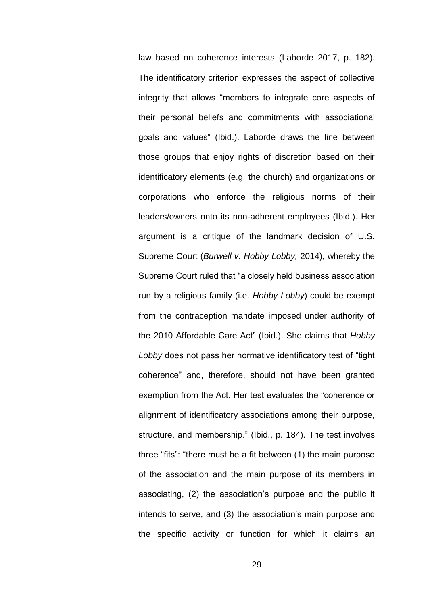law based on coherence interests (Laborde 2017, p. 182). The identificatory criterion expresses the aspect of collective integrity that allows "members to integrate core aspects of their personal beliefs and commitments with associational goals and values" (Ibid.). Laborde draws the line between those groups that enjoy rights of discretion based on their identificatory elements (e.g. the church) and organizations or corporations who enforce the religious norms of their leaders/owners onto its non-adherent employees (Ibid.). Her argument is a critique of the landmark decision of U.S. Supreme Court (*Burwell v. Hobby Lobby,* 2014), whereby the Supreme Court ruled that "a closely held business association run by a religious family (i.e. *Hobby Lobby*) could be exempt from the contraception mandate imposed under authority of the 2010 Affordable Care Act‖ (Ibid.). She claims that *Hobby*  Lobby does not pass her normative identificatory test of "tight" coherence‖ and, therefore, should not have been granted exemption from the Act. Her test evaluates the "coherence or alignment of identificatory associations among their purpose, structure, and membership." (Ibid., p. 184). The test involves three "fits": "there must be a fit between (1) the main purpose of the association and the main purpose of its members in associating, (2) the association's purpose and the public it intends to serve, and (3) the association's main purpose and the specific activity or function for which it claims an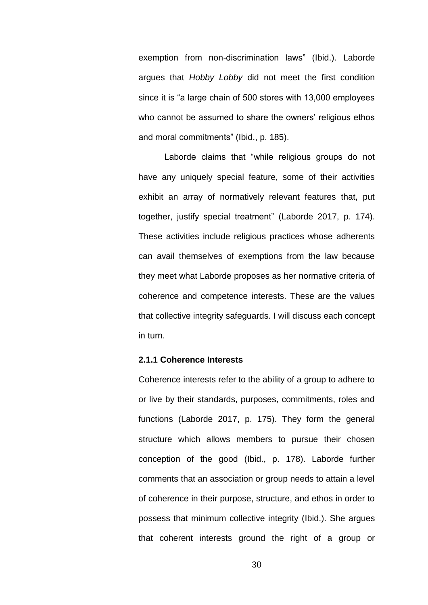exemption from non-discrimination laws" (Ibid.). Laborde argues that *Hobby Lobby* did not meet the first condition since it is "a large chain of 500 stores with 13,000 employees who cannot be assumed to share the owners' religious ethos and moral commitments" (Ibid., p. 185).

Laborde claims that "while religious groups do not have any uniquely special feature, some of their activities exhibit an array of normatively relevant features that, put together, justify special treatment" (Laborde 2017, p. 174). These activities include religious practices whose adherents can avail themselves of exemptions from the law because they meet what Laborde proposes as her normative criteria of coherence and competence interests. These are the values that collective integrity safeguards. I will discuss each concept in turn.

#### **2.1.1 Coherence Interests**

Coherence interests refer to the ability of a group to adhere to or live by their standards, purposes, commitments, roles and functions (Laborde 2017, p. 175). They form the general structure which allows members to pursue their chosen conception of the good (Ibid., p. 178). Laborde further comments that an association or group needs to attain a level of coherence in their purpose, structure, and ethos in order to possess that minimum collective integrity (Ibid.). She argues that coherent interests ground the right of a group or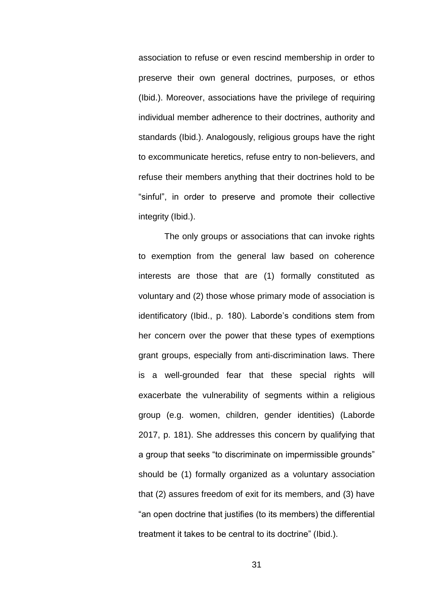association to refuse or even rescind membership in order to preserve their own general doctrines, purposes, or ethos (Ibid.). Moreover, associations have the privilege of requiring individual member adherence to their doctrines, authority and standards (Ibid.). Analogously, religious groups have the right to excommunicate heretics, refuse entry to non-believers, and refuse their members anything that their doctrines hold to be ―sinful‖, in order to preserve and promote their collective integrity (Ibid.).

The only groups or associations that can invoke rights to exemption from the general law based on coherence interests are those that are (1) formally constituted as voluntary and (2) those whose primary mode of association is identificatory (Ibid., p. 180). Laborde's conditions stem from her concern over the power that these types of exemptions grant groups, especially from anti-discrimination laws. There is a well-grounded fear that these special rights will exacerbate the vulnerability of segments within a religious group (e.g. women, children, gender identities) (Laborde 2017, p. 181). She addresses this concern by qualifying that a group that seeks "to discriminate on impermissible grounds" should be (1) formally organized as a voluntary association that (2) assures freedom of exit for its members, and (3) have "an open doctrine that justifies (to its members) the differential treatment it takes to be central to its doctrine" (Ibid.).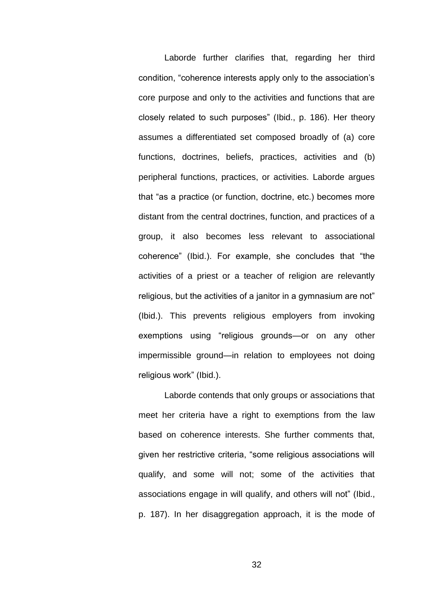Laborde further clarifies that, regarding her third condition, "coherence interests apply only to the association's core purpose and only to the activities and functions that are closely related to such purposes" (Ibid., p. 186). Her theory assumes a differentiated set composed broadly of (a) core functions, doctrines, beliefs, practices, activities and (b) peripheral functions, practices, or activities. Laborde argues that "as a practice (or function, doctrine, etc.) becomes more distant from the central doctrines, function, and practices of a group, it also becomes less relevant to associational coherence" (Ibid.). For example, she concludes that "the activities of a priest or a teacher of religion are relevantly religious, but the activities of a janitor in a gymnasium are not" (Ibid.). This prevents religious employers from invoking exemptions using "religious grounds—or on any other impermissible ground—in relation to employees not doing religious work" (Ibid.).

Laborde contends that only groups or associations that meet her criteria have a right to exemptions from the law based on coherence interests. She further comments that, given her restrictive criteria, "some religious associations will qualify, and some will not; some of the activities that associations engage in will qualify, and others will not" (Ibid., p. 187). In her disaggregation approach, it is the mode of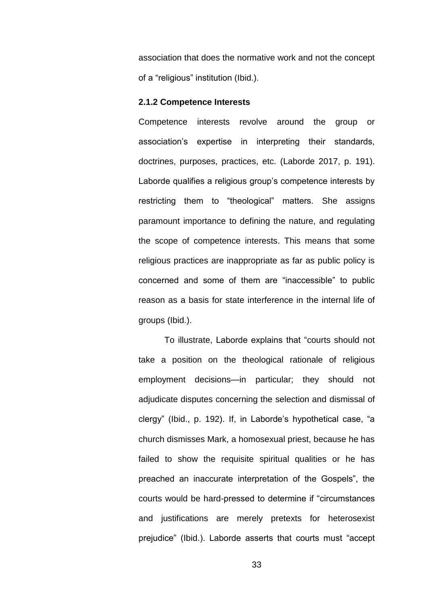association that does the normative work and not the concept of a "religious" institution (Ibid.).

#### **2.1.2 Competence Interests**

Competence interests revolve around the group or association's expertise in interpreting their standards, doctrines, purposes, practices, etc. (Laborde 2017, p. 191). Laborde qualifies a religious group's competence interests by restricting them to "theological" matters. She assigns paramount importance to defining the nature, and regulating the scope of competence interests. This means that some religious practices are inappropriate as far as public policy is concerned and some of them are "inaccessible" to public reason as a basis for state interference in the internal life of groups (Ibid.).

To illustrate, Laborde explains that "courts should not take a position on the theological rationale of religious employment decisions—in particular; they should not adjudicate disputes concerning the selection and dismissal of clergy" (Ibid., p. 192). If, in Laborde's hypothetical case, "a church dismisses Mark, a homosexual priest, because he has failed to show the requisite spiritual qualities or he has preached an inaccurate interpretation of the Gospels", the courts would be hard-pressed to determine if "circumstances and justifications are merely pretexts for heterosexist prejudice" (Ibid.). Laborde asserts that courts must "accept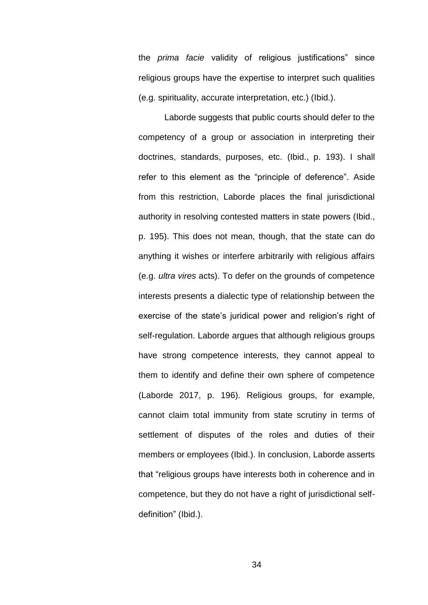the *prima facie* validity of religious justifications" since religious groups have the expertise to interpret such qualities (e.g. spirituality, accurate interpretation, etc.) (Ibid.).

Laborde suggests that public courts should defer to the competency of a group or association in interpreting their doctrines, standards, purposes, etc. (Ibid., p. 193). I shall refer to this element as the "principle of deference". Aside from this restriction, Laborde places the final jurisdictional authority in resolving contested matters in state powers (Ibid., p. 195). This does not mean, though, that the state can do anything it wishes or interfere arbitrarily with religious affairs (e.g. *ultra vires* acts). To defer on the grounds of competence interests presents a dialectic type of relationship between the exercise of the state's juridical power and religion's right of self-regulation. Laborde argues that although religious groups have strong competence interests, they cannot appeal to them to identify and define their own sphere of competence (Laborde 2017, p. 196). Religious groups, for example, cannot claim total immunity from state scrutiny in terms of settlement of disputes of the roles and duties of their members or employees (Ibid.). In conclusion, Laborde asserts that "religious groups have interests both in coherence and in competence, but they do not have a right of jurisdictional selfdefinition" (Ibid.).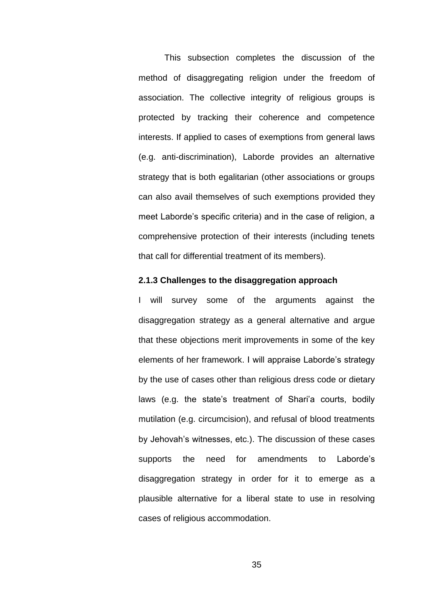This subsection completes the discussion of the method of disaggregating religion under the freedom of association. The collective integrity of religious groups is protected by tracking their coherence and competence interests. If applied to cases of exemptions from general laws (e.g. anti-discrimination), Laborde provides an alternative strategy that is both egalitarian (other associations or groups can also avail themselves of such exemptions provided they meet Laborde's specific criteria) and in the case of religion, a comprehensive protection of their interests (including tenets that call for differential treatment of its members).

#### **2.1.3 Challenges to the disaggregation approach**

I will survey some of the arguments against the disaggregation strategy as a general alternative and argue that these objections merit improvements in some of the key elements of her framework. I will appraise Laborde's strategy by the use of cases other than religious dress code or dietary laws (e.g. the state's treatment of Shari'a courts, bodily mutilation (e.g. circumcision), and refusal of blood treatments by Jehovah's witnesses, etc.). The discussion of these cases supports the need for amendments to Laborde's disaggregation strategy in order for it to emerge as a plausible alternative for a liberal state to use in resolving cases of religious accommodation.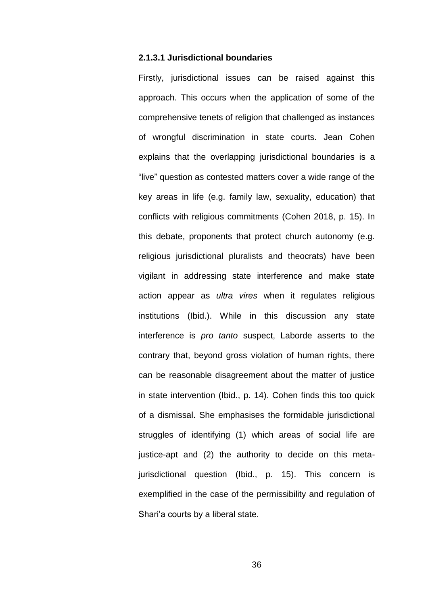#### **2.1.3.1 Jurisdictional boundaries**

Firstly, jurisdictional issues can be raised against this approach. This occurs when the application of some of the comprehensive tenets of religion that challenged as instances of wrongful discrimination in state courts. Jean Cohen explains that the overlapping jurisdictional boundaries is a "live" question as contested matters cover a wide range of the key areas in life (e.g. family law, sexuality, education) that conflicts with religious commitments (Cohen 2018, p. 15). In this debate, proponents that protect church autonomy (e.g. religious jurisdictional pluralists and theocrats) have been vigilant in addressing state interference and make state action appear as *ultra vires* when it regulates religious institutions (Ibid.). While in this discussion any state interference is *pro tanto* suspect, Laborde asserts to the contrary that, beyond gross violation of human rights, there can be reasonable disagreement about the matter of justice in state intervention (Ibid., p. 14). Cohen finds this too quick of a dismissal. She emphasises the formidable jurisdictional struggles of identifying (1) which areas of social life are justice-apt and (2) the authority to decide on this metajurisdictional question (Ibid., p. 15). This concern is exemplified in the case of the permissibility and regulation of Shari'a courts by a liberal state.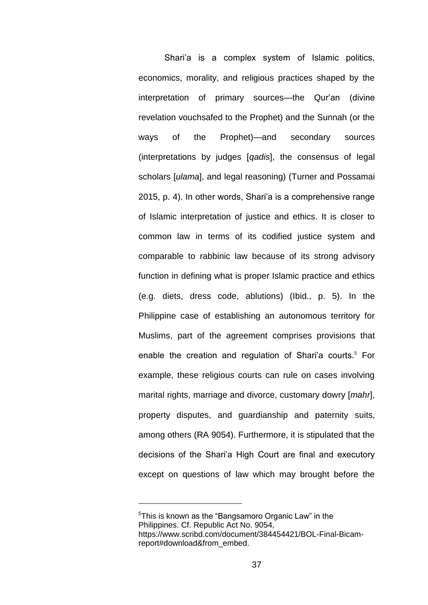Shari'a is a complex system of Islamic politics, economics, morality, and religious practices shaped by the interpretation of primary sources—the Qur'an (divine revelation vouchsafed to the Prophet) and the Sunnah (or the ways of the Prophet)—and secondary sources (interpretations by judges [*qadis*], the consensus of legal scholars [*ulama*], and legal reasoning) (Turner and Possamai 2015, p. 4). In other words, Shari'a is a comprehensive range of Islamic interpretation of justice and ethics. It is closer to common law in terms of its codified justice system and comparable to rabbinic law because of its strong advisory function in defining what is proper Islamic practice and ethics (e.g. diets, dress code, ablutions) (Ibid., p. 5). In the Philippine case of establishing an autonomous territory for Muslims, part of the agreement comprises provisions that enable the creation and regulation of Shari'a courts.<sup>5</sup> For example, these religious courts can rule on cases involving marital rights, marriage and divorce, customary dowry [*mahr*], property disputes, and guardianship and paternity suits, among others (RA 9054). Furthermore, it is stipulated that the decisions of the Shari'a High Court are final and executory except on questions of law which may brought before the

 $5$ This is known as the "Bangsamoro Organic Law" in the Philippines. Cf. Republic Act No. 9054, https://www.scribd.com/document/384454421/BOL-Final-Bicamreport#download&from\_embed.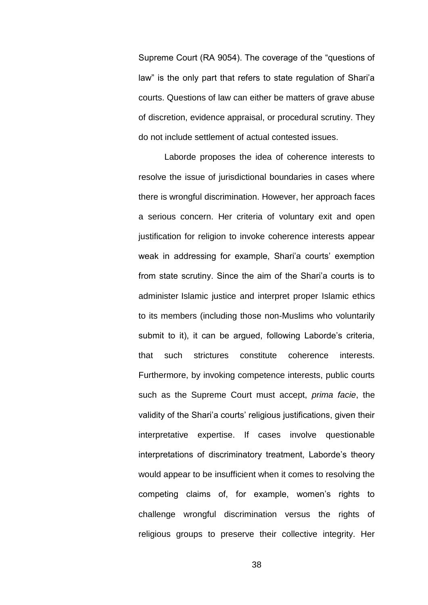Supreme Court (RA 9054). The coverage of the "questions of law" is the only part that refers to state regulation of Shari'a courts. Questions of law can either be matters of grave abuse of discretion, evidence appraisal, or procedural scrutiny. They do not include settlement of actual contested issues.

Laborde proposes the idea of coherence interests to resolve the issue of jurisdictional boundaries in cases where there is wrongful discrimination. However, her approach faces a serious concern. Her criteria of voluntary exit and open justification for religion to invoke coherence interests appear weak in addressing for example, Shari'a courts' exemption from state scrutiny. Since the aim of the Shari'a courts is to administer Islamic justice and interpret proper Islamic ethics to its members (including those non-Muslims who voluntarily submit to it), it can be argued, following Laborde's criteria, that such strictures constitute coherence interests. Furthermore, by invoking competence interests, public courts such as the Supreme Court must accept, *prima facie*, the validity of the Shari'a courts' religious justifications, given their interpretative expertise. If cases involve questionable interpretations of discriminatory treatment, Laborde's theory would appear to be insufficient when it comes to resolving the competing claims of, for example, women's rights to challenge wrongful discrimination versus the rights of religious groups to preserve their collective integrity. Her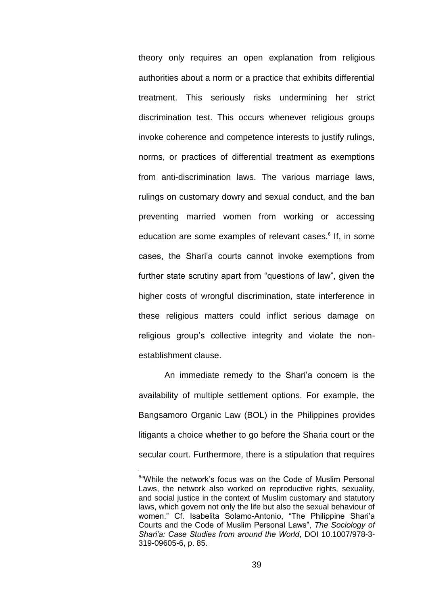theory only requires an open explanation from religious authorities about a norm or a practice that exhibits differential treatment. This seriously risks undermining her strict discrimination test. This occurs whenever religious groups invoke coherence and competence interests to justify rulings, norms, or practices of differential treatment as exemptions from anti-discrimination laws. The various marriage laws, rulings on customary dowry and sexual conduct, and the ban preventing married women from working or accessing education are some examples of relevant cases.<sup>6</sup> If, in some cases, the Shari'a courts cannot invoke exemptions from further state scrutiny apart from "questions of law", given the higher costs of wrongful discrimination, state interference in these religious matters could inflict serious damage on religious group's collective integrity and violate the nonestablishment clause.

An immediate remedy to the Shari'a concern is the availability of multiple settlement options. For example, the Bangsamoro Organic Law (BOL) in the Philippines provides litigants a choice whether to go before the Sharia court or the secular court. Furthermore, there is a stipulation that requires

<sup>1</sup> <sup>6</sup>"While the network's focus was on the Code of Muslim Personal Laws, the network also worked on reproductive rights, sexuality, and social justice in the context of Muslim customary and statutory laws, which govern not only the life but also the sexual behaviour of women." Cf. Isabelita Solamo-Antonio, "The Philippine Shari'a Courts and the Code of Muslim Personal Laws‖, *The Sociology of Shari'a: Case Studies from around the World*, DOI 10.1007/978-3- 319-09605-6, p. 85.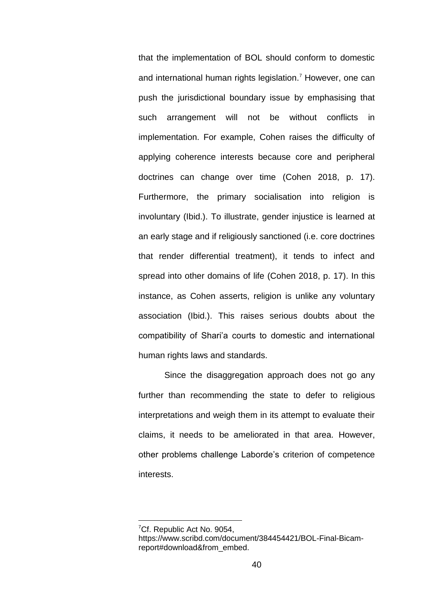that the implementation of BOL should conform to domestic and international human rights legislation.<sup>7</sup> However, one can push the jurisdictional boundary issue by emphasising that such arrangement will not be without conflicts in implementation. For example, Cohen raises the difficulty of applying coherence interests because core and peripheral doctrines can change over time (Cohen 2018, p. 17). Furthermore, the primary socialisation into religion is involuntary (Ibid.). To illustrate, gender injustice is learned at an early stage and if religiously sanctioned (i.e. core doctrines that render differential treatment), it tends to infect and spread into other domains of life (Cohen 2018, p. 17). In this instance, as Cohen asserts, religion is unlike any voluntary association (Ibid.). This raises serious doubts about the compatibility of Shari'a courts to domestic and international human rights laws and standards.

Since the disaggregation approach does not go any further than recommending the state to defer to religious interpretations and weigh them in its attempt to evaluate their claims, it needs to be ameliorated in that area. However, other problems challenge Laborde's criterion of competence interests.

 ${}^{7}Cf$ . Republic Act No. 9054,

https://www.scribd.com/document/384454421/BOL-Final-Bicamreport#download&from\_embed.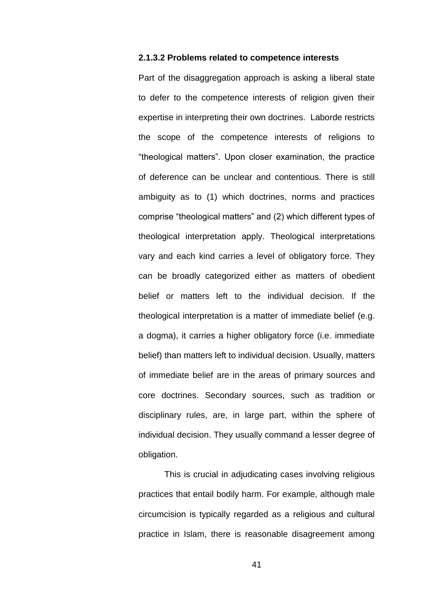#### **2.1.3.2 Problems related to competence interests**

Part of the disaggregation approach is asking a liberal state to defer to the competence interests of religion given their expertise in interpreting their own doctrines. Laborde restricts the scope of the competence interests of religions to ―theological matters‖. Upon closer examination, the practice of deference can be unclear and contentious. There is still ambiguity as to (1) which doctrines, norms and practices comprise "theological matters" and (2) which different types of theological interpretation apply. Theological interpretations vary and each kind carries a level of obligatory force. They can be broadly categorized either as matters of obedient belief or matters left to the individual decision. If the theological interpretation is a matter of immediate belief (e.g. a dogma), it carries a higher obligatory force (i.e. immediate belief) than matters left to individual decision. Usually, matters of immediate belief are in the areas of primary sources and core doctrines. Secondary sources, such as tradition or disciplinary rules, are, in large part, within the sphere of individual decision. They usually command a lesser degree of obligation.

This is crucial in adjudicating cases involving religious practices that entail bodily harm. For example, although male circumcision is typically regarded as a religious and cultural practice in Islam, there is reasonable disagreement among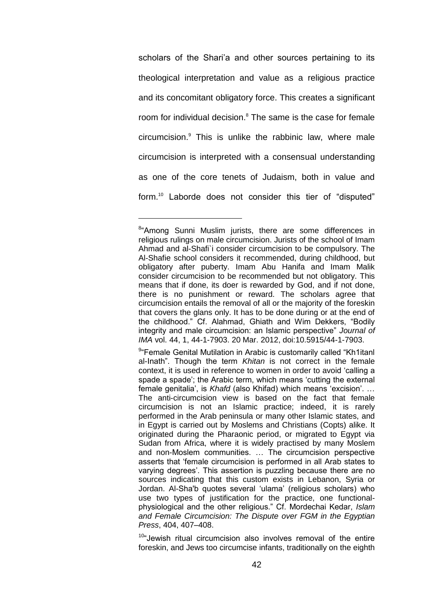scholars of the Shari'a and other sources pertaining to its theological interpretation and value as a religious practice and its concomitant obligatory force. This creates a significant room for individual decision.<sup>8</sup> The same is the case for female  $circ$  circumcision. $9$  This is unlike the rabbinic law, where male circumcision is interpreted with a consensual understanding as one of the core tenets of Judaism, both in value and form. $10$  Laborde does not consider this tier of "disputed"

<u>.</u>

 $10<sup>a</sup>$ -Jewish ritual circumcision also involves removal of the entire foreskin, and Jews too circumcise infants, traditionally on the eighth

<sup>&</sup>lt;sup>8</sup>"Among Sunni Muslim jurists, there are some differences in religious rulings on male circumcision. Jurists of the school of Imam Ahmad and al-Shafi`i consider circumcision to be compulsory. The Al-Shafie school considers it recommended, during childhood, but obligatory after puberty. Imam Abu Hanifa and Imam Malik consider circumcision to be recommended but not obligatory. This means that if done, its doer is rewarded by God, and if not done, there is no punishment or reward. The scholars agree that circumcision entails the removal of all or the majority of the foreskin that covers the glans only. It has to be done during or at the end of the childhood." Cf. Alahmad, Ghiath and Wim Dekkers, "Bodily integrity and male circumcision: an Islamic perspective" Journal of *IMA* vol. 44, 1, 44-1-7903. 20 Mar. 2012, doi:10.5915/44-1-7903.

<sup>&</sup>lt;sup>9</sup> Female Genital Mutilation in Arabic is customarily called "Kh1itanl al-Inath". Though the term *Khitan* is not correct in the female context, it is used in reference to women in order to avoid 'calling a spade a spade'; the Arabic term, which means 'cutting the external female genitalia', is *Khafd* (also Khifad) which means 'excision'. ... The anti-circumcision view is based on the fact that female circumcision is not an Islamic practice; indeed, it is rarely performed in the Arab peninsula or many other Islamic states, and in Egypt is carried out by Moslems and Christians (Copts) alike. It originated during the Pharaonic period, or migrated to Egypt via Sudan from Africa, where it is widely practised by many Moslem and non-Moslem communities. … The circumcision perspective asserts that 'female circumcision is performed in all Arab states to varying degrees'. This assertion is puzzling because there are no sources indicating that this custom exists in Lebanon, Syria or Jordan. Al-Sha'b quotes several 'ulama' (religious scholars) who use two types of justification for the practice, one functionalphysiological and the other religious.‖ Cf. Mordechai Kedar, *Islam and Female Circumcision: The Dispute over FGM in the Egyptian Press*, 404, 407–408.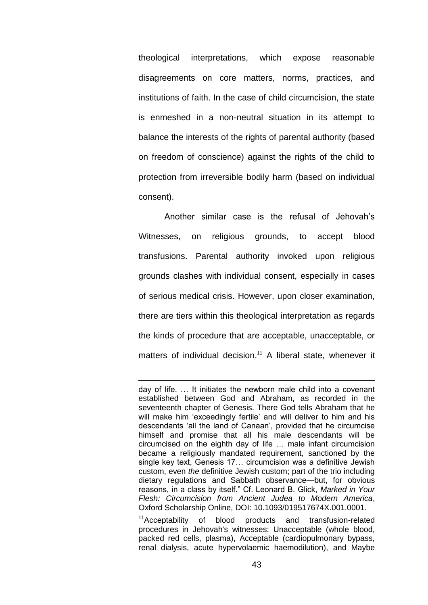theological interpretations, which expose reasonable disagreements on core matters, norms, practices, and institutions of faith. In the case of child circumcision, the state is enmeshed in a non-neutral situation in its attempt to balance the interests of the rights of parental authority (based on freedom of conscience) against the rights of the child to protection from irreversible bodily harm (based on individual consent).

Another similar case is the refusal of Jehovah's Witnesses, on religious grounds, to accept blood transfusions. Parental authority invoked upon religious grounds clashes with individual consent, especially in cases of serious medical crisis. However, upon closer examination, there are tiers within this theological interpretation as regards the kinds of procedure that are acceptable, unacceptable, or matters of individual decision.<sup>11</sup> A liberal state, whenever it

<u>.</u>

<sup>11</sup>Acceptability of blood products and transfusion-related procedures in Jehovah's witnesses: Unacceptable (whole blood, packed red cells, plasma), Acceptable (cardiopulmonary bypass, renal dialysis, acute hypervolaemic haemodilution), and Maybe

day of life. … It initiates the newborn male child into a covenant established between God and Abraham, as recorded in the seventeenth chapter of Genesis. There God tells Abraham that he will make him 'exceedingly fertile' and will deliver to him and his descendants 'all the land of Canaan', provided that he circumcise himself and promise that all his male descendants will be circumcised on the eighth day of life … male infant circumcision became a religiously mandated requirement, sanctioned by the single key text, Genesis 17… circumcision was a definitive Jewish custom, even *the* definitive Jewish custom; part of the trio including dietary regulations and Sabbath observance—but, for obvious reasons, in a class by itself.‖ Cf. Leonard B. Glick, *Marked in Your Flesh: Circumcision from Ancient Judea to Modern America*, Oxford Scholarship Online, DOI: 10.1093/019517674X.001.0001.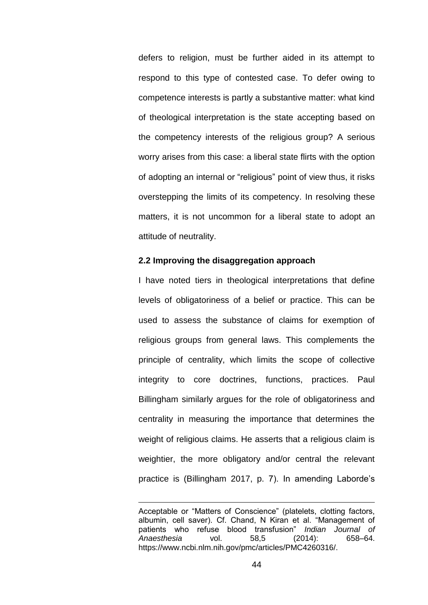defers to religion, must be further aided in its attempt to respond to this type of contested case. To defer owing to competence interests is partly a substantive matter: what kind of theological interpretation is the state accepting based on the competency interests of the religious group? A serious worry arises from this case: a liberal state flirts with the option of adopting an internal or "religious" point of view thus, it risks overstepping the limits of its competency. In resolving these matters, it is not uncommon for a liberal state to adopt an attitude of neutrality.

## **2.2 Improving the disaggregation approach**

I have noted tiers in theological interpretations that define levels of obligatoriness of a belief or practice. This can be used to assess the substance of claims for exemption of religious groups from general laws. This complements the principle of centrality, which limits the scope of collective integrity to core doctrines, functions, practices. Paul Billingham similarly argues for the role of obligatoriness and centrality in measuring the importance that determines the weight of religious claims. He asserts that a religious claim is weightier, the more obligatory and/or central the relevant practice is (Billingham 2017, p. 7). In amending Laborde's

<u>.</u>

Acceptable or "Matters of Conscience" (platelets, clotting factors, albumin, cell saver). Cf. Chand, N Kiran et al. "Management of patients who refuse blood transfusion‖ *Indian Journal of Anaesthesia* vol. 58,5 (2014): 658–64. https://www.ncbi.nlm.nih.gov/pmc/articles/PMC4260316/.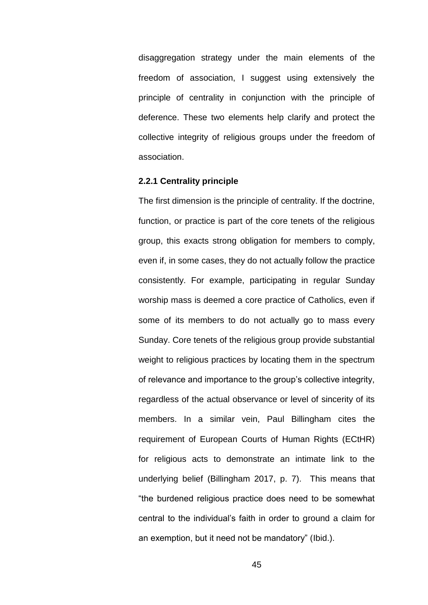disaggregation strategy under the main elements of the freedom of association, I suggest using extensively the principle of centrality in conjunction with the principle of deference. These two elements help clarify and protect the collective integrity of religious groups under the freedom of association.

#### **2.2.1 Centrality principle**

The first dimension is the principle of centrality. If the doctrine, function, or practice is part of the core tenets of the religious group, this exacts strong obligation for members to comply, even if, in some cases, they do not actually follow the practice consistently. For example, participating in regular Sunday worship mass is deemed a core practice of Catholics, even if some of its members to do not actually go to mass every Sunday. Core tenets of the religious group provide substantial weight to religious practices by locating them in the spectrum of relevance and importance to the group's collective integrity, regardless of the actual observance or level of sincerity of its members. In a similar vein, Paul Billingham cites the requirement of European Courts of Human Rights (ECtHR) for religious acts to demonstrate an intimate link to the underlying belief (Billingham 2017, p. 7). This means that "the burdened religious practice does need to be somewhat central to the individual's faith in order to ground a claim for an exemption, but it need not be mandatory" (Ibid.).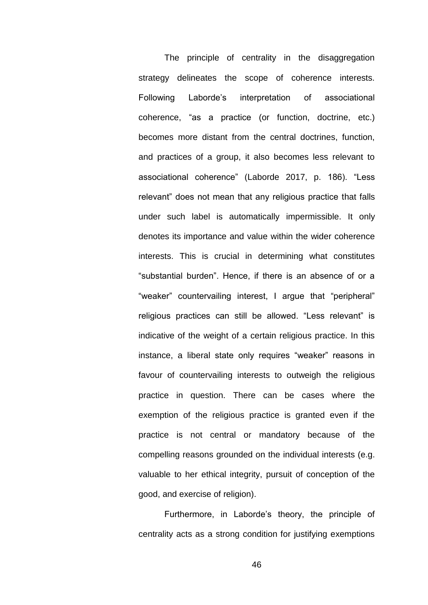The principle of centrality in the disaggregation strategy delineates the scope of coherence interests. Following Laborde's interpretation of associational coherence, "as a practice (or function, doctrine, etc.) becomes more distant from the central doctrines, function, and practices of a group, it also becomes less relevant to associational coherence" (Laborde 2017, p. 186). "Less relevant" does not mean that any religious practice that falls under such label is automatically impermissible. It only denotes its importance and value within the wider coherence interests. This is crucial in determining what constitutes ―substantial burden‖. Hence, if there is an absence of or a "weaker" countervailing interest, I arque that "peripheral" religious practices can still be allowed. "Less relevant" is indicative of the weight of a certain religious practice. In this instance, a liberal state only requires "weaker" reasons in favour of countervailing interests to outweigh the religious practice in question. There can be cases where the exemption of the religious practice is granted even if the practice is not central or mandatory because of the compelling reasons grounded on the individual interests (e.g. valuable to her ethical integrity, pursuit of conception of the good, and exercise of religion).

Furthermore, in Laborde's theory, the principle of centrality acts as a strong condition for justifying exemptions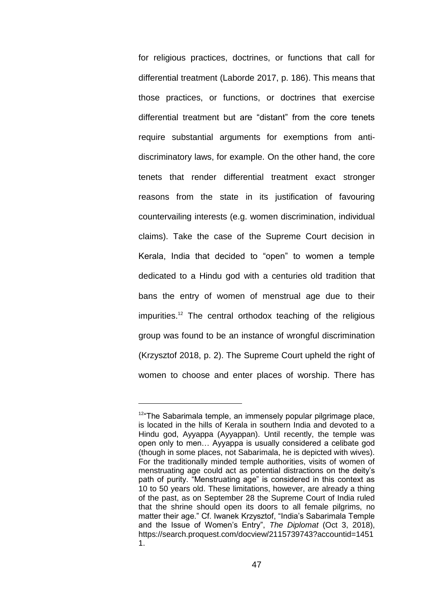for religious practices, doctrines, or functions that call for differential treatment (Laborde 2017, p. 186). This means that those practices, or functions, or doctrines that exercise differential treatment but are "distant" from the core tenets require substantial arguments for exemptions from antidiscriminatory laws, for example. On the other hand, the core tenets that render differential treatment exact stronger reasons from the state in its justification of favouring countervailing interests (e.g. women discrimination, individual claims). Take the case of the Supreme Court decision in Kerala, India that decided to "open" to women a temple dedicated to a Hindu god with a centuries old tradition that bans the entry of women of menstrual age due to their impurities.<sup>12</sup> The central orthodox teaching of the religious group was found to be an instance of wrongful discrimination (Krzysztof 2018, p. 2). The Supreme Court upheld the right of women to choose and enter places of worship. There has

 $12$ "The Sabarimala temple, an immensely popular pilgrimage place, is located in the hills of Kerala in southern India and devoted to a Hindu god, Ayyappa (Ayyappan). Until recently, the temple was open only to men… Ayyappa is usually considered a celibate god (though in some places, not Sabarimala, he is depicted with wives). For the traditionally minded temple authorities, visits of women of menstruating age could act as potential distractions on the deity's path of purity. "Menstruating age" is considered in this context as 10 to 50 years old. These limitations, however, are already a thing of the past, as on September 28 the Supreme Court of India ruled that the shrine should open its doors to all female pilgrims, no matter their age." Cf. Iwanek Krzysztof, "India's Sabarimala Temple and the Issue of Women's Entry", The Diplomat (Oct 3, 2018), https://search.proquest.com/docview/2115739743?accountid=1451 1.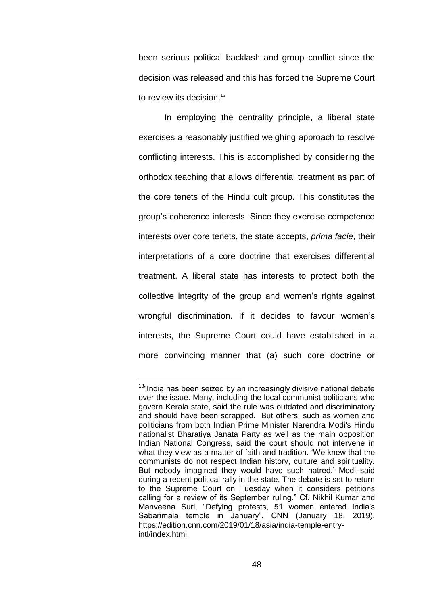been serious political backlash and group conflict since the decision was released and this has forced the Supreme Court to review its decision. $13$ 

In employing the centrality principle, a liberal state exercises a reasonably justified weighing approach to resolve conflicting interests. This is accomplished by considering the orthodox teaching that allows differential treatment as part of the core tenets of the Hindu cult group. This constitutes the group's coherence interests. Since they exercise competence interests over core tenets, the state accepts, *prima facie*, their interpretations of a core doctrine that exercises differential treatment. A liberal state has interests to protect both the collective integrity of the group and women's rights against wrongful discrimination. If it decides to favour women's interests, the Supreme Court could have established in a more convincing manner that (a) such core doctrine or

<sup>&</sup>lt;u>.</u>  $13$ "India has been seized by an increasingly divisive national debate over the issue. Many, including the local communist politicians who govern Kerala state, said the rule was outdated and discriminatory and should have been scrapped. But others, such as women and politicians from both Indian Prime Minister Narendra Modi's Hindu nationalist Bharatiya Janata Party as well as the main opposition Indian National Congress, said the court should not intervene in what they view as a matter of faith and tradition. 'We knew that the communists do not respect Indian history, culture and spirituality. But nobody imagined they would have such hatred,' Modi said during a recent political rally in the state. The debate is set to return to the Supreme Court on Tuesday when it considers petitions calling for a review of its September ruling." Cf. Nikhil Kumar and Manveena Suri, "Defying protests, 51 women entered India's Sabarimala temple in January", CNN (January 18, 2019), https://edition.cnn.com/2019/01/18/asia/india-temple-entryintl/index.html.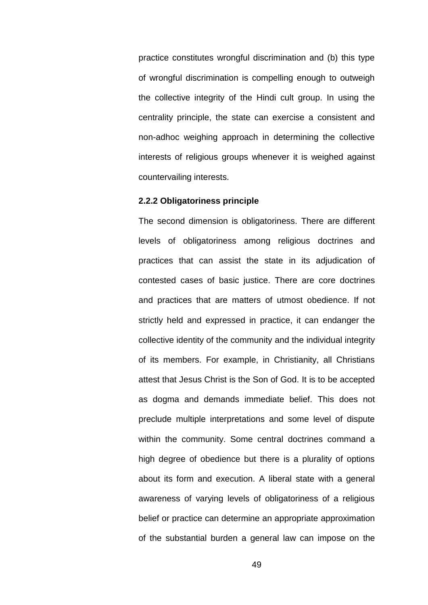practice constitutes wrongful discrimination and (b) this type of wrongful discrimination is compelling enough to outweigh the collective integrity of the Hindi cult group. In using the centrality principle, the state can exercise a consistent and non-adhoc weighing approach in determining the collective interests of religious groups whenever it is weighed against countervailing interests.

## **2.2.2 Obligatoriness principle**

The second dimension is obligatoriness. There are different levels of obligatoriness among religious doctrines and practices that can assist the state in its adjudication of contested cases of basic justice. There are core doctrines and practices that are matters of utmost obedience. If not strictly held and expressed in practice, it can endanger the collective identity of the community and the individual integrity of its members. For example, in Christianity, all Christians attest that Jesus Christ is the Son of God. It is to be accepted as dogma and demands immediate belief. This does not preclude multiple interpretations and some level of dispute within the community. Some central doctrines command a high degree of obedience but there is a plurality of options about its form and execution. A liberal state with a general awareness of varying levels of obligatoriness of a religious belief or practice can determine an appropriate approximation of the substantial burden a general law can impose on the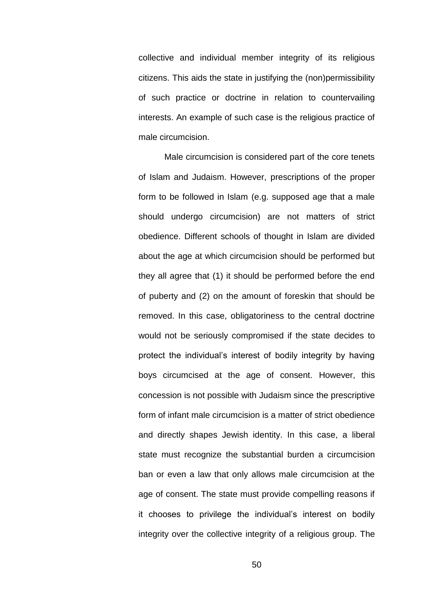collective and individual member integrity of its religious citizens. This aids the state in justifying the (non)permissibility of such practice or doctrine in relation to countervailing interests. An example of such case is the religious practice of male circumcision.

Male circumcision is considered part of the core tenets of Islam and Judaism. However, prescriptions of the proper form to be followed in Islam (e.g. supposed age that a male should undergo circumcision) are not matters of strict obedience. Different schools of thought in Islam are divided about the age at which circumcision should be performed but they all agree that (1) it should be performed before the end of puberty and (2) on the amount of foreskin that should be removed. In this case, obligatoriness to the central doctrine would not be seriously compromised if the state decides to protect the individual's interest of bodily integrity by having boys circumcised at the age of consent. However, this concession is not possible with Judaism since the prescriptive form of infant male circumcision is a matter of strict obedience and directly shapes Jewish identity. In this case, a liberal state must recognize the substantial burden a circumcision ban or even a law that only allows male circumcision at the age of consent. The state must provide compelling reasons if it chooses to privilege the individual's interest on bodily integrity over the collective integrity of a religious group. The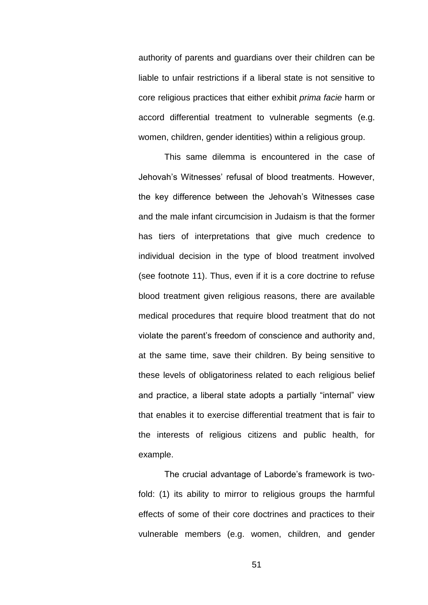authority of parents and guardians over their children can be liable to unfair restrictions if a liberal state is not sensitive to core religious practices that either exhibit *prima facie* harm or accord differential treatment to vulnerable segments (e.g. women, children, gender identities) within a religious group.

This same dilemma is encountered in the case of Jehovah's Witnesses' refusal of blood treatments. However, the key difference between the Jehovah's Witnesses case and the male infant circumcision in Judaism is that the former has tiers of interpretations that give much credence to individual decision in the type of blood treatment involved (see footnote 11). Thus, even if it is a core doctrine to refuse blood treatment given religious reasons, there are available medical procedures that require blood treatment that do not violate the parent's freedom of conscience and authority and, at the same time, save their children. By being sensitive to these levels of obligatoriness related to each religious belief and practice, a liberal state adopts a partially "internal" view that enables it to exercise differential treatment that is fair to the interests of religious citizens and public health, for example.

The crucial advantage of Laborde's framework is twofold: (1) its ability to mirror to religious groups the harmful effects of some of their core doctrines and practices to their vulnerable members (e.g. women, children, and gender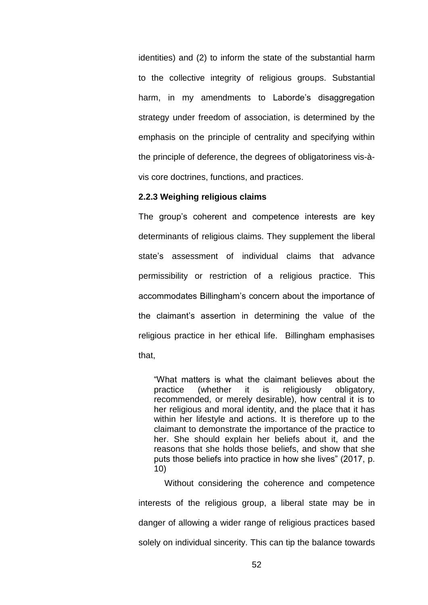identities) and (2) to inform the state of the substantial harm to the collective integrity of religious groups. Substantial harm, in my amendments to Laborde's disaggregation strategy under freedom of association, is determined by the emphasis on the principle of centrality and specifying within the principle of deference, the degrees of obligatoriness vis-àvis core doctrines, functions, and practices.

## **2.2.3 Weighing religious claims**

The group's coherent and competence interests are key determinants of religious claims. They supplement the liberal state's assessment of individual claims that advance permissibility or restriction of a religious practice. This accommodates Billingham's concern about the importance of the claimant's assertion in determining the value of the religious practice in her ethical life. Billingham emphasises that,

―What matters is what the claimant believes about the practice (whether it is religiously obligatory, recommended, or merely desirable), how central it is to her religious and moral identity, and the place that it has within her lifestyle and actions. It is therefore up to the claimant to demonstrate the importance of the practice to her. She should explain her beliefs about it, and the reasons that she holds those beliefs, and show that she puts those beliefs into practice in how she lives" (2017, p. 10)

Without considering the coherence and competence interests of the religious group, a liberal state may be in danger of allowing a wider range of religious practices based solely on individual sincerity. This can tip the balance towards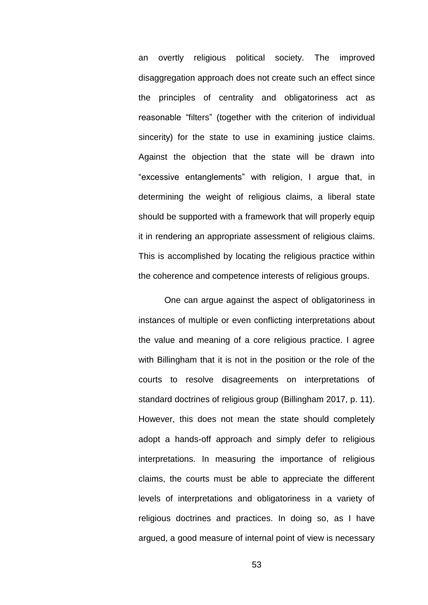an overtly religious political society. The improved disaggregation approach does not create such an effect since the principles of centrality and obligatoriness act as reasonable "filters" (together with the criterion of individual sincerity) for the state to use in examining justice claims. Against the objection that the state will be drawn into "excessive entanglements" with religion, I argue that, in determining the weight of religious claims, a liberal state should be supported with a framework that will properly equip it in rendering an appropriate assessment of religious claims. This is accomplished by locating the religious practice within the coherence and competence interests of religious groups.

One can argue against the aspect of obligatoriness in instances of multiple or even conflicting interpretations about the value and meaning of a core religious practice. I agree with Billingham that it is not in the position or the role of the courts to resolve disagreements on interpretations of standard doctrines of religious group (Billingham 2017, p. 11). However, this does not mean the state should completely adopt a hands-off approach and simply defer to religious interpretations. In measuring the importance of religious claims, the courts must be able to appreciate the different levels of interpretations and obligatoriness in a variety of religious doctrines and practices. In doing so, as I have argued, a good measure of internal point of view is necessary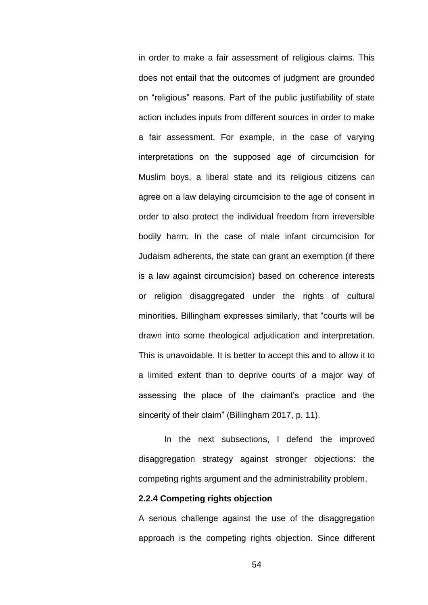in order to make a fair assessment of religious claims. This does not entail that the outcomes of judgment are grounded on "religious" reasons. Part of the public justifiability of state action includes inputs from different sources in order to make a fair assessment. For example, in the case of varying interpretations on the supposed age of circumcision for Muslim boys, a liberal state and its religious citizens can agree on a law delaying circumcision to the age of consent in order to also protect the individual freedom from irreversible bodily harm. In the case of male infant circumcision for Judaism adherents, the state can grant an exemption (if there is a law against circumcision) based on coherence interests or religion disaggregated under the rights of cultural minorities. Billingham expresses similarly, that "courts will be drawn into some theological adjudication and interpretation. This is unavoidable. It is better to accept this and to allow it to a limited extent than to deprive courts of a major way of assessing the place of the claimant's practice and the sincerity of their claim" (Billingham 2017, p. 11).

In the next subsections, I defend the improved disaggregation strategy against stronger objections: the competing rights argument and the administrability problem.

## **2.2.4 Competing rights objection**

A serious challenge against the use of the disaggregation approach is the competing rights objection. Since different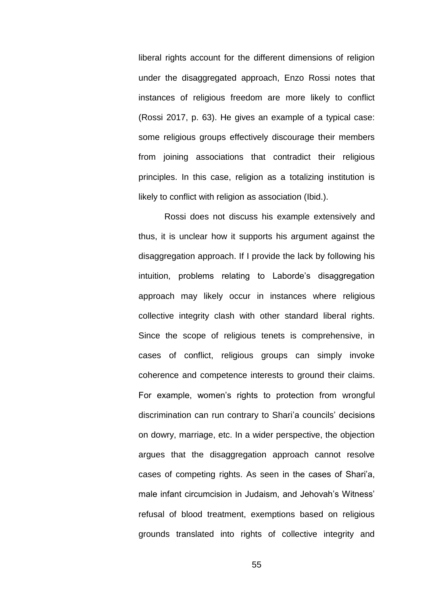liberal rights account for the different dimensions of religion under the disaggregated approach, Enzo Rossi notes that instances of religious freedom are more likely to conflict (Rossi 2017, p. 63). He gives an example of a typical case: some religious groups effectively discourage their members from joining associations that contradict their religious principles. In this case, religion as a totalizing institution is likely to conflict with religion as association (Ibid.).

Rossi does not discuss his example extensively and thus, it is unclear how it supports his argument against the disaggregation approach. If I provide the lack by following his intuition, problems relating to Laborde's disaggregation approach may likely occur in instances where religious collective integrity clash with other standard liberal rights. Since the scope of religious tenets is comprehensive, in cases of conflict, religious groups can simply invoke coherence and competence interests to ground their claims. For example, women's rights to protection from wrongful discrimination can run contrary to Shari'a councils' decisions on dowry, marriage, etc. In a wider perspective, the objection argues that the disaggregation approach cannot resolve cases of competing rights. As seen in the cases of Shari'a, male infant circumcision in Judaism, and Jehovah's Witness' refusal of blood treatment, exemptions based on religious grounds translated into rights of collective integrity and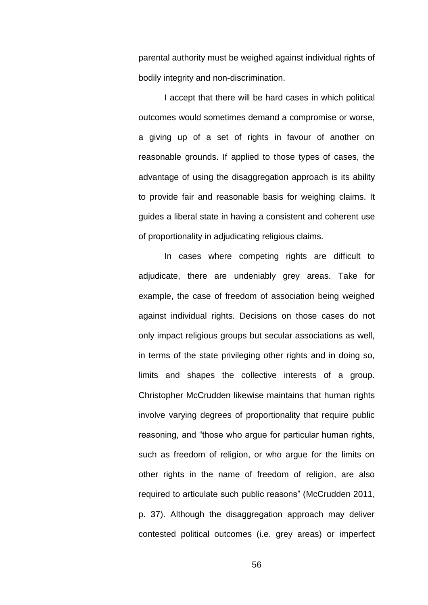parental authority must be weighed against individual rights of bodily integrity and non-discrimination.

I accept that there will be hard cases in which political outcomes would sometimes demand a compromise or worse, a giving up of a set of rights in favour of another on reasonable grounds. If applied to those types of cases, the advantage of using the disaggregation approach is its ability to provide fair and reasonable basis for weighing claims. It guides a liberal state in having a consistent and coherent use of proportionality in adjudicating religious claims.

In cases where competing rights are difficult to adjudicate, there are undeniably grey areas. Take for example, the case of freedom of association being weighed against individual rights. Decisions on those cases do not only impact religious groups but secular associations as well, in terms of the state privileging other rights and in doing so, limits and shapes the collective interests of a group. Christopher McCrudden likewise maintains that human rights involve varying degrees of proportionality that require public reasoning, and "those who argue for particular human rights, such as freedom of religion, or who argue for the limits on other rights in the name of freedom of religion, are also required to articulate such public reasons" (McCrudden 2011, p. 37). Although the disaggregation approach may deliver contested political outcomes (i.e. grey areas) or imperfect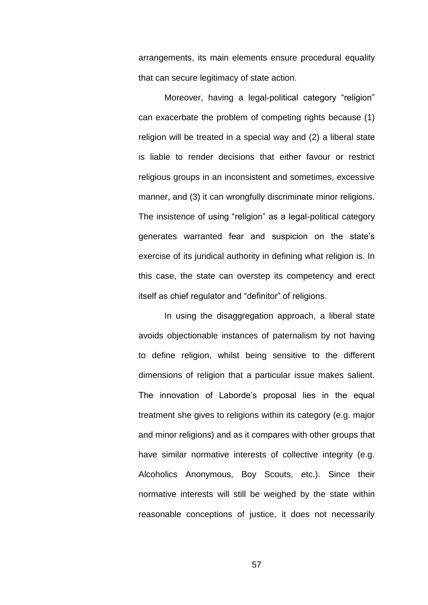arrangements, its main elements ensure procedural equality that can secure legitimacy of state action.

Moreover, having a legal-political category "religion" can exacerbate the problem of competing rights because (1) religion will be treated in a special way and (2) a liberal state is liable to render decisions that either favour or restrict religious groups in an inconsistent and sometimes, excessive manner, and (3) it can wrongfully discriminate minor religions. The insistence of using "religion" as a legal-political category generates warranted fear and suspicion on the state's exercise of its juridical authority in defining what religion is. In this case, the state can overstep its competency and erect itself as chief regulator and "definitor" of religions.

In using the disaggregation approach, a liberal state avoids objectionable instances of paternalism by not having to define religion, whilst being sensitive to the different dimensions of religion that a particular issue makes salient. The innovation of Laborde's proposal lies in the equal treatment she gives to religions within its category (e.g. major and minor religions) and as it compares with other groups that have similar normative interests of collective integrity (e.g. Alcoholics Anonymous, Boy Scouts, etc.). Since their normative interests will still be weighed by the state within reasonable conceptions of justice, it does not necessarily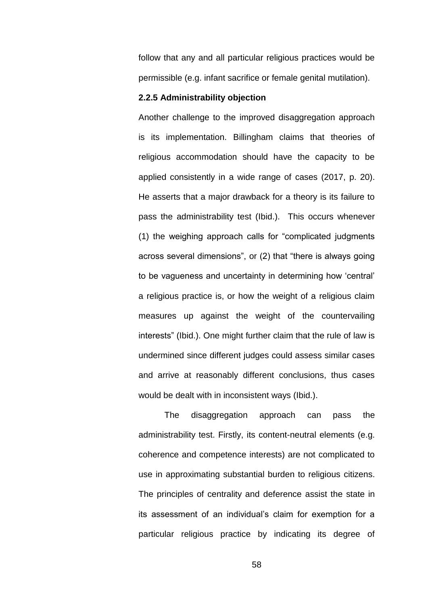follow that any and all particular religious practices would be permissible (e.g. infant sacrifice or female genital mutilation).

## **2.2.5 Administrability objection**

Another challenge to the improved disaggregation approach is its implementation. Billingham claims that theories of religious accommodation should have the capacity to be applied consistently in a wide range of cases (2017, p. 20). He asserts that a major drawback for a theory is its failure to pass the administrability test (Ibid.). This occurs whenever (1) the weighing approach calls for "complicated judgments across several dimensions", or  $(2)$  that "there is always going to be vagueness and uncertainty in determining how 'central' a religious practice is, or how the weight of a religious claim measures up against the weight of the countervailing interests" (Ibid.). One might further claim that the rule of law is undermined since different judges could assess similar cases and arrive at reasonably different conclusions, thus cases would be dealt with in inconsistent ways (Ibid.).

The disaggregation approach can pass the administrability test. Firstly, its content-neutral elements (e.g. coherence and competence interests) are not complicated to use in approximating substantial burden to religious citizens. The principles of centrality and deference assist the state in its assessment of an individual's claim for exemption for a particular religious practice by indicating its degree of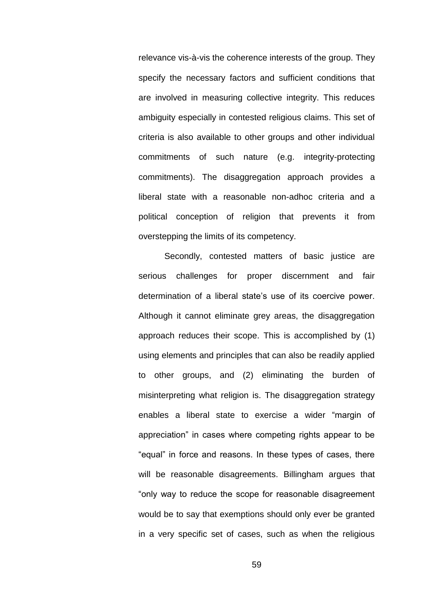relevance vis-à-vis the coherence interests of the group. They specify the necessary factors and sufficient conditions that are involved in measuring collective integrity. This reduces ambiguity especially in contested religious claims. This set of criteria is also available to other groups and other individual commitments of such nature (e.g. integrity-protecting commitments). The disaggregation approach provides a liberal state with a reasonable non-adhoc criteria and a political conception of religion that prevents it from overstepping the limits of its competency.

Secondly, contested matters of basic justice are serious challenges for proper discernment and fair determination of a liberal state's use of its coercive power. Although it cannot eliminate grey areas, the disaggregation approach reduces their scope. This is accomplished by (1) using elements and principles that can also be readily applied to other groups, and (2) eliminating the burden of misinterpreting what religion is. The disaggregation strategy enables a liberal state to exercise a wider "margin of appreciation" in cases where competing rights appear to be "equal" in force and reasons. In these types of cases, there will be reasonable disagreements. Billingham argues that "only way to reduce the scope for reasonable disagreement would be to say that exemptions should only ever be granted in a very specific set of cases, such as when the religious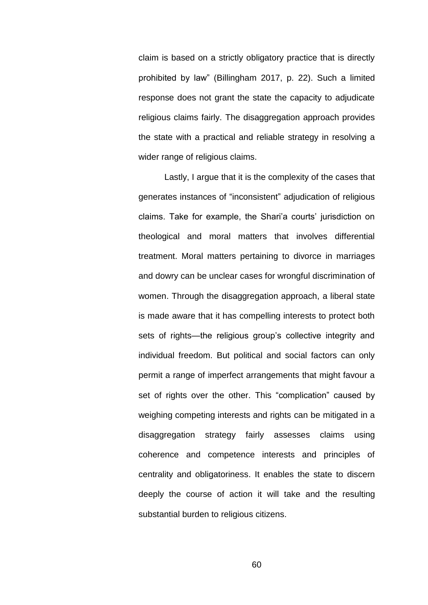claim is based on a strictly obligatory practice that is directly prohibited by law‖ (Billingham 2017, p. 22). Such a limited response does not grant the state the capacity to adjudicate religious claims fairly. The disaggregation approach provides the state with a practical and reliable strategy in resolving a wider range of religious claims.

Lastly, I argue that it is the complexity of the cases that generates instances of "inconsistent" adjudication of religious claims. Take for example, the Shari'a courts' jurisdiction on theological and moral matters that involves differential treatment. Moral matters pertaining to divorce in marriages and dowry can be unclear cases for wrongful discrimination of women. Through the disaggregation approach, a liberal state is made aware that it has compelling interests to protect both sets of rights—the religious group's collective integrity and individual freedom. But political and social factors can only permit a range of imperfect arrangements that might favour a set of rights over the other. This "complication" caused by weighing competing interests and rights can be mitigated in a disaggregation strategy fairly assesses claims using coherence and competence interests and principles of centrality and obligatoriness. It enables the state to discern deeply the course of action it will take and the resulting substantial burden to religious citizens.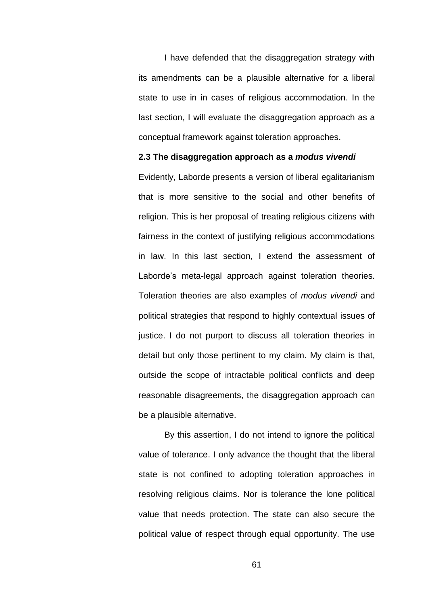I have defended that the disaggregation strategy with its amendments can be a plausible alternative for a liberal state to use in in cases of religious accommodation. In the last section, I will evaluate the disaggregation approach as a conceptual framework against toleration approaches.

**2.3 The disaggregation approach as a** *modus vivendi*

Evidently, Laborde presents a version of liberal egalitarianism that is more sensitive to the social and other benefits of religion. This is her proposal of treating religious citizens with fairness in the context of justifying religious accommodations in law. In this last section, I extend the assessment of Laborde's meta-legal approach against toleration theories. Toleration theories are also examples of *modus vivendi* and political strategies that respond to highly contextual issues of justice. I do not purport to discuss all toleration theories in detail but only those pertinent to my claim. My claim is that, outside the scope of intractable political conflicts and deep reasonable disagreements, the disaggregation approach can be a plausible alternative.

By this assertion, I do not intend to ignore the political value of tolerance. I only advance the thought that the liberal state is not confined to adopting toleration approaches in resolving religious claims. Nor is tolerance the lone political value that needs protection. The state can also secure the political value of respect through equal opportunity. The use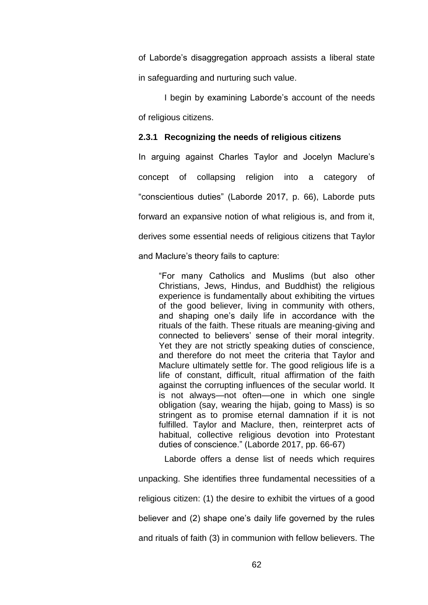of Laborde's disaggregation approach assists a liberal state in safeguarding and nurturing such value.

I begin by examining Laborde's account of the needs of religious citizens.

## **2.3.1 Recognizing the needs of religious citizens**

In arguing against Charles Taylor and Jocelyn Maclure's concept of collapsing religion into a category of ―conscientious duties‖ (Laborde 2017, p. 66), Laborde puts forward an expansive notion of what religious is, and from it, derives some essential needs of religious citizens that Taylor and Maclure's theory fails to capture:

―For many Catholics and Muslims (but also other Christians, Jews, Hindus, and Buddhist) the religious experience is fundamentally about exhibiting the virtues of the good believer, living in community with others, and shaping one's daily life in accordance with the rituals of the faith. These rituals are meaning-giving and connected to believers' sense of their moral integrity. Yet they are not strictly speaking duties of conscience, and therefore do not meet the criteria that Taylor and Maclure ultimately settle for. The good religious life is a life of constant, difficult, ritual affirmation of the faith against the corrupting influences of the secular world. It is not always—not often—one in which one single obligation (say, wearing the hijab, going to Mass) is so stringent as to promise eternal damnation if it is not fulfilled. Taylor and Maclure, then, reinterpret acts of habitual, collective religious devotion into Protestant duties of conscience.‖ (Laborde 2017, pp. 66-67)

Laborde offers a dense list of needs which requires

unpacking. She identifies three fundamental necessities of a religious citizen: (1) the desire to exhibit the virtues of a good believer and (2) shape one's daily life governed by the rules and rituals of faith (3) in communion with fellow believers. The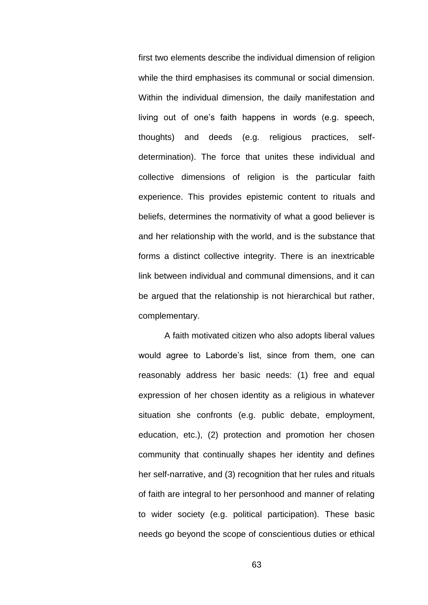first two elements describe the individual dimension of religion while the third emphasises its communal or social dimension. Within the individual dimension, the daily manifestation and living out of one's faith happens in words (e.g. speech, thoughts) and deeds (e.g. religious practices, selfdetermination). The force that unites these individual and collective dimensions of religion is the particular faith experience. This provides epistemic content to rituals and beliefs, determines the normativity of what a good believer is and her relationship with the world, and is the substance that forms a distinct collective integrity. There is an inextricable link between individual and communal dimensions, and it can be argued that the relationship is not hierarchical but rather, complementary.

A faith motivated citizen who also adopts liberal values would agree to Laborde's list, since from them, one can reasonably address her basic needs: (1) free and equal expression of her chosen identity as a religious in whatever situation she confronts (e.g. public debate, employment, education, etc.), (2) protection and promotion her chosen community that continually shapes her identity and defines her self-narrative, and (3) recognition that her rules and rituals of faith are integral to her personhood and manner of relating to wider society (e.g. political participation). These basic needs go beyond the scope of conscientious duties or ethical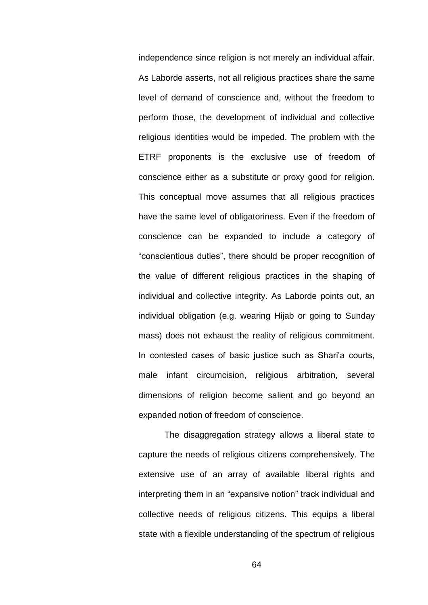independence since religion is not merely an individual affair. As Laborde asserts, not all religious practices share the same level of demand of conscience and, without the freedom to perform those, the development of individual and collective religious identities would be impeded. The problem with the ETRF proponents is the exclusive use of freedom of conscience either as a substitute or proxy good for religion. This conceptual move assumes that all religious practices have the same level of obligatoriness. Even if the freedom of conscience can be expanded to include a category of ―conscientious duties‖, there should be proper recognition of the value of different religious practices in the shaping of individual and collective integrity. As Laborde points out, an individual obligation (e.g. wearing Hijab or going to Sunday mass) does not exhaust the reality of religious commitment. In contested cases of basic justice such as Shari'a courts, male infant circumcision, religious arbitration, several dimensions of religion become salient and go beyond an expanded notion of freedom of conscience.

The disaggregation strategy allows a liberal state to capture the needs of religious citizens comprehensively. The extensive use of an array of available liberal rights and interpreting them in an "expansive notion" track individual and collective needs of religious citizens. This equips a liberal state with a flexible understanding of the spectrum of religious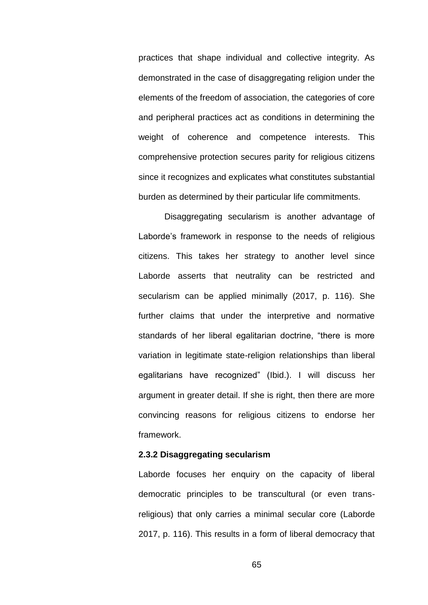practices that shape individual and collective integrity. As demonstrated in the case of disaggregating religion under the elements of the freedom of association, the categories of core and peripheral practices act as conditions in determining the weight of coherence and competence interests. This comprehensive protection secures parity for religious citizens since it recognizes and explicates what constitutes substantial burden as determined by their particular life commitments.

Disaggregating secularism is another advantage of Laborde's framework in response to the needs of religious citizens. This takes her strategy to another level since Laborde asserts that neutrality can be restricted and secularism can be applied minimally (2017, p. 116). She further claims that under the interpretive and normative standards of her liberal egalitarian doctrine, "there is more variation in legitimate state-religion relationships than liberal egalitarians have recognized" (Ibid.). I will discuss her argument in greater detail. If she is right, then there are more convincing reasons for religious citizens to endorse her framework.

#### **2.3.2 Disaggregating secularism**

Laborde focuses her enquiry on the capacity of liberal democratic principles to be transcultural (or even transreligious) that only carries a minimal secular core (Laborde 2017, p. 116). This results in a form of liberal democracy that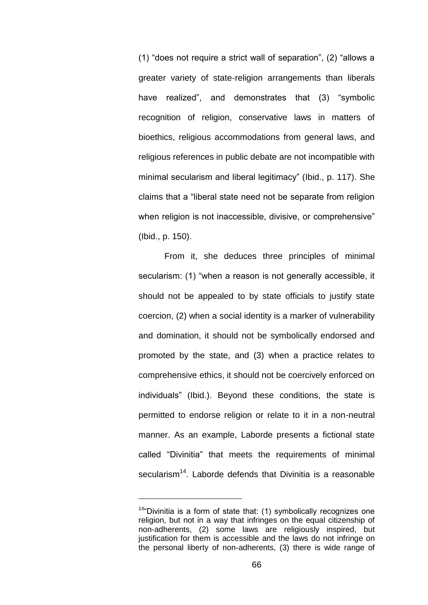$(1)$  "does not require a strict wall of separation",  $(2)$  "allows a greater variety of state-religion arrangements than liberals have realized", and demonstrates that (3) "symbolic recognition of religion, conservative laws in matters of bioethics, religious accommodations from general laws, and religious references in public debate are not incompatible with minimal secularism and liberal legitimacy" (Ibid., p. 117). She claims that a "liberal state need not be separate from religion when religion is not inaccessible, divisive, or comprehensive" (Ibid., p. 150).

From it, she deduces three principles of minimal secularism: (1) "when a reason is not generally accessible, it should not be appealed to by state officials to justify state coercion, (2) when a social identity is a marker of vulnerability and domination, it should not be symbolically endorsed and promoted by the state, and (3) when a practice relates to comprehensive ethics, it should not be coercively enforced on individuals" (Ibid.). Beyond these conditions, the state is permitted to endorse religion or relate to it in a non-neutral manner. As an example, Laborde presents a fictional state called "Divinitia" that meets the requirements of minimal secularism<sup>14</sup>. Laborde defends that Divinitia is a reasonable

 $14$ "Divinitia is a form of state that: (1) symbolically recognizes one religion, but not in a way that infringes on the equal citizenship of non-adherents, (2) some laws are religiously inspired, but justification for them is accessible and the laws do not infringe on the personal liberty of non-adherents, (3) there is wide range of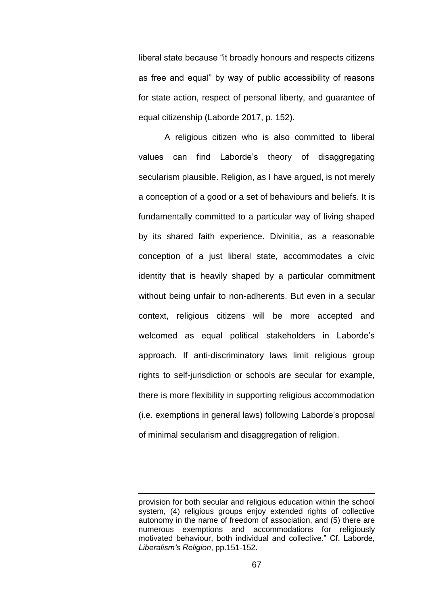liberal state because "it broadly honours and respects citizens as free and equal" by way of public accessibility of reasons for state action, respect of personal liberty, and guarantee of equal citizenship (Laborde 2017, p. 152).

A religious citizen who is also committed to liberal values can find Laborde's theory of disaggregating secularism plausible. Religion, as I have argued, is not merely a conception of a good or a set of behaviours and beliefs. It is fundamentally committed to a particular way of living shaped by its shared faith experience. Divinitia, as a reasonable conception of a just liberal state, accommodates a civic identity that is heavily shaped by a particular commitment without being unfair to non-adherents. But even in a secular context, religious citizens will be more accepted and welcomed as equal political stakeholders in Laborde's approach. If anti-discriminatory laws limit religious group rights to self-jurisdiction or schools are secular for example, there is more flexibility in supporting religious accommodation (i.e. exemptions in general laws) following Laborde's proposal of minimal secularism and disaggregation of religion.

provision for both secular and religious education within the school system, (4) religious groups enjoy extended rights of collective autonomy in the name of freedom of association, and (5) there are numerous exemptions and accommodations for religiously motivated behaviour, both individual and collective." Cf. Laborde, *Liberalism's Religion*, pp.151-152.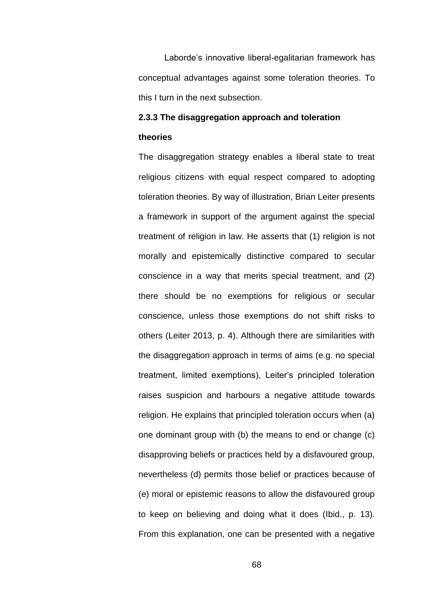Laborde's innovative liberal-egalitarian framework has conceptual advantages against some toleration theories. To this I turn in the next subsection.

# **2.3.3 The disaggregation approach and toleration theories**

The disaggregation strategy enables a liberal state to treat religious citizens with equal respect compared to adopting toleration theories. By way of illustration, Brian Leiter presents a framework in support of the argument against the special treatment of religion in law. He asserts that (1) religion is not morally and epistemically distinctive compared to secular conscience in a way that merits special treatment, and (2) there should be no exemptions for religious or secular conscience, unless those exemptions do not shift risks to others (Leiter 2013, p. 4). Although there are similarities with the disaggregation approach in terms of aims (e.g. no special treatment, limited exemptions), Leiter's principled toleration raises suspicion and harbours a negative attitude towards religion. He explains that principled toleration occurs when (a) one dominant group with (b) the means to end or change (c) disapproving beliefs or practices held by a disfavoured group, nevertheless (d) permits those belief or practices because of (e) moral or epistemic reasons to allow the disfavoured group to keep on believing and doing what it does (Ibid., p. 13). From this explanation, one can be presented with a negative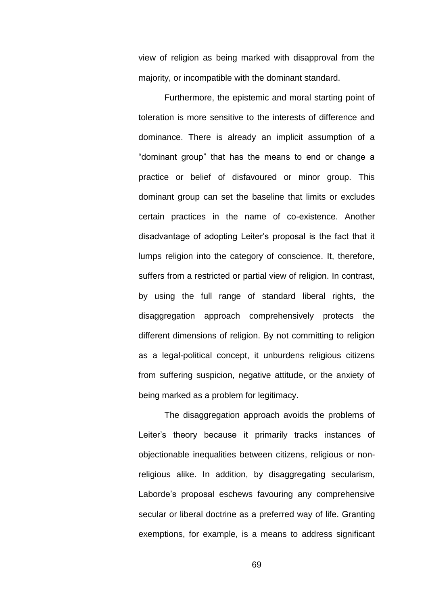view of religion as being marked with disapproval from the majority, or incompatible with the dominant standard.

Furthermore, the epistemic and moral starting point of toleration is more sensitive to the interests of difference and dominance. There is already an implicit assumption of a "dominant group" that has the means to end or change a practice or belief of disfavoured or minor group. This dominant group can set the baseline that limits or excludes certain practices in the name of co-existence. Another disadvantage of adopting Leiter's proposal is the fact that it lumps religion into the category of conscience. It, therefore, suffers from a restricted or partial view of religion. In contrast, by using the full range of standard liberal rights, the disaggregation approach comprehensively protects the different dimensions of religion. By not committing to religion as a legal-political concept, it unburdens religious citizens from suffering suspicion, negative attitude, or the anxiety of being marked as a problem for legitimacy.

The disaggregation approach avoids the problems of Leiter's theory because it primarily tracks instances of objectionable inequalities between citizens, religious or nonreligious alike. In addition, by disaggregating secularism, Laborde's proposal eschews favouring any comprehensive secular or liberal doctrine as a preferred way of life. Granting exemptions, for example, is a means to address significant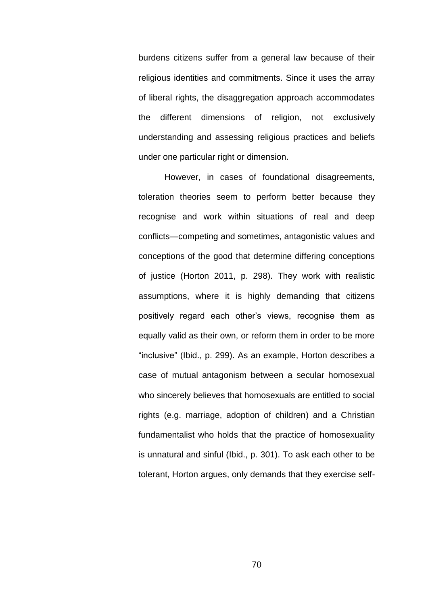burdens citizens suffer from a general law because of their religious identities and commitments. Since it uses the array of liberal rights, the disaggregation approach accommodates the different dimensions of religion, not exclusively understanding and assessing religious practices and beliefs under one particular right or dimension.

However, in cases of foundational disagreements, toleration theories seem to perform better because they recognise and work within situations of real and deep conflicts—competing and sometimes, antagonistic values and conceptions of the good that determine differing conceptions of justice (Horton 2011, p. 298). They work with realistic assumptions, where it is highly demanding that citizens positively regard each other's views, recognise them as equally valid as their own, or reform them in order to be more ―inclusive‖ (Ibid., p. 299). As an example, Horton describes a case of mutual antagonism between a secular homosexual who sincerely believes that homosexuals are entitled to social rights (e.g. marriage, adoption of children) and a Christian fundamentalist who holds that the practice of homosexuality is unnatural and sinful (Ibid., p. 301). To ask each other to be tolerant, Horton argues, only demands that they exercise self-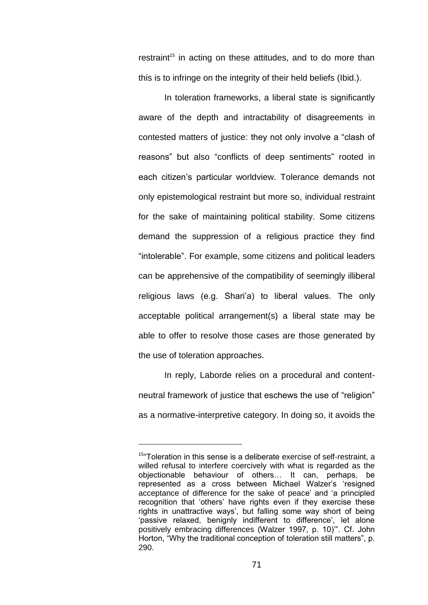restraint<sup>15</sup> in acting on these attitudes, and to do more than this is to infringe on the integrity of their held beliefs (Ibid.).

In toleration frameworks, a liberal state is significantly aware of the depth and intractability of disagreements in contested matters of justice: they not only involve a "clash of reasons" but also "conflicts of deep sentiments" rooted in each citizen's particular worldview. Tolerance demands not only epistemological restraint but more so, individual restraint for the sake of maintaining political stability. Some citizens demand the suppression of a religious practice they find ―intolerable‖. For example, some citizens and political leaders can be apprehensive of the compatibility of seemingly illiberal religious laws (e.g. Shari'a) to liberal values. The only acceptable political arrangement(s) a liberal state may be able to offer to resolve those cases are those generated by the use of toleration approaches.

In reply, Laborde relies on a procedural and contentneutral framework of justice that eschews the use of "religion" as a normative-interpretive category. In doing so, it avoids the

 $15$  Toleration in this sense is a deliberate exercise of self-restraint, a willed refusal to interfere coercively with what is regarded as the objectionable behaviour of others… It can, perhaps, be represented as a cross between Michael Walzer's ‗resigned acceptance of difference for the sake of peace' and 'a principled recognition that 'others' have rights even if they exercise these rights in unattractive ways', but falling some way short of being ‗passive relaxed, benignly indifferent to difference', let alone positively embracing differences (Walzer 1997, p. 10)". Cf. John Horton, "Why the traditional conception of toleration still matters", p. 290.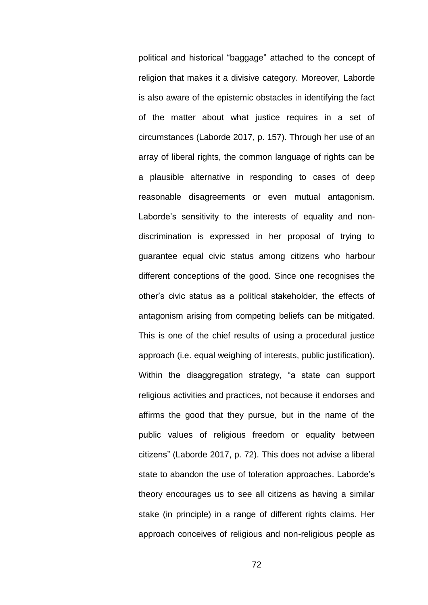political and historical "baggage" attached to the concept of religion that makes it a divisive category. Moreover, Laborde is also aware of the epistemic obstacles in identifying the fact of the matter about what justice requires in a set of circumstances (Laborde 2017, p. 157). Through her use of an array of liberal rights, the common language of rights can be a plausible alternative in responding to cases of deep reasonable disagreements or even mutual antagonism. Laborde's sensitivity to the interests of equality and nondiscrimination is expressed in her proposal of trying to guarantee equal civic status among citizens who harbour different conceptions of the good. Since one recognises the other's civic status as a political stakeholder, the effects of antagonism arising from competing beliefs can be mitigated. This is one of the chief results of using a procedural justice approach (i.e. equal weighing of interests, public justification). Within the disaggregation strategy, "a state can support religious activities and practices, not because it endorses and affirms the good that they pursue, but in the name of the public values of religious freedom or equality between citizens‖ (Laborde 2017, p. 72). This does not advise a liberal state to abandon the use of toleration approaches. Laborde's theory encourages us to see all citizens as having a similar stake (in principle) in a range of different rights claims. Her approach conceives of religious and non-religious people as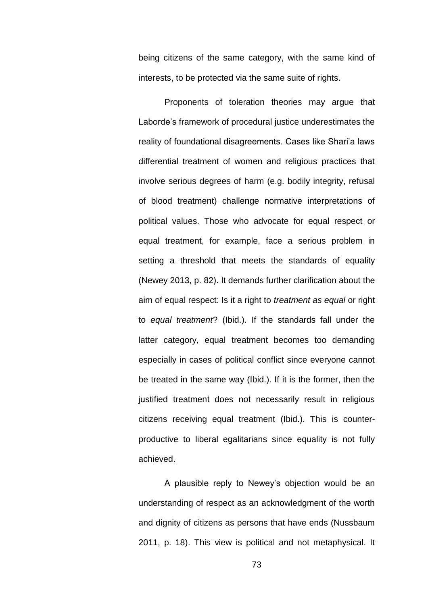being citizens of the same category, with the same kind of interests, to be protected via the same suite of rights.

Proponents of toleration theories may argue that Laborde's framework of procedural justice underestimates the reality of foundational disagreements. Cases like Shari'a laws differential treatment of women and religious practices that involve serious degrees of harm (e.g. bodily integrity, refusal of blood treatment) challenge normative interpretations of political values. Those who advocate for equal respect or equal treatment, for example, face a serious problem in setting a threshold that meets the standards of equality (Newey 2013, p. 82). It demands further clarification about the aim of equal respect: Is it a right to *treatment as equal* or right to *equal treatment*? (Ibid.). If the standards fall under the latter category, equal treatment becomes too demanding especially in cases of political conflict since everyone cannot be treated in the same way (Ibid.). If it is the former, then the justified treatment does not necessarily result in religious citizens receiving equal treatment (Ibid.). This is counterproductive to liberal egalitarians since equality is not fully achieved.

A plausible reply to Newey's objection would be an understanding of respect as an acknowledgment of the worth and dignity of citizens as persons that have ends (Nussbaum 2011, p. 18). This view is political and not metaphysical. It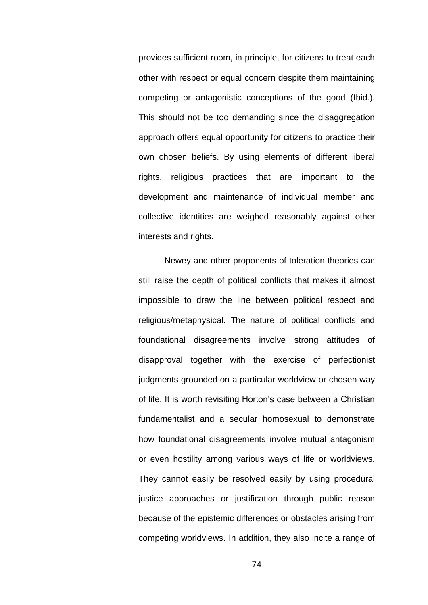provides sufficient room, in principle, for citizens to treat each other with respect or equal concern despite them maintaining competing or antagonistic conceptions of the good (Ibid.). This should not be too demanding since the disaggregation approach offers equal opportunity for citizens to practice their own chosen beliefs. By using elements of different liberal rights, religious practices that are important to the development and maintenance of individual member and collective identities are weighed reasonably against other interests and rights.

Newey and other proponents of toleration theories can still raise the depth of political conflicts that makes it almost impossible to draw the line between political respect and religious/metaphysical. The nature of political conflicts and foundational disagreements involve strong attitudes of disapproval together with the exercise of perfectionist judgments grounded on a particular worldview or chosen way of life. It is worth revisiting Horton's case between a Christian fundamentalist and a secular homosexual to demonstrate how foundational disagreements involve mutual antagonism or even hostility among various ways of life or worldviews. They cannot easily be resolved easily by using procedural justice approaches or justification through public reason because of the epistemic differences or obstacles arising from competing worldviews. In addition, they also incite a range of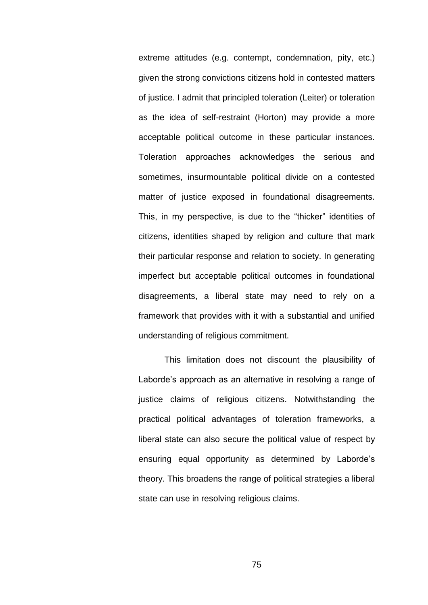extreme attitudes (e.g. contempt, condemnation, pity, etc.) given the strong convictions citizens hold in contested matters of justice. I admit that principled toleration (Leiter) or toleration as the idea of self-restraint (Horton) may provide a more acceptable political outcome in these particular instances. Toleration approaches acknowledges the serious and sometimes, insurmountable political divide on a contested matter of justice exposed in foundational disagreements. This, in my perspective, is due to the "thicker" identities of citizens, identities shaped by religion and culture that mark their particular response and relation to society. In generating imperfect but acceptable political outcomes in foundational disagreements, a liberal state may need to rely on a framework that provides with it with a substantial and unified understanding of religious commitment.

This limitation does not discount the plausibility of Laborde's approach as an alternative in resolving a range of justice claims of religious citizens. Notwithstanding the practical political advantages of toleration frameworks, a liberal state can also secure the political value of respect by ensuring equal opportunity as determined by Laborde's theory. This broadens the range of political strategies a liberal state can use in resolving religious claims.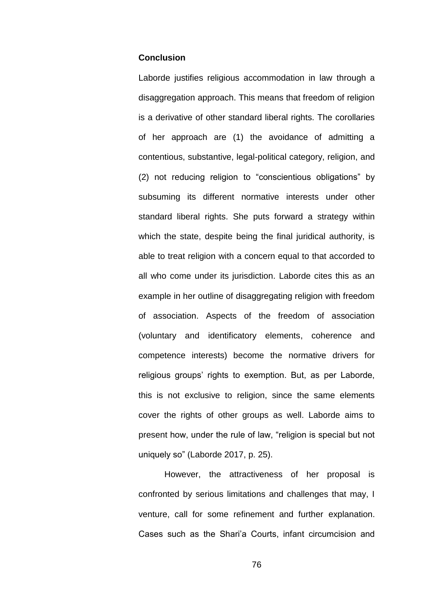## **Conclusion**

Laborde justifies religious accommodation in law through a disaggregation approach. This means that freedom of religion is a derivative of other standard liberal rights. The corollaries of her approach are (1) the avoidance of admitting a contentious, substantive, legal-political category, religion, and (2) not reducing religion to "conscientious obligations" by subsuming its different normative interests under other standard liberal rights. She puts forward a strategy within which the state, despite being the final juridical authority, is able to treat religion with a concern equal to that accorded to all who come under its jurisdiction. Laborde cites this as an example in her outline of disaggregating religion with freedom of association. Aspects of the freedom of association (voluntary and identificatory elements, coherence and competence interests) become the normative drivers for religious groups' rights to exemption. But, as per Laborde, this is not exclusive to religion, since the same elements cover the rights of other groups as well. Laborde aims to present how, under the rule of law, "religion is special but not uniquely so" (Laborde 2017, p. 25).

However, the attractiveness of her proposal is confronted by serious limitations and challenges that may, I venture, call for some refinement and further explanation. Cases such as the Shari'a Courts, infant circumcision and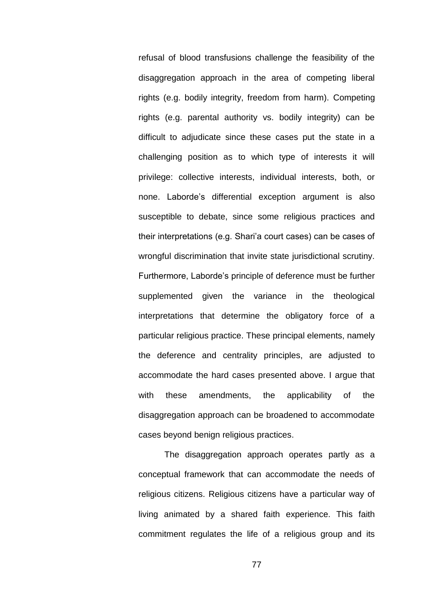refusal of blood transfusions challenge the feasibility of the disaggregation approach in the area of competing liberal rights (e.g. bodily integrity, freedom from harm). Competing rights (e.g. parental authority vs. bodily integrity) can be difficult to adjudicate since these cases put the state in a challenging position as to which type of interests it will privilege: collective interests, individual interests, both, or none. Laborde's differential exception argument is also susceptible to debate, since some religious practices and their interpretations (e.g. Shari'a court cases) can be cases of wrongful discrimination that invite state jurisdictional scrutiny. Furthermore, Laborde's principle of deference must be further supplemented given the variance in the theological interpretations that determine the obligatory force of a particular religious practice. These principal elements, namely the deference and centrality principles, are adjusted to accommodate the hard cases presented above. I argue that with these amendments, the applicability of the disaggregation approach can be broadened to accommodate cases beyond benign religious practices.

The disaggregation approach operates partly as a conceptual framework that can accommodate the needs of religious citizens. Religious citizens have a particular way of living animated by a shared faith experience. This faith commitment regulates the life of a religious group and its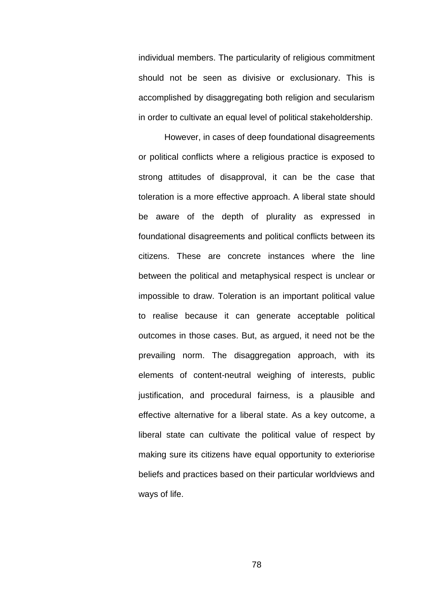individual members. The particularity of religious commitment should not be seen as divisive or exclusionary. This is accomplished by disaggregating both religion and secularism in order to cultivate an equal level of political stakeholdership.

However, in cases of deep foundational disagreements or political conflicts where a religious practice is exposed to strong attitudes of disapproval, it can be the case that toleration is a more effective approach. A liberal state should be aware of the depth of plurality as expressed in foundational disagreements and political conflicts between its citizens. These are concrete instances where the line between the political and metaphysical respect is unclear or impossible to draw. Toleration is an important political value to realise because it can generate acceptable political outcomes in those cases. But, as argued, it need not be the prevailing norm. The disaggregation approach, with its elements of content-neutral weighing of interests, public justification, and procedural fairness, is a plausible and effective alternative for a liberal state. As a key outcome, a liberal state can cultivate the political value of respect by making sure its citizens have equal opportunity to exteriorise beliefs and practices based on their particular worldviews and ways of life.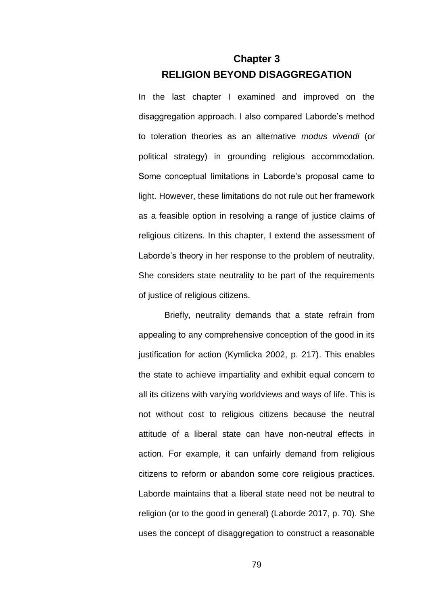# **Chapter 3 RELIGION BEYOND DISAGGREGATION**

In the last chapter I examined and improved on the disaggregation approach. I also compared Laborde's method to toleration theories as an alternative *modus vivendi* (or political strategy) in grounding religious accommodation. Some conceptual limitations in Laborde's proposal came to light. However, these limitations do not rule out her framework as a feasible option in resolving a range of justice claims of religious citizens. In this chapter, I extend the assessment of Laborde's theory in her response to the problem of neutrality. She considers state neutrality to be part of the requirements of justice of religious citizens.

Briefly, neutrality demands that a state refrain from appealing to any comprehensive conception of the good in its justification for action (Kymlicka 2002, p. 217). This enables the state to achieve impartiality and exhibit equal concern to all its citizens with varying worldviews and ways of life. This is not without cost to religious citizens because the neutral attitude of a liberal state can have non-neutral effects in action. For example, it can unfairly demand from religious citizens to reform or abandon some core religious practices. Laborde maintains that a liberal state need not be neutral to religion (or to the good in general) (Laborde 2017, p. 70). She uses the concept of disaggregation to construct a reasonable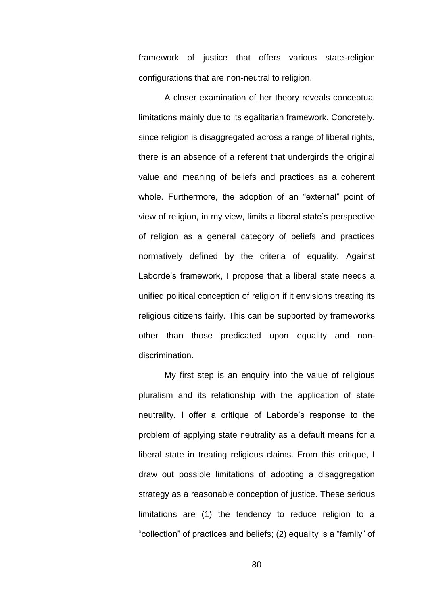framework of justice that offers various state-religion configurations that are non-neutral to religion.

A closer examination of her theory reveals conceptual limitations mainly due to its egalitarian framework. Concretely, since religion is disaggregated across a range of liberal rights, there is an absence of a referent that undergirds the original value and meaning of beliefs and practices as a coherent whole. Furthermore, the adoption of an "external" point of view of religion, in my view, limits a liberal state's perspective of religion as a general category of beliefs and practices normatively defined by the criteria of equality. Against Laborde's framework, I propose that a liberal state needs a unified political conception of religion if it envisions treating its religious citizens fairly. This can be supported by frameworks other than those predicated upon equality and nondiscrimination.

My first step is an enquiry into the value of religious pluralism and its relationship with the application of state neutrality. I offer a critique of Laborde's response to the problem of applying state neutrality as a default means for a liberal state in treating religious claims. From this critique, I draw out possible limitations of adopting a disaggregation strategy as a reasonable conception of justice. These serious limitations are (1) the tendency to reduce religion to a "collection" of practices and beliefs; (2) equality is a "family" of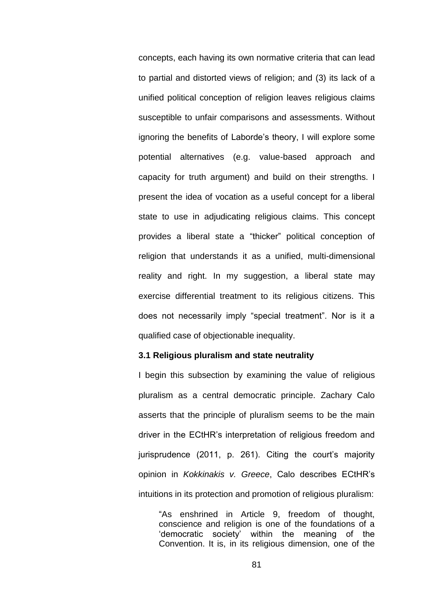concepts, each having its own normative criteria that can lead to partial and distorted views of religion; and (3) its lack of a unified political conception of religion leaves religious claims susceptible to unfair comparisons and assessments. Without ignoring the benefits of Laborde's theory, I will explore some potential alternatives (e.g. value-based approach and capacity for truth argument) and build on their strengths. I present the idea of vocation as a useful concept for a liberal state to use in adjudicating religious claims. This concept provides a liberal state a "thicker" political conception of religion that understands it as a unified, multi-dimensional reality and right. In my suggestion, a liberal state may exercise differential treatment to its religious citizens. This does not necessarily imply "special treatment". Nor is it a qualified case of objectionable inequality.

## **3.1 Religious pluralism and state neutrality**

I begin this subsection by examining the value of religious pluralism as a central democratic principle. Zachary Calo asserts that the principle of pluralism seems to be the main driver in the ECtHR's interpretation of religious freedom and jurisprudence (2011, p. 261). Citing the court's majority opinion in *Kokkinakis v. Greece*, Calo describes ECtHR's intuitions in its protection and promotion of religious pluralism:

"As enshrined in Article 9, freedom of thought, conscience and religion is one of the foundations of a 'democratic society' within the meaning of the Convention. It is, in its religious dimension, one of the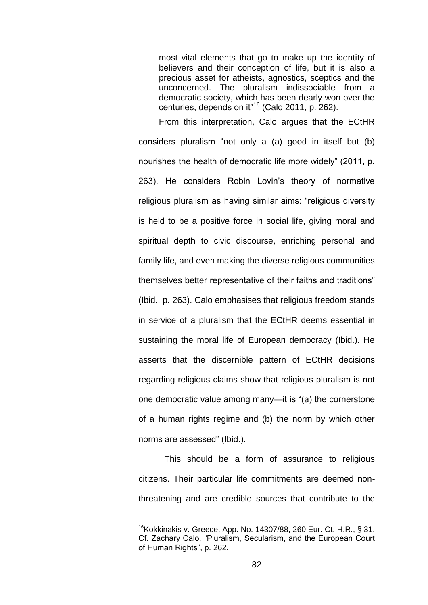most vital elements that go to make up the identity of believers and their conception of life, but it is also a precious asset for atheists, agnostics, sceptics and the unconcerned. The pluralism indissociable from a democratic society, which has been dearly won over the centuries, depends on it<sup> $n$ 16</sup> (Calo 2011, p. 262).

From this interpretation, Calo argues that the ECtHR considers pluralism "not only a (a) good in itself but (b) nourishes the health of democratic life more widely" (2011, p. 263). He considers Robin Lovin's theory of normative religious pluralism as having similar aims: "religious diversity is held to be a positive force in social life, giving moral and spiritual depth to civic discourse, enriching personal and family life, and even making the diverse religious communities themselves better representative of their faiths and traditions" (Ibid., p. 263). Calo emphasises that religious freedom stands in service of a pluralism that the ECtHR deems essential in sustaining the moral life of European democracy (Ibid.). He asserts that the discernible pattern of ECtHR decisions regarding religious claims show that religious pluralism is not one democratic value among many—it is  $\degree$ (a) the cornerstone of a human rights regime and (b) the norm by which other norms are assessed" (Ibid.).

This should be a form of assurance to religious citizens. Their particular life commitments are deemed nonthreatening and are credible sources that contribute to the

<sup>&</sup>lt;sup>16</sup>Kokkinakis v. Greece, App. No. 14307/88, 260 Eur. Ct. H.R., § 31. Cf. Zachary Calo, "Pluralism, Secularism, and the European Court of Human Rights", p. 262.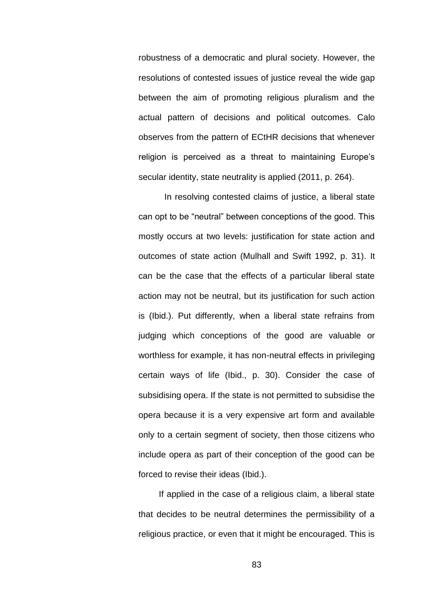robustness of a democratic and plural society. However, the resolutions of contested issues of justice reveal the wide gap between the aim of promoting religious pluralism and the actual pattern of decisions and political outcomes. Calo observes from the pattern of ECtHR decisions that whenever religion is perceived as a threat to maintaining Europe's secular identity, state neutrality is applied (2011, p. 264).

In resolving contested claims of justice, a liberal state can opt to be "neutral" between conceptions of the good. This mostly occurs at two levels: justification for state action and outcomes of state action (Mulhall and Swift 1992, p. 31). It can be the case that the effects of a particular liberal state action may not be neutral, but its justification for such action is (Ibid.). Put differently, when a liberal state refrains from judging which conceptions of the good are valuable or worthless for example, it has non-neutral effects in privileging certain ways of life (Ibid., p. 30). Consider the case of subsidising opera. If the state is not permitted to subsidise the opera because it is a very expensive art form and available only to a certain segment of society, then those citizens who include opera as part of their conception of the good can be forced to revise their ideas (Ibid.).

If applied in the case of a religious claim, a liberal state that decides to be neutral determines the permissibility of a religious practice, or even that it might be encouraged. This is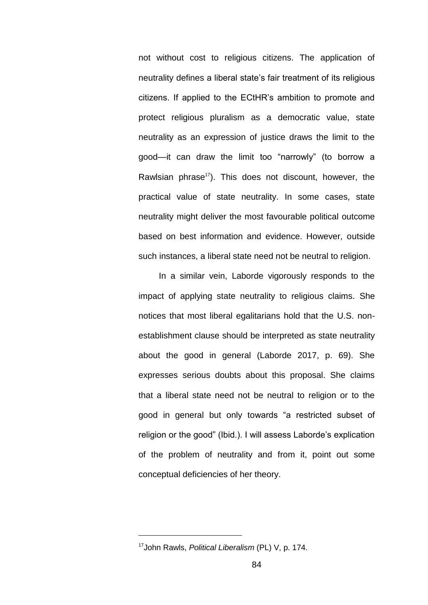not without cost to religious citizens. The application of neutrality defines a liberal state's fair treatment of its religious citizens. If applied to the ECtHR's ambition to promote and protect religious pluralism as a democratic value, state neutrality as an expression of justice draws the limit to the good—it can draw the limit too "narrowly" (to borrow a Rawlsian phrase<sup>17</sup>). This does not discount, however, the practical value of state neutrality. In some cases, state neutrality might deliver the most favourable political outcome based on best information and evidence. However, outside such instances, a liberal state need not be neutral to religion.

In a similar vein, Laborde vigorously responds to the impact of applying state neutrality to religious claims. She notices that most liberal egalitarians hold that the U.S. nonestablishment clause should be interpreted as state neutrality about the good in general (Laborde 2017, p. 69). She expresses serious doubts about this proposal. She claims that a liberal state need not be neutral to religion or to the good in general but only towards "a restricted subset of religion or the good" (Ibid.). I will assess Laborde's explication of the problem of neutrality and from it, point out some conceptual deficiencies of her theory.

<sup>17</sup>John Rawls, *Political Liberalism* (PL) V, p. 174.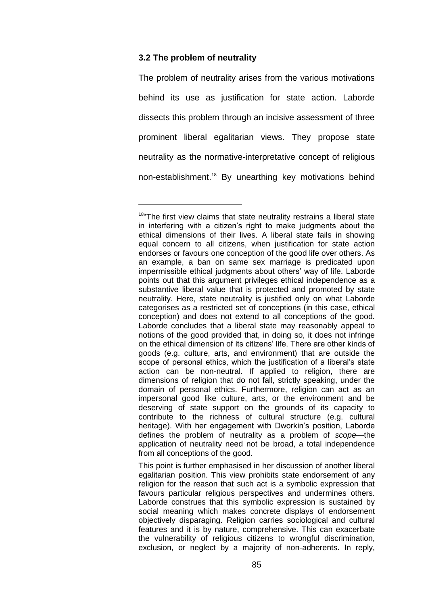## **3.2 The problem of neutrality**

1

The problem of neutrality arises from the various motivations behind its use as justification for state action. Laborde dissects this problem through an incisive assessment of three prominent liberal egalitarian views. They propose state neutrality as the normative-interpretative concept of religious non-establishment.<sup>18</sup> By unearthing key motivations behind

This point is further emphasised in her discussion of another liberal egalitarian position. This view prohibits state endorsement of any religion for the reason that such act is a symbolic expression that favours particular religious perspectives and undermines others. Laborde construes that this symbolic expression is sustained by social meaning which makes concrete displays of endorsement objectively disparaging. Religion carries sociological and cultural features and it is by nature, comprehensive. This can exacerbate the vulnerability of religious citizens to wrongful discrimination, exclusion, or neglect by a majority of non-adherents. In reply,

<sup>&</sup>lt;sup>18</sup> The first view claims that state neutrality restrains a liberal state in interfering with a citizen's right to make judgments about the ethical dimensions of their lives. A liberal state fails in showing equal concern to all citizens, when justification for state action endorses or favours one conception of the good life over others. As an example, a ban on same sex marriage is predicated upon impermissible ethical judgments about others' way of life. Laborde points out that this argument privileges ethical independence as a substantive liberal value that is protected and promoted by state neutrality. Here, state neutrality is justified only on what Laborde categorises as a restricted set of conceptions (in this case, ethical conception) and does not extend to all conceptions of the good. Laborde concludes that a liberal state may reasonably appeal to notions of the good provided that, in doing so, it does not infringe on the ethical dimension of its citizens' life. There are other kinds of goods (e.g. culture, arts, and environment) that are outside the scope of personal ethics, which the justification of a liberal's state action can be non-neutral. If applied to religion, there are dimensions of religion that do not fall, strictly speaking, under the domain of personal ethics. Furthermore, religion can act as an impersonal good like culture, arts, or the environment and be deserving of state support on the grounds of its capacity to contribute to the richness of cultural structure (e.g. cultural heritage). With her engagement with Dworkin's position, Laborde defines the problem of neutrality as a problem of *scope*—the application of neutrality need not be broad, a total independence from all conceptions of the good.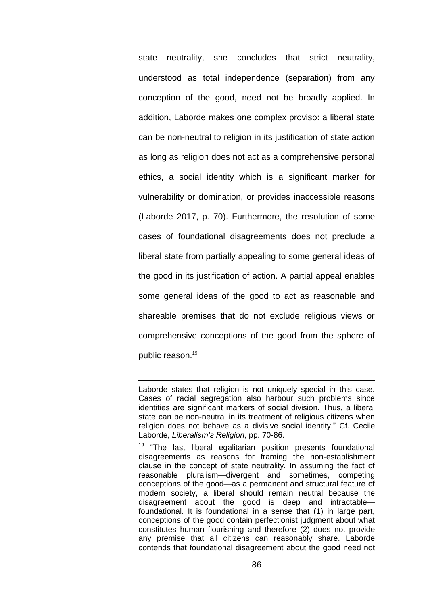state neutrality, she concludes that strict neutrality, understood as total independence (separation) from any conception of the good, need not be broadly applied. In addition, Laborde makes one complex proviso: a liberal state can be non-neutral to religion in its justification of state action as long as religion does not act as a comprehensive personal ethics, a social identity which is a significant marker for vulnerability or domination, or provides inaccessible reasons (Laborde 2017, p. 70). Furthermore, the resolution of some cases of foundational disagreements does not preclude a liberal state from partially appealing to some general ideas of the good in its justification of action. A partial appeal enables some general ideas of the good to act as reasonable and shareable premises that do not exclude religious views or comprehensive conceptions of the good from the sphere of public reason.<sup>19</sup>

<u>.</u>

Laborde states that religion is not uniquely special in this case. Cases of racial segregation also harbour such problems since identities are significant markers of social division. Thus, a liberal state can be non-neutral in its treatment of religious citizens when religion does not behave as a divisive social identity." Cf. Cecile Laborde, *Liberalism's Religion*, pp. 70-86.

<sup>&</sup>lt;sup>19</sup> "The last liberal egalitarian position presents foundational disagreements as reasons for framing the non-establishment clause in the concept of state neutrality. In assuming the fact of reasonable pluralism—divergent and sometimes, competing conceptions of the good—as a permanent and structural feature of modern society, a liberal should remain neutral because the disagreement about the good is deep and intractable foundational. It is foundational in a sense that (1) in large part, conceptions of the good contain perfectionist judgment about what constitutes human flourishing and therefore (2) does not provide any premise that all citizens can reasonably share. Laborde contends that foundational disagreement about the good need not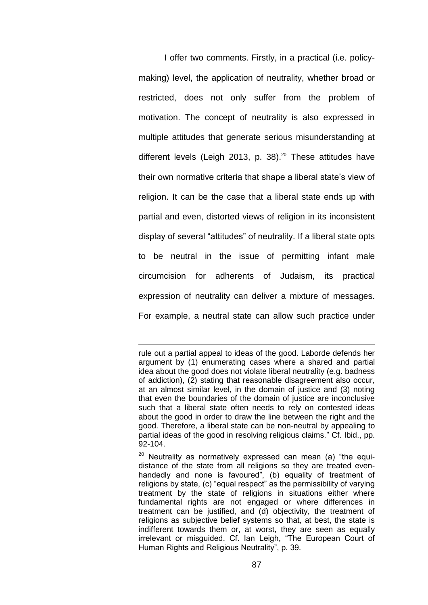I offer two comments. Firstly, in a practical (i.e. policymaking) level, the application of neutrality, whether broad or restricted, does not only suffer from the problem of motivation. The concept of neutrality is also expressed in multiple attitudes that generate serious misunderstanding at different levels (Leigh 2013, p. 38).<sup>20</sup> These attitudes have their own normative criteria that shape a liberal state's view of religion. It can be the case that a liberal state ends up with partial and even, distorted views of religion in its inconsistent display of several "attitudes" of neutrality. If a liberal state opts to be neutral in the issue of permitting infant male circumcision for adherents of Judaism, its practical expression of neutrality can deliver a mixture of messages. For example, a neutral state can allow such practice under

<u>.</u>

rule out a partial appeal to ideas of the good. Laborde defends her argument by (1) enumerating cases where a shared and partial idea about the good does not violate liberal neutrality (e.g. badness of addiction), (2) stating that reasonable disagreement also occur, at an almost similar level, in the domain of justice and (3) noting that even the boundaries of the domain of justice are inconclusive such that a liberal state often needs to rely on contested ideas about the good in order to draw the line between the right and the good. Therefore, a liberal state can be non-neutral by appealing to partial ideas of the good in resolving religious claims." Cf. Ibid., pp. 92-104.

 $20$  Neutrality as normatively expressed can mean (a) "the equidistance of the state from all religions so they are treated evenhandedly and none is favoured", (b) equality of treatment of religions by state, (c) "equal respect" as the permissibility of varying treatment by the state of religions in situations either where fundamental rights are not engaged or where differences in treatment can be justified, and (d) objectivity, the treatment of religions as subjective belief systems so that, at best, the state is indifferent towards them or, at worst, they are seen as equally irrelevant or misguided. Cf. Ian Leigh, "The European Court of Human Rights and Religious Neutrality", p. 39.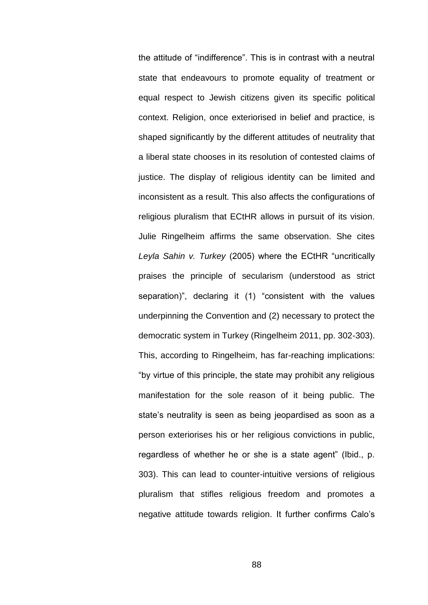the attitude of "indifference". This is in contrast with a neutral state that endeavours to promote equality of treatment or equal respect to Jewish citizens given its specific political context. Religion, once exteriorised in belief and practice, is shaped significantly by the different attitudes of neutrality that a liberal state chooses in its resolution of contested claims of justice. The display of religious identity can be limited and inconsistent as a result. This also affects the configurations of religious pluralism that ECtHR allows in pursuit of its vision. Julie Ringelheim affirms the same observation. She cites Leyla Sahin v. Turkey (2005) where the ECtHR "uncritically praises the principle of secularism (understood as strict separation)", declaring it (1) "consistent with the values underpinning the Convention and (2) necessary to protect the democratic system in Turkey (Ringelheim 2011, pp. 302-303). This, according to Ringelheim, has far-reaching implications: "by virtue of this principle, the state may prohibit any religious manifestation for the sole reason of it being public. The state's neutrality is seen as being jeopardised as soon as a person exteriorises his or her religious convictions in public, regardless of whether he or she is a state agent" (Ibid., p. 303). This can lead to counter-intuitive versions of religious pluralism that stifles religious freedom and promotes a negative attitude towards religion. It further confirms Calo's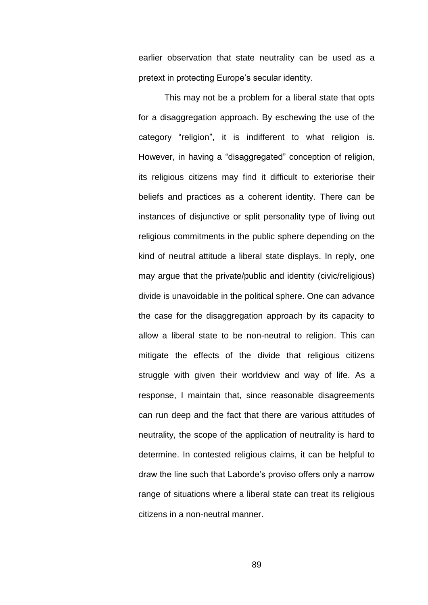earlier observation that state neutrality can be used as a pretext in protecting Europe's secular identity.

This may not be a problem for a liberal state that opts for a disaggregation approach. By eschewing the use of the category "religion", it is indifferent to what religion is. However, in having a "disaggregated" conception of religion, its religious citizens may find it difficult to exteriorise their beliefs and practices as a coherent identity. There can be instances of disjunctive or split personality type of living out religious commitments in the public sphere depending on the kind of neutral attitude a liberal state displays. In reply, one may argue that the private/public and identity (civic/religious) divide is unavoidable in the political sphere. One can advance the case for the disaggregation approach by its capacity to allow a liberal state to be non-neutral to religion. This can mitigate the effects of the divide that religious citizens struggle with given their worldview and way of life. As a response, I maintain that, since reasonable disagreements can run deep and the fact that there are various attitudes of neutrality, the scope of the application of neutrality is hard to determine. In contested religious claims, it can be helpful to draw the line such that Laborde's proviso offers only a narrow range of situations where a liberal state can treat its religious citizens in a non-neutral manner.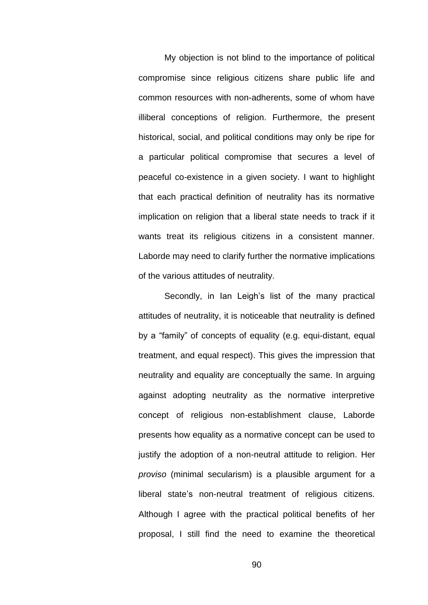My objection is not blind to the importance of political compromise since religious citizens share public life and common resources with non-adherents, some of whom have illiberal conceptions of religion. Furthermore, the present historical, social, and political conditions may only be ripe for a particular political compromise that secures a level of peaceful co-existence in a given society. I want to highlight that each practical definition of neutrality has its normative implication on religion that a liberal state needs to track if it wants treat its religious citizens in a consistent manner. Laborde may need to clarify further the normative implications of the various attitudes of neutrality.

Secondly, in Ian Leigh's list of the many practical attitudes of neutrality, it is noticeable that neutrality is defined by a "family" of concepts of equality (e.g. equi-distant, equal treatment, and equal respect). This gives the impression that neutrality and equality are conceptually the same. In arguing against adopting neutrality as the normative interpretive concept of religious non-establishment clause, Laborde presents how equality as a normative concept can be used to justify the adoption of a non-neutral attitude to religion. Her *proviso* (minimal secularism) is a plausible argument for a liberal state's non-neutral treatment of religious citizens. Although I agree with the practical political benefits of her proposal, I still find the need to examine the theoretical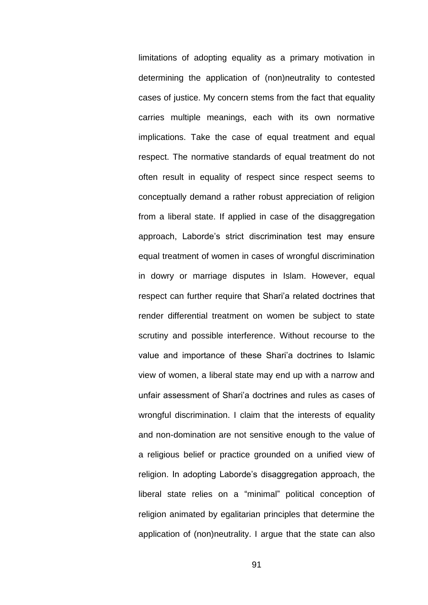limitations of adopting equality as a primary motivation in determining the application of (non)neutrality to contested cases of justice. My concern stems from the fact that equality carries multiple meanings, each with its own normative implications. Take the case of equal treatment and equal respect. The normative standards of equal treatment do not often result in equality of respect since respect seems to conceptually demand a rather robust appreciation of religion from a liberal state. If applied in case of the disaggregation approach, Laborde's strict discrimination test may ensure equal treatment of women in cases of wrongful discrimination in dowry or marriage disputes in Islam. However, equal respect can further require that Shari'a related doctrines that render differential treatment on women be subject to state scrutiny and possible interference. Without recourse to the value and importance of these Shari'a doctrines to Islamic view of women, a liberal state may end up with a narrow and unfair assessment of Shari'a doctrines and rules as cases of wrongful discrimination. I claim that the interests of equality and non-domination are not sensitive enough to the value of a religious belief or practice grounded on a unified view of religion. In adopting Laborde's disaggregation approach, the liberal state relies on a "minimal" political conception of religion animated by egalitarian principles that determine the application of (non)neutrality. I argue that the state can also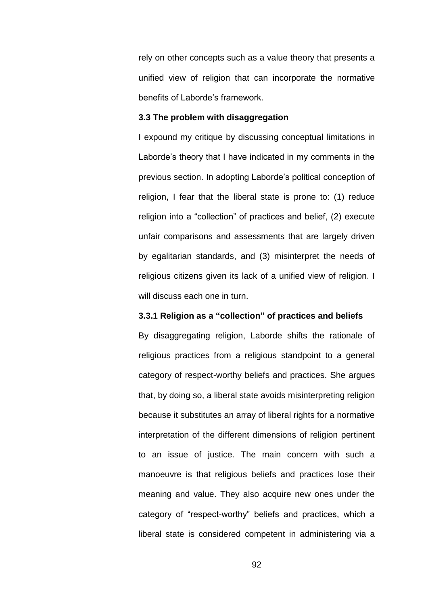rely on other concepts such as a value theory that presents a unified view of religion that can incorporate the normative benefits of Laborde's framework.

## **3.3 The problem with disaggregation**

I expound my critique by discussing conceptual limitations in Laborde's theory that I have indicated in my comments in the previous section. In adopting Laborde's political conception of religion, I fear that the liberal state is prone to: (1) reduce religion into a "collection" of practices and belief, (2) execute unfair comparisons and assessments that are largely driven by egalitarian standards, and (3) misinterpret the needs of religious citizens given its lack of a unified view of religion. I will discuss each one in turn.

# **3.3.1 Religion as a "collection" of practices and beliefs**

By disaggregating religion, Laborde shifts the rationale of religious practices from a religious standpoint to a general category of respect-worthy beliefs and practices. She argues that, by doing so, a liberal state avoids misinterpreting religion because it substitutes an array of liberal rights for a normative interpretation of the different dimensions of religion pertinent to an issue of justice. The main concern with such a manoeuvre is that religious beliefs and practices lose their meaning and value. They also acquire new ones under the category of "respect-worthy" beliefs and practices, which a liberal state is considered competent in administering via a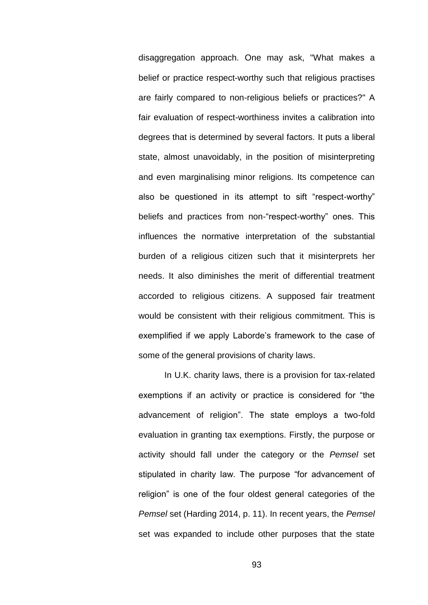disaggregation approach. One may ask, "What makes a belief or practice respect-worthy such that religious practises are fairly compared to non-religious beliefs or practices?" A fair evaluation of respect-worthiness invites a calibration into degrees that is determined by several factors. It puts a liberal state, almost unavoidably, in the position of misinterpreting and even marginalising minor religions. Its competence can also be questioned in its attempt to sift "respect-worthy" beliefs and practices from non-"respect-worthy" ones. This influences the normative interpretation of the substantial burden of a religious citizen such that it misinterprets her needs. It also diminishes the merit of differential treatment accorded to religious citizens. A supposed fair treatment would be consistent with their religious commitment. This is exemplified if we apply Laborde's framework to the case of some of the general provisions of charity laws.

In U.K. charity laws, there is a provision for tax-related exemptions if an activity or practice is considered for "the advancement of religion". The state employs a two-fold evaluation in granting tax exemptions. Firstly, the purpose or activity should fall under the category or the *Pemsel* set stipulated in charity law. The purpose "for advancement of religion" is one of the four oldest general categories of the *Pemsel* set (Harding 2014, p. 11). In recent years, the *Pemsel* set was expanded to include other purposes that the state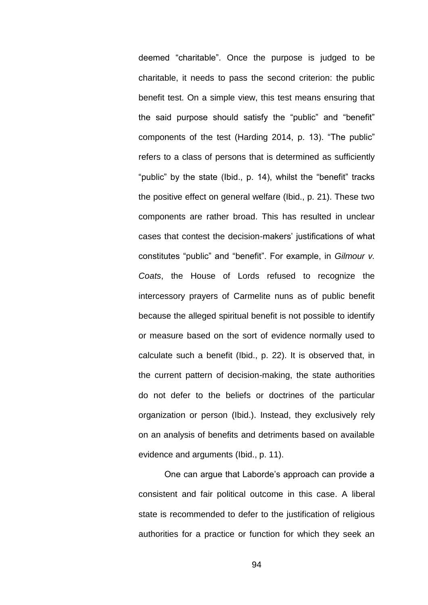deemed "charitable". Once the purpose is judged to be charitable, it needs to pass the second criterion: the public benefit test. On a simple view, this test means ensuring that the said purpose should satisfy the "public" and "benefit" components of the test (Harding 2014, p. 13). "The public" refers to a class of persons that is determined as sufficiently "public" by the state (Ibid., p. 14), whilst the "benefit" tracks the positive effect on general welfare (Ibid., p. 21). These two components are rather broad. This has resulted in unclear cases that contest the decision-makers' justifications of what constitutes "public" and "benefit". For example, in *Gilmour v. Coats*, the House of Lords refused to recognize the intercessory prayers of Carmelite nuns as of public benefit because the alleged spiritual benefit is not possible to identify or measure based on the sort of evidence normally used to calculate such a benefit (Ibid., p. 22). It is observed that, in the current pattern of decision-making, the state authorities do not defer to the beliefs or doctrines of the particular organization or person (Ibid.). Instead, they exclusively rely on an analysis of benefits and detriments based on available evidence and arguments (Ibid., p. 11).

One can argue that Laborde's approach can provide a consistent and fair political outcome in this case. A liberal state is recommended to defer to the justification of religious authorities for a practice or function for which they seek an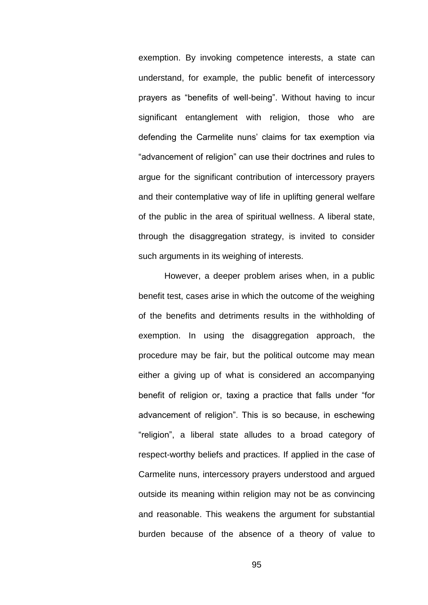exemption. By invoking competence interests, a state can understand, for example, the public benefit of intercessory prayers as "benefits of well-being". Without having to incur significant entanglement with religion, those who are defending the Carmelite nuns' claims for tax exemption via "advancement of religion" can use their doctrines and rules to argue for the significant contribution of intercessory prayers and their contemplative way of life in uplifting general welfare of the public in the area of spiritual wellness. A liberal state, through the disaggregation strategy, is invited to consider such arguments in its weighing of interests.

However, a deeper problem arises when, in a public benefit test, cases arise in which the outcome of the weighing of the benefits and detriments results in the withholding of exemption. In using the disaggregation approach, the procedure may be fair, but the political outcome may mean either a giving up of what is considered an accompanying benefit of religion or, taxing a practice that falls under "for advancement of religion". This is so because, in eschewing ―religion‖, a liberal state alludes to a broad category of respect-worthy beliefs and practices. If applied in the case of Carmelite nuns, intercessory prayers understood and argued outside its meaning within religion may not be as convincing and reasonable. This weakens the argument for substantial burden because of the absence of a theory of value to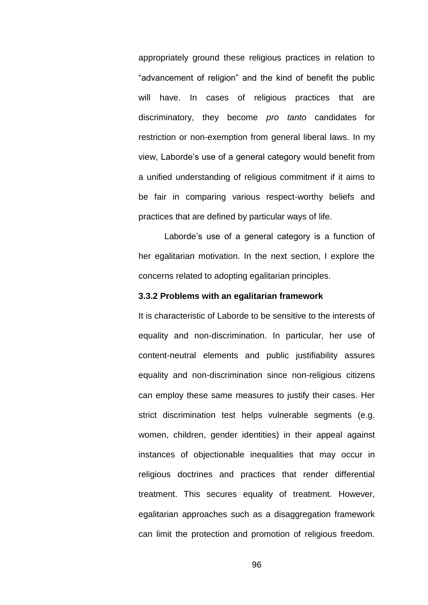appropriately ground these religious practices in relation to "advancement of religion" and the kind of benefit the public will have. In cases of religious practices that are discriminatory, they become *pro tanto* candidates for restriction or non-exemption from general liberal laws. In my view, Laborde's use of a general category would benefit from a unified understanding of religious commitment if it aims to be fair in comparing various respect-worthy beliefs and practices that are defined by particular ways of life.

Laborde's use of a general category is a function of her egalitarian motivation. In the next section, I explore the concerns related to adopting egalitarian principles.

## **3.3.2 Problems with an egalitarian framework**

It is characteristic of Laborde to be sensitive to the interests of equality and non-discrimination. In particular, her use of content-neutral elements and public justifiability assures equality and non-discrimination since non-religious citizens can employ these same measures to justify their cases. Her strict discrimination test helps vulnerable segments (e.g. women, children, gender identities) in their appeal against instances of objectionable inequalities that may occur in religious doctrines and practices that render differential treatment. This secures equality of treatment. However, egalitarian approaches such as a disaggregation framework can limit the protection and promotion of religious freedom.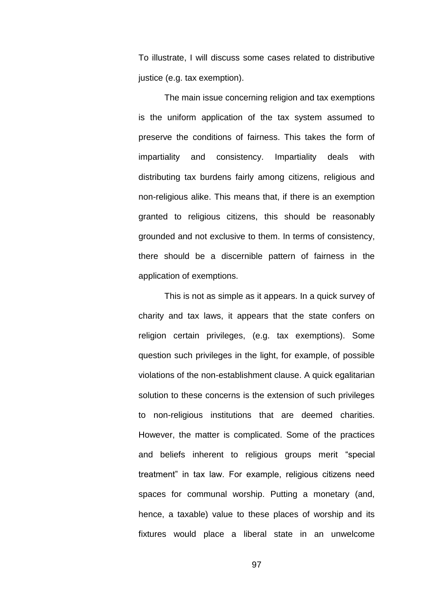To illustrate, I will discuss some cases related to distributive justice (e.g. tax exemption).

The main issue concerning religion and tax exemptions is the uniform application of the tax system assumed to preserve the conditions of fairness. This takes the form of impartiality and consistency. Impartiality deals with distributing tax burdens fairly among citizens, religious and non-religious alike. This means that, if there is an exemption granted to religious citizens, this should be reasonably grounded and not exclusive to them. In terms of consistency, there should be a discernible pattern of fairness in the application of exemptions.

This is not as simple as it appears. In a quick survey of charity and tax laws, it appears that the state confers on religion certain privileges, (e.g. tax exemptions). Some question such privileges in the light, for example, of possible violations of the non-establishment clause. A quick egalitarian solution to these concerns is the extension of such privileges to non-religious institutions that are deemed charities. However, the matter is complicated. Some of the practices and beliefs inherent to religious groups merit "special treatment‖ in tax law. For example, religious citizens need spaces for communal worship. Putting a monetary (and, hence, a taxable) value to these places of worship and its fixtures would place a liberal state in an unwelcome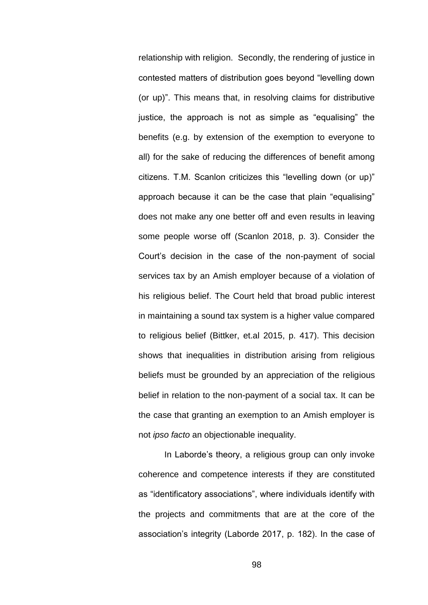relationship with religion. Secondly, the rendering of justice in contested matters of distribution goes beyond "levelling down (or up)". This means that, in resolving claims for distributive justice, the approach is not as simple as "equalising" the benefits (e.g. by extension of the exemption to everyone to all) for the sake of reducing the differences of benefit among citizens. T.M. Scanlon criticizes this "levelling down (or up)" approach because it can be the case that plain "equalising" does not make any one better off and even results in leaving some people worse off (Scanlon 2018, p. 3). Consider the Court's decision in the case of the non-payment of social services tax by an Amish employer because of a violation of his religious belief. The Court held that broad public interest in maintaining a sound tax system is a higher value compared to religious belief (Bittker, et.al 2015, p. 417). This decision shows that inequalities in distribution arising from religious beliefs must be grounded by an appreciation of the religious belief in relation to the non-payment of a social tax. It can be the case that granting an exemption to an Amish employer is not *ipso facto* an objectionable inequality.

In Laborde's theory, a religious group can only invoke coherence and competence interests if they are constituted as "identificatory associations", where individuals identify with the projects and commitments that are at the core of the association's integrity (Laborde 2017, p. 182). In the case of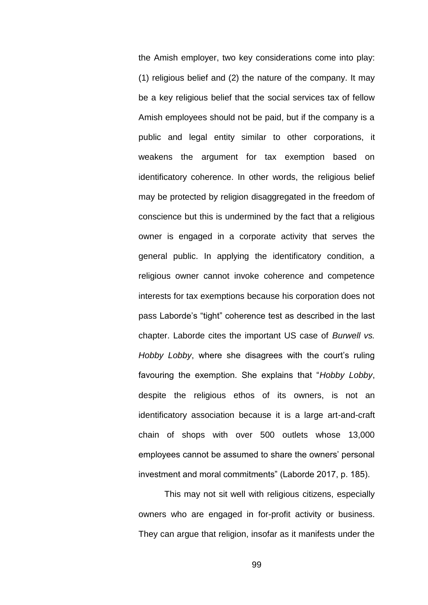the Amish employer, two key considerations come into play: (1) religious belief and (2) the nature of the company. It may be a key religious belief that the social services tax of fellow Amish employees should not be paid, but if the company is a public and legal entity similar to other corporations, it weakens the argument for tax exemption based on identificatory coherence. In other words, the religious belief may be protected by religion disaggregated in the freedom of conscience but this is undermined by the fact that a religious owner is engaged in a corporate activity that serves the general public. In applying the identificatory condition, a religious owner cannot invoke coherence and competence interests for tax exemptions because his corporation does not pass Laborde's "tight" coherence test as described in the last chapter. Laborde cites the important US case of *Burwell vs. Hobby Lobby*, where she disagrees with the court's ruling favouring the exemption. She explains that "Hobby Lobby, despite the religious ethos of its owners, is not an identificatory association because it is a large art-and-craft chain of shops with over 500 outlets whose 13,000 employees cannot be assumed to share the owners' personal investment and moral commitments" (Laborde 2017, p. 185).

This may not sit well with religious citizens, especially owners who are engaged in for-profit activity or business. They can argue that religion, insofar as it manifests under the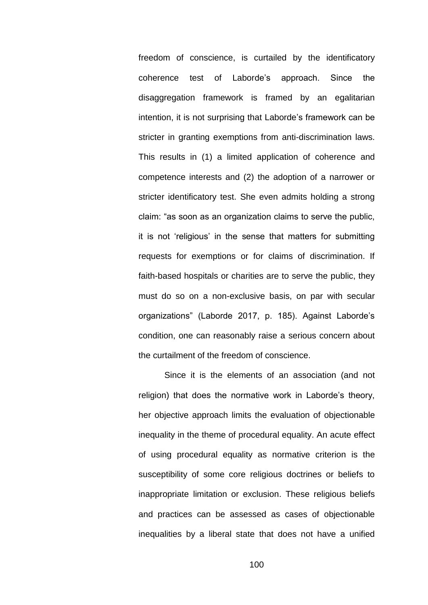freedom of conscience, is curtailed by the identificatory coherence test of Laborde's approach. Since the disaggregation framework is framed by an egalitarian intention, it is not surprising that Laborde's framework can be stricter in granting exemptions from anti-discrimination laws. This results in (1) a limited application of coherence and competence interests and (2) the adoption of a narrower or stricter identificatory test. She even admits holding a strong claim: "as soon as an organization claims to serve the public, it is not 'religious' in the sense that matters for submitting requests for exemptions or for claims of discrimination. If faith-based hospitals or charities are to serve the public, they must do so on a non-exclusive basis, on par with secular organizations‖ (Laborde 2017, p. 185). Against Laborde's condition, one can reasonably raise a serious concern about the curtailment of the freedom of conscience.

Since it is the elements of an association (and not religion) that does the normative work in Laborde's theory, her objective approach limits the evaluation of objectionable inequality in the theme of procedural equality. An acute effect of using procedural equality as normative criterion is the susceptibility of some core religious doctrines or beliefs to inappropriate limitation or exclusion. These religious beliefs and practices can be assessed as cases of objectionable inequalities by a liberal state that does not have a unified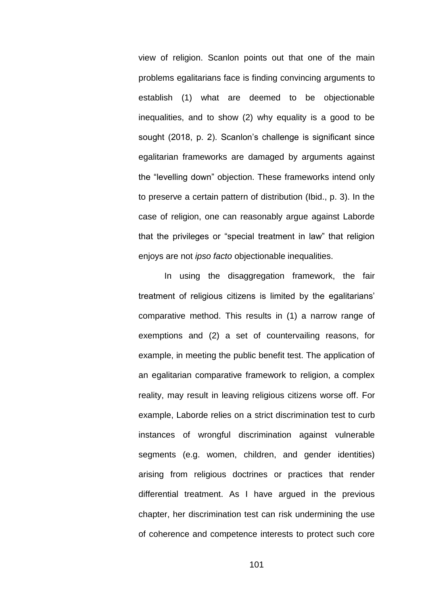view of religion. Scanlon points out that one of the main problems egalitarians face is finding convincing arguments to establish (1) what are deemed to be objectionable inequalities, and to show (2) why equality is a good to be sought (2018, p. 2). Scanlon's challenge is significant since egalitarian frameworks are damaged by arguments against the "levelling down" objection. These frameworks intend only to preserve a certain pattern of distribution (Ibid., p. 3). In the case of religion, one can reasonably argue against Laborde that the privileges or "special treatment in law" that religion enjoys are not *ipso facto* objectionable inequalities.

In using the disaggregation framework, the fair treatment of religious citizens is limited by the egalitarians' comparative method. This results in (1) a narrow range of exemptions and (2) a set of countervailing reasons, for example, in meeting the public benefit test. The application of an egalitarian comparative framework to religion, a complex reality, may result in leaving religious citizens worse off. For example, Laborde relies on a strict discrimination test to curb instances of wrongful discrimination against vulnerable segments (e.g. women, children, and gender identities) arising from religious doctrines or practices that render differential treatment. As I have argued in the previous chapter, her discrimination test can risk undermining the use of coherence and competence interests to protect such core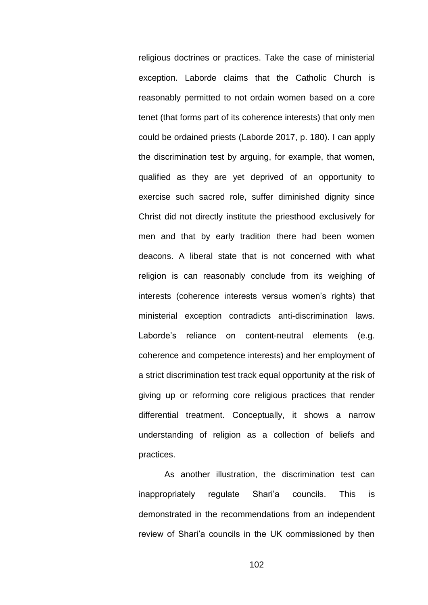religious doctrines or practices. Take the case of ministerial exception. Laborde claims that the Catholic Church is reasonably permitted to not ordain women based on a core tenet (that forms part of its coherence interests) that only men could be ordained priests (Laborde 2017, p. 180). I can apply the discrimination test by arguing, for example, that women, qualified as they are yet deprived of an opportunity to exercise such sacred role, suffer diminished dignity since Christ did not directly institute the priesthood exclusively for men and that by early tradition there had been women deacons. A liberal state that is not concerned with what religion is can reasonably conclude from its weighing of interests (coherence interests versus women's rights) that ministerial exception contradicts anti-discrimination laws. Laborde's reliance on content-neutral elements (e.g. coherence and competence interests) and her employment of a strict discrimination test track equal opportunity at the risk of giving up or reforming core religious practices that render differential treatment. Conceptually, it shows a narrow understanding of religion as a collection of beliefs and practices.

As another illustration, the discrimination test can inappropriately regulate Shari'a councils. This is demonstrated in the recommendations from an independent review of Shari'a councils in the UK commissioned by then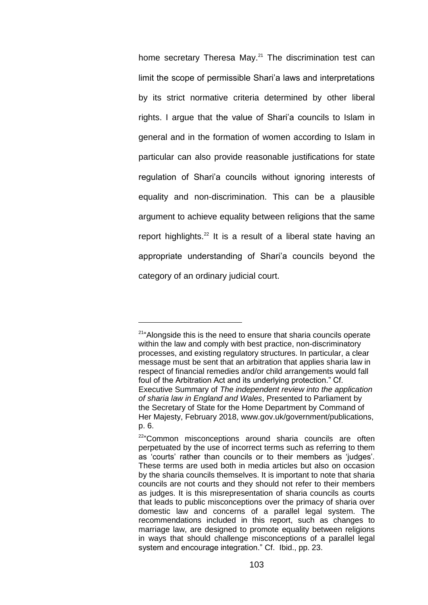home secretary Theresa May.<sup>21</sup> The discrimination test can limit the scope of permissible Shari'a laws and interpretations by its strict normative criteria determined by other liberal rights. I argue that the value of Shari'a councils to Islam in general and in the formation of women according to Islam in particular can also provide reasonable justifications for state regulation of Shari'a councils without ignoring interests of equality and non-discrimination. This can be a plausible argument to achieve equality between religions that the same report highlights.<sup>22</sup> It is a result of a liberal state having an appropriate understanding of Shari'a councils beyond the category of an ordinary judicial court.

<sup>&</sup>lt;sup>21</sup>"Alongside this is the need to ensure that sharia councils operate within the law and comply with best practice, non-discriminatory processes, and existing regulatory structures. In particular, a clear message must be sent that an arbitration that applies sharia law in respect of financial remedies and/or child arrangements would fall foul of the Arbitration Act and its underlying protection." Cf. Executive Summary of *The independent review into the application of sharia law in England and Wales*, Presented to Parliament by the Secretary of State for the Home Department by Command of Her Majesty, February 2018, www.gov.uk/government/publications, p. 6.

<sup>&</sup>lt;sup>22</sup>"Common misconceptions around sharia councils are often perpetuated by the use of incorrect terms such as referring to them as 'courts' rather than councils or to their members as 'judges'. These terms are used both in media articles but also on occasion by the sharia councils themselves. It is important to note that sharia councils are not courts and they should not refer to their members as judges. It is this misrepresentation of sharia councils as courts that leads to public misconceptions over the primacy of sharia over domestic law and concerns of a parallel legal system. The recommendations included in this report, such as changes to marriage law, are designed to promote equality between religions in ways that should challenge misconceptions of a parallel legal system and encourage integration." Cf. Ibid., pp. 23.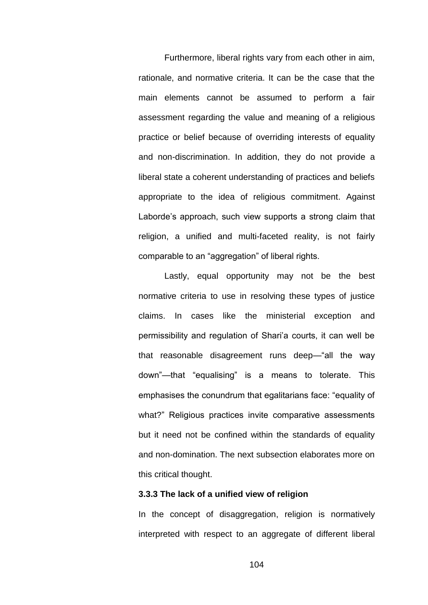Furthermore, liberal rights vary from each other in aim, rationale, and normative criteria. It can be the case that the main elements cannot be assumed to perform a fair assessment regarding the value and meaning of a religious practice or belief because of overriding interests of equality and non-discrimination. In addition, they do not provide a liberal state a coherent understanding of practices and beliefs appropriate to the idea of religious commitment. Against Laborde's approach, such view supports a strong claim that religion, a unified and multi-faceted reality, is not fairly comparable to an "aggregation" of liberal rights.

Lastly, equal opportunity may not be the best normative criteria to use in resolving these types of justice claims. In cases like the ministerial exception and permissibility and regulation of Shari'a courts, it can well be that reasonable disagreement runs deep—"all the way down"—that "equalising" is a means to tolerate. This emphasises the conundrum that egalitarians face: "equality of what?" Religious practices invite comparative assessments but it need not be confined within the standards of equality and non-domination. The next subsection elaborates more on this critical thought.

## **3.3.3 The lack of a unified view of religion**

In the concept of disaggregation, religion is normatively interpreted with respect to an aggregate of different liberal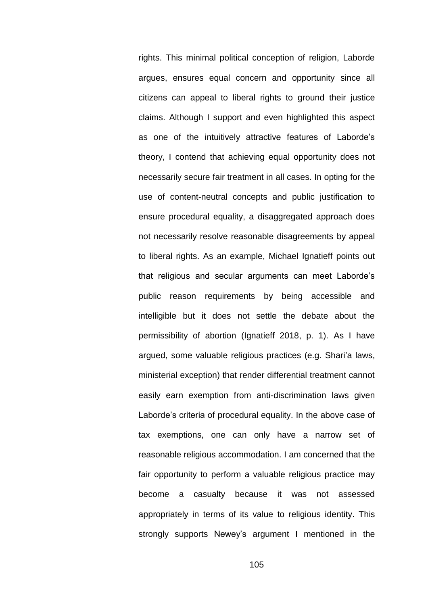rights. This minimal political conception of religion, Laborde argues, ensures equal concern and opportunity since all citizens can appeal to liberal rights to ground their justice claims. Although I support and even highlighted this aspect as one of the intuitively attractive features of Laborde's theory, I contend that achieving equal opportunity does not necessarily secure fair treatment in all cases. In opting for the use of content-neutral concepts and public justification to ensure procedural equality, a disaggregated approach does not necessarily resolve reasonable disagreements by appeal to liberal rights. As an example, Michael Ignatieff points out that religious and secular arguments can meet Laborde's public reason requirements by being accessible and intelligible but it does not settle the debate about the permissibility of abortion (Ignatieff 2018, p. 1). As I have argued, some valuable religious practices (e.g. Shari'a laws, ministerial exception) that render differential treatment cannot easily earn exemption from anti-discrimination laws given Laborde's criteria of procedural equality. In the above case of tax exemptions, one can only have a narrow set of reasonable religious accommodation. I am concerned that the fair opportunity to perform a valuable religious practice may become a casualty because it was not assessed appropriately in terms of its value to religious identity. This strongly supports Newey's argument I mentioned in the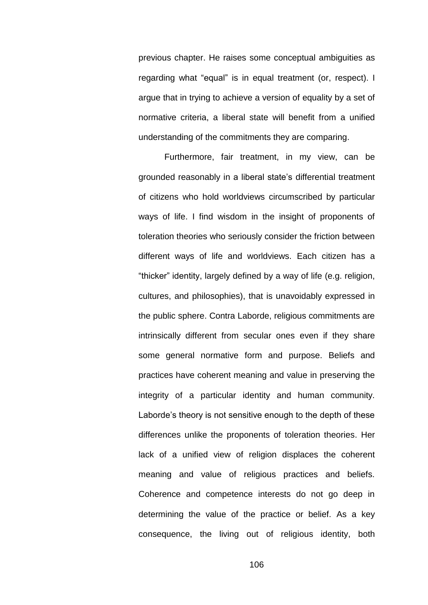previous chapter. He raises some conceptual ambiguities as regarding what "equal" is in equal treatment (or, respect). I argue that in trying to achieve a version of equality by a set of normative criteria, a liberal state will benefit from a unified understanding of the commitments they are comparing.

Furthermore, fair treatment, in my view, can be grounded reasonably in a liberal state's differential treatment of citizens who hold worldviews circumscribed by particular ways of life. I find wisdom in the insight of proponents of toleration theories who seriously consider the friction between different ways of life and worldviews. Each citizen has a "thicker" identity, largely defined by a way of life (e.g. religion, cultures, and philosophies), that is unavoidably expressed in the public sphere. Contra Laborde, religious commitments are intrinsically different from secular ones even if they share some general normative form and purpose. Beliefs and practices have coherent meaning and value in preserving the integrity of a particular identity and human community. Laborde's theory is not sensitive enough to the depth of these differences unlike the proponents of toleration theories. Her lack of a unified view of religion displaces the coherent meaning and value of religious practices and beliefs. Coherence and competence interests do not go deep in determining the value of the practice or belief. As a key consequence, the living out of religious identity, both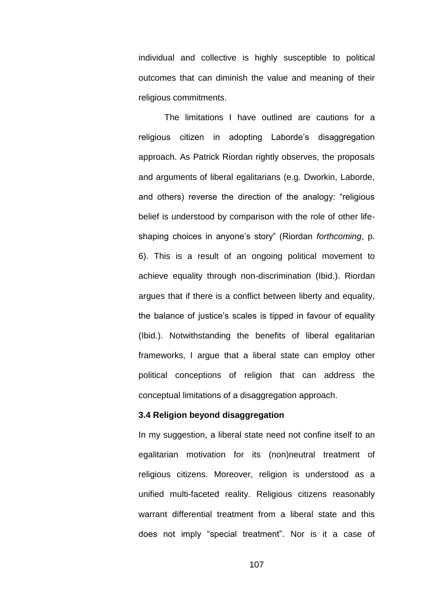individual and collective is highly susceptible to political outcomes that can diminish the value and meaning of their religious commitments.

The limitations I have outlined are cautions for a religious citizen in adopting Laborde's disaggregation approach. As Patrick Riordan rightly observes, the proposals and arguments of liberal egalitarians (e.g. Dworkin, Laborde, and others) reverse the direction of the analogy: "religious belief is understood by comparison with the role of other lifeshaping choices in anyone's story" (Riordan *forthcoming*, p. 6). This is a result of an ongoing political movement to achieve equality through non-discrimination (Ibid.). Riordan argues that if there is a conflict between liberty and equality, the balance of justice's scales is tipped in favour of equality (Ibid.). Notwithstanding the benefits of liberal egalitarian frameworks, I argue that a liberal state can employ other political conceptions of religion that can address the conceptual limitations of a disaggregation approach.

## **3.4 Religion beyond disaggregation**

In my suggestion, a liberal state need not confine itself to an egalitarian motivation for its (non)neutral treatment of religious citizens. Moreover, religion is understood as a unified multi-faceted reality. Religious citizens reasonably warrant differential treatment from a liberal state and this does not imply "special treatment". Nor is it a case of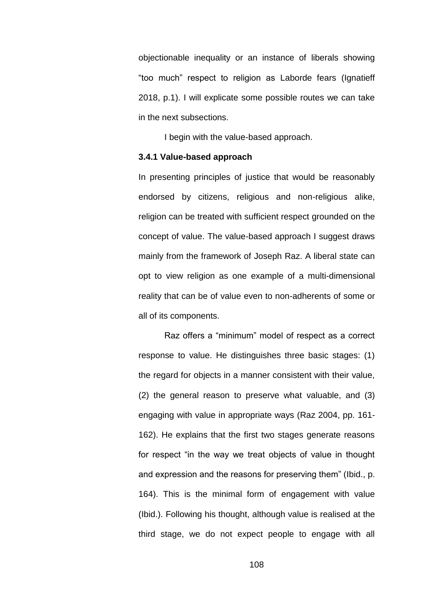objectionable inequality or an instance of liberals showing "too much" respect to religion as Laborde fears (Ignatieff 2018, p.1). I will explicate some possible routes we can take in the next subsections.

I begin with the value-based approach.

## **3.4.1 Value-based approach**

In presenting principles of justice that would be reasonably endorsed by citizens, religious and non-religious alike, religion can be treated with sufficient respect grounded on the concept of value. The value-based approach I suggest draws mainly from the framework of Joseph Raz. A liberal state can opt to view religion as one example of a multi-dimensional reality that can be of value even to non-adherents of some or all of its components.

Raz offers a "minimum" model of respect as a correct response to value. He distinguishes three basic stages: (1) the regard for objects in a manner consistent with their value, (2) the general reason to preserve what valuable, and (3) engaging with value in appropriate ways (Raz 2004, pp. 161- 162). He explains that the first two stages generate reasons for respect "in the way we treat objects of value in thought and expression and the reasons for preserving them" (Ibid., p. 164). This is the minimal form of engagement with value (Ibid.). Following his thought, although value is realised at the third stage, we do not expect people to engage with all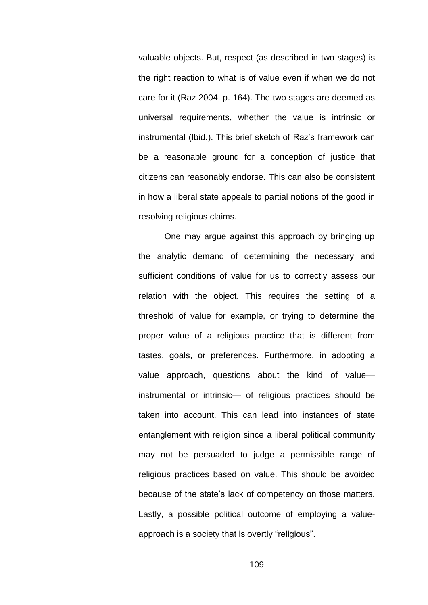valuable objects. But, respect (as described in two stages) is the right reaction to what is of value even if when we do not care for it (Raz 2004, p. 164). The two stages are deemed as universal requirements, whether the value is intrinsic or instrumental (Ibid.). This brief sketch of Raz's framework can be a reasonable ground for a conception of justice that citizens can reasonably endorse. This can also be consistent in how a liberal state appeals to partial notions of the good in resolving religious claims.

One may argue against this approach by bringing up the analytic demand of determining the necessary and sufficient conditions of value for us to correctly assess our relation with the object. This requires the setting of a threshold of value for example, or trying to determine the proper value of a religious practice that is different from tastes, goals, or preferences. Furthermore, in adopting a value approach, questions about the kind of value instrumental or intrinsic— of religious practices should be taken into account. This can lead into instances of state entanglement with religion since a liberal political community may not be persuaded to judge a permissible range of religious practices based on value. This should be avoided because of the state's lack of competency on those matters. Lastly, a possible political outcome of employing a valueapproach is a society that is overtly "religious".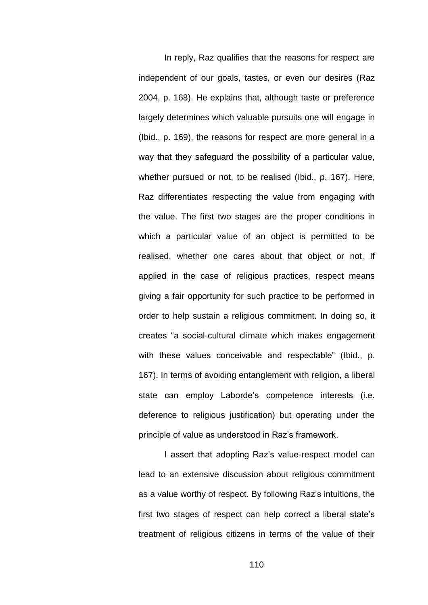In reply, Raz qualifies that the reasons for respect are independent of our goals, tastes, or even our desires (Raz 2004, p. 168). He explains that, although taste or preference largely determines which valuable pursuits one will engage in (Ibid., p. 169), the reasons for respect are more general in a way that they safeguard the possibility of a particular value, whether pursued or not, to be realised (Ibid., p. 167). Here, Raz differentiates respecting the value from engaging with the value. The first two stages are the proper conditions in which a particular value of an object is permitted to be realised, whether one cares about that object or not. If applied in the case of religious practices, respect means giving a fair opportunity for such practice to be performed in order to help sustain a religious commitment. In doing so, it creates "a social-cultural climate which makes engagement with these values conceivable and respectable" (Ibid., p. 167). In terms of avoiding entanglement with religion, a liberal state can employ Laborde's competence interests (i.e. deference to religious justification) but operating under the principle of value as understood in Raz's framework.

I assert that adopting Raz's value-respect model can lead to an extensive discussion about religious commitment as a value worthy of respect. By following Raz's intuitions, the first two stages of respect can help correct a liberal state's treatment of religious citizens in terms of the value of their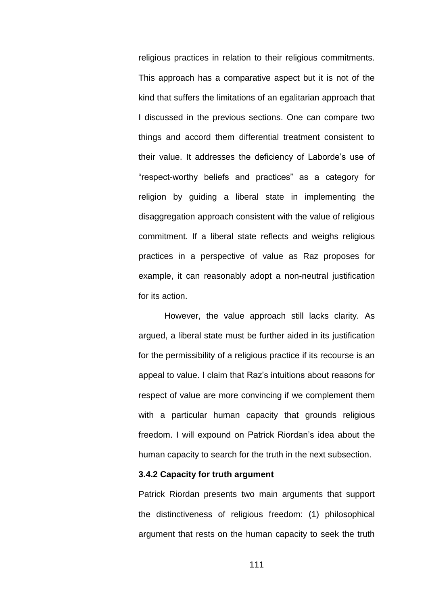religious practices in relation to their religious commitments. This approach has a comparative aspect but it is not of the kind that suffers the limitations of an egalitarian approach that I discussed in the previous sections. One can compare two things and accord them differential treatment consistent to their value. It addresses the deficiency of Laborde's use of "respect-worthy beliefs and practices" as a category for religion by guiding a liberal state in implementing the disaggregation approach consistent with the value of religious commitment. If a liberal state reflects and weighs religious practices in a perspective of value as Raz proposes for example, it can reasonably adopt a non-neutral justification for its action.

However, the value approach still lacks clarity. As argued, a liberal state must be further aided in its justification for the permissibility of a religious practice if its recourse is an appeal to value. I claim that Raz's intuitions about reasons for respect of value are more convincing if we complement them with a particular human capacity that grounds religious freedom. I will expound on Patrick Riordan's idea about the human capacity to search for the truth in the next subsection.

## **3.4.2 Capacity for truth argument**

Patrick Riordan presents two main arguments that support the distinctiveness of religious freedom: (1) philosophical argument that rests on the human capacity to seek the truth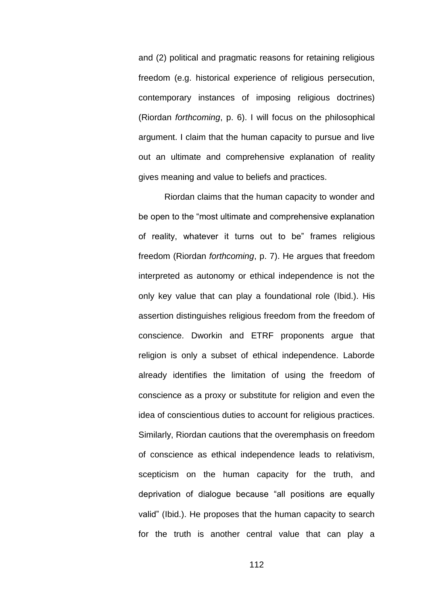and (2) political and pragmatic reasons for retaining religious freedom (e.g. historical experience of religious persecution, contemporary instances of imposing religious doctrines) (Riordan *forthcoming*, p. 6). I will focus on the philosophical argument. I claim that the human capacity to pursue and live out an ultimate and comprehensive explanation of reality gives meaning and value to beliefs and practices.

Riordan claims that the human capacity to wonder and be open to the "most ultimate and comprehensive explanation of reality, whatever it turns out to be" frames religious freedom (Riordan *forthcoming*, p. 7). He argues that freedom interpreted as autonomy or ethical independence is not the only key value that can play a foundational role (Ibid.). His assertion distinguishes religious freedom from the freedom of conscience. Dworkin and ETRF proponents argue that religion is only a subset of ethical independence. Laborde already identifies the limitation of using the freedom of conscience as a proxy or substitute for religion and even the idea of conscientious duties to account for religious practices. Similarly, Riordan cautions that the overemphasis on freedom of conscience as ethical independence leads to relativism, scepticism on the human capacity for the truth, and deprivation of dialogue because "all positions are equally valid" (Ibid.). He proposes that the human capacity to search for the truth is another central value that can play a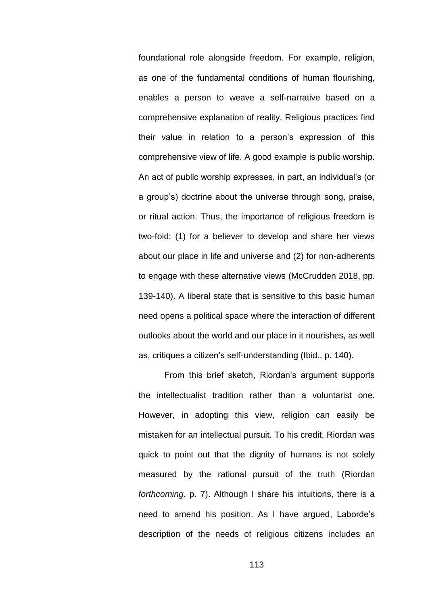foundational role alongside freedom. For example, religion, as one of the fundamental conditions of human flourishing, enables a person to weave a self-narrative based on a comprehensive explanation of reality. Religious practices find their value in relation to a person's expression of this comprehensive view of life. A good example is public worship. An act of public worship expresses, in part, an individual's (or a group's) doctrine about the universe through song, praise, or ritual action. Thus, the importance of religious freedom is two-fold: (1) for a believer to develop and share her views about our place in life and universe and (2) for non-adherents to engage with these alternative views (McCrudden 2018, pp. 139-140). A liberal state that is sensitive to this basic human need opens a political space where the interaction of different outlooks about the world and our place in it nourishes, as well as, critiques a citizen's self-understanding (Ibid., p. 140).

From this brief sketch, Riordan's argument supports the intellectualist tradition rather than a voluntarist one. However, in adopting this view, religion can easily be mistaken for an intellectual pursuit. To his credit, Riordan was quick to point out that the dignity of humans is not solely measured by the rational pursuit of the truth (Riordan *forthcoming*, p. 7). Although I share his intuitions, there is a need to amend his position. As I have argued, Laborde's description of the needs of religious citizens includes an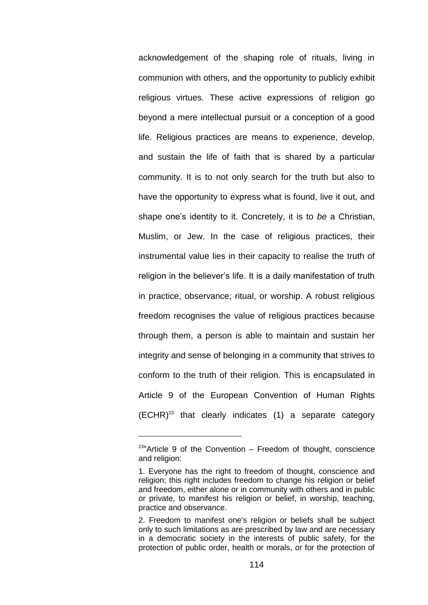acknowledgement of the shaping role of rituals, living in communion with others, and the opportunity to publicly exhibit religious virtues. These active expressions of religion go beyond a mere intellectual pursuit or a conception of a good life. Religious practices are means to experience, develop, and sustain the life of faith that is shared by a particular community. It is to not only search for the truth but also to have the opportunity to express what is found, live it out, and shape one's identity to it. Concretely, it is to *be* a Christian, Muslim, or Jew. In the case of religious practices, their instrumental value lies in their capacity to realise the truth of religion in the believer's life. It is a daily manifestation of truth in practice, observance, ritual, or worship. A robust religious freedom recognises the value of religious practices because through them, a person is able to maintain and sustain her integrity and sense of belonging in a community that strives to conform to the truth of their religion. This is encapsulated in Article 9 of the European Convention of Human Rights  $(ECHR)^{23}$  that clearly indicates (1) a separate category

 $23^{\mu}$ Article 9 of the Convention – Freedom of thought, conscience and religion:

<sup>1.</sup> Everyone has the right to freedom of thought, conscience and religion; this right includes freedom to change his religion or belief and freedom, either alone or in community with others and in public or private, to manifest his religion or belief, in worship, teaching, practice and observance.

<sup>2.</sup> Freedom to manifest one's religion or beliefs shall be subject only to such limitations as are prescribed by law and are necessary in a democratic society in the interests of public safety, for the protection of public order, health or morals, or for the protection of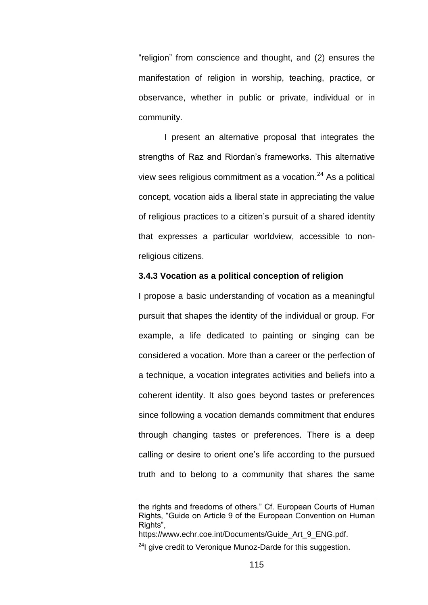"religion" from conscience and thought, and (2) ensures the manifestation of religion in worship, teaching, practice, or observance, whether in public or private, individual or in community.

I present an alternative proposal that integrates the strengths of Raz and Riordan's frameworks. This alternative view sees religious commitment as a vocation. $24$  As a political concept, vocation aids a liberal state in appreciating the value of religious practices to a citizen's pursuit of a shared identity that expresses a particular worldview, accessible to nonreligious citizens.

# **3.4.3 Vocation as a political conception of religion**

I propose a basic understanding of vocation as a meaningful pursuit that shapes the identity of the individual or group. For example, a life dedicated to painting or singing can be considered a vocation. More than a career or the perfection of a technique, a vocation integrates activities and beliefs into a coherent identity. It also goes beyond tastes or preferences since following a vocation demands commitment that endures through changing tastes or preferences. There is a deep calling or desire to orient one's life according to the pursued truth and to belong to a community that shares the same

the rights and freedoms of others." Cf. European Courts of Human Rights, "Guide on Article 9 of the European Convention on Human Rights".

https://www.echr.coe.int/Documents/Guide\_Art\_9\_ENG.pdf.

 $24$ I give credit to Veronique Munoz-Darde for this suggestion.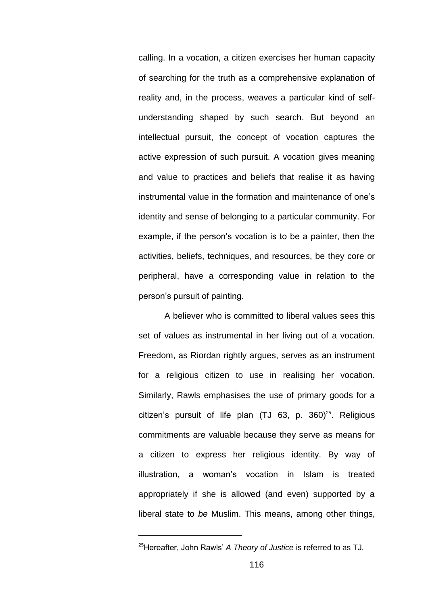calling. In a vocation, a citizen exercises her human capacity of searching for the truth as a comprehensive explanation of reality and, in the process, weaves a particular kind of selfunderstanding shaped by such search. But beyond an intellectual pursuit, the concept of vocation captures the active expression of such pursuit. A vocation gives meaning and value to practices and beliefs that realise it as having instrumental value in the formation and maintenance of one's identity and sense of belonging to a particular community. For example, if the person's vocation is to be a painter, then the activities, beliefs, techniques, and resources, be they core or peripheral, have a corresponding value in relation to the person's pursuit of painting.

A believer who is committed to liberal values sees this set of values as instrumental in her living out of a vocation. Freedom, as Riordan rightly argues, serves as an instrument for a religious citizen to use in realising her vocation. Similarly, Rawls emphasises the use of primary goods for a citizen's pursuit of life plan  $(TJ 63, p. 360)^{25}$ . Religious commitments are valuable because they serve as means for a citizen to express her religious identity. By way of illustration, a woman's vocation in Islam is treated appropriately if she is allowed (and even) supported by a liberal state to *be* Muslim. This means, among other things,

<sup>25</sup>Hereafter, John Rawls' *A Theory of Justice* is referred to as TJ.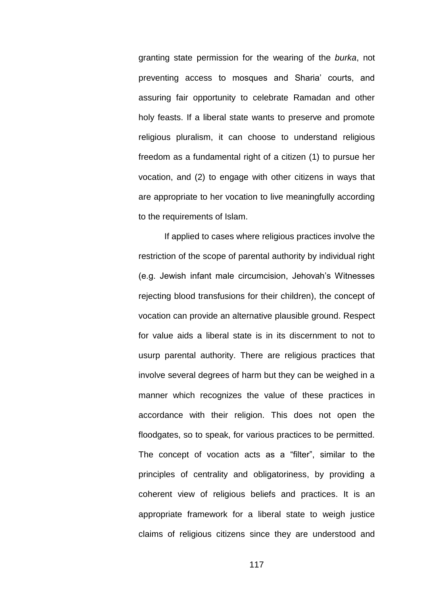granting state permission for the wearing of the *burka*, not preventing access to mosques and Sharia' courts, and assuring fair opportunity to celebrate Ramadan and other holy feasts. If a liberal state wants to preserve and promote religious pluralism, it can choose to understand religious freedom as a fundamental right of a citizen (1) to pursue her vocation, and (2) to engage with other citizens in ways that are appropriate to her vocation to live meaningfully according to the requirements of Islam.

If applied to cases where religious practices involve the restriction of the scope of parental authority by individual right (e.g. Jewish infant male circumcision, Jehovah's Witnesses rejecting blood transfusions for their children), the concept of vocation can provide an alternative plausible ground. Respect for value aids a liberal state is in its discernment to not to usurp parental authority. There are religious practices that involve several degrees of harm but they can be weighed in a manner which recognizes the value of these practices in accordance with their religion. This does not open the floodgates, so to speak, for various practices to be permitted. The concept of vocation acts as a "filter", similar to the principles of centrality and obligatoriness, by providing a coherent view of religious beliefs and practices. It is an appropriate framework for a liberal state to weigh justice claims of religious citizens since they are understood and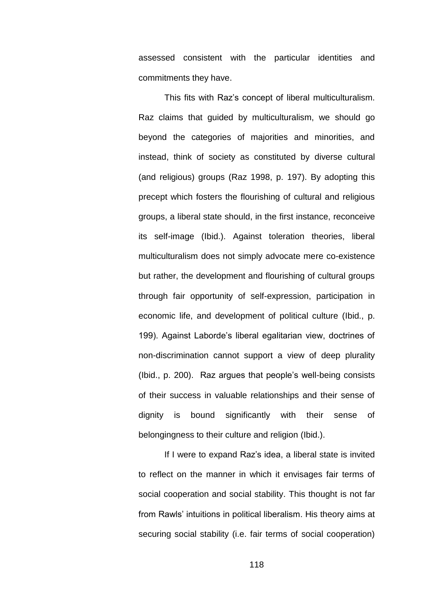assessed consistent with the particular identities and commitments they have.

This fits with Raz's concept of liberal multiculturalism. Raz claims that guided by multiculturalism, we should go beyond the categories of majorities and minorities, and instead, think of society as constituted by diverse cultural (and religious) groups (Raz 1998, p. 197). By adopting this precept which fosters the flourishing of cultural and religious groups, a liberal state should, in the first instance, reconceive its self-image (Ibid.). Against toleration theories, liberal multiculturalism does not simply advocate mere co-existence but rather, the development and flourishing of cultural groups through fair opportunity of self-expression, participation in economic life, and development of political culture (Ibid., p. 199). Against Laborde's liberal egalitarian view, doctrines of non-discrimination cannot support a view of deep plurality (Ibid., p. 200). Raz argues that people's well-being consists of their success in valuable relationships and their sense of dignity is bound significantly with their sense of belongingness to their culture and religion (Ibid.).

If I were to expand Raz's idea, a liberal state is invited to reflect on the manner in which it envisages fair terms of social cooperation and social stability. This thought is not far from Rawls' intuitions in political liberalism. His theory aims at securing social stability (i.e. fair terms of social cooperation)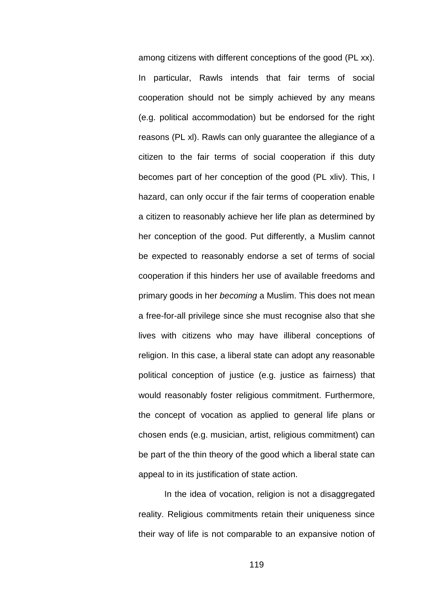among citizens with different conceptions of the good (PL xx). In particular, Rawls intends that fair terms of social cooperation should not be simply achieved by any means (e.g. political accommodation) but be endorsed for the right reasons (PL xl). Rawls can only guarantee the allegiance of a citizen to the fair terms of social cooperation if this duty becomes part of her conception of the good (PL xliv). This, I hazard, can only occur if the fair terms of cooperation enable a citizen to reasonably achieve her life plan as determined by her conception of the good. Put differently, a Muslim cannot be expected to reasonably endorse a set of terms of social cooperation if this hinders her use of available freedoms and primary goods in her *becoming* a Muslim. This does not mean a free-for-all privilege since she must recognise also that she lives with citizens who may have illiberal conceptions of religion. In this case, a liberal state can adopt any reasonable political conception of justice (e.g. justice as fairness) that would reasonably foster religious commitment. Furthermore, the concept of vocation as applied to general life plans or chosen ends (e.g. musician, artist, religious commitment) can be part of the thin theory of the good which a liberal state can appeal to in its justification of state action.

In the idea of vocation, religion is not a disaggregated reality. Religious commitments retain their uniqueness since their way of life is not comparable to an expansive notion of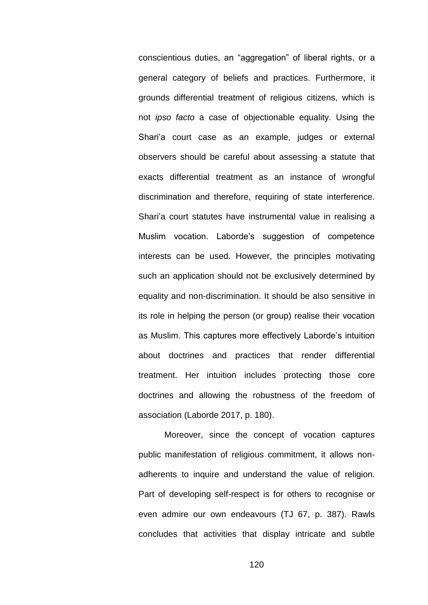conscientious duties, an "aggregation" of liberal rights, or a general category of beliefs and practices. Furthermore, it grounds differential treatment of religious citizens, which is not *ipso facto* a case of objectionable equality. Using the Shari'a court case as an example, judges or external observers should be careful about assessing a statute that exacts differential treatment as an instance of wrongful discrimination and therefore, requiring of state interference. Shari'a court statutes have instrumental value in realising a Muslim vocation. Laborde's suggestion of competence interests can be used. However, the principles motivating such an application should not be exclusively determined by equality and non-discrimination. It should be also sensitive in its role in helping the person (or group) realise their vocation as Muslim. This captures more effectively Laborde's intuition about doctrines and practices that render differential treatment. Her intuition includes protecting those core doctrines and allowing the robustness of the freedom of association (Laborde 2017, p. 180).

Moreover, since the concept of vocation captures public manifestation of religious commitment, it allows nonadherents to inquire and understand the value of religion. Part of developing self-respect is for others to recognise or even admire our own endeavours (TJ 67, p. 387). Rawls concludes that activities that display intricate and subtle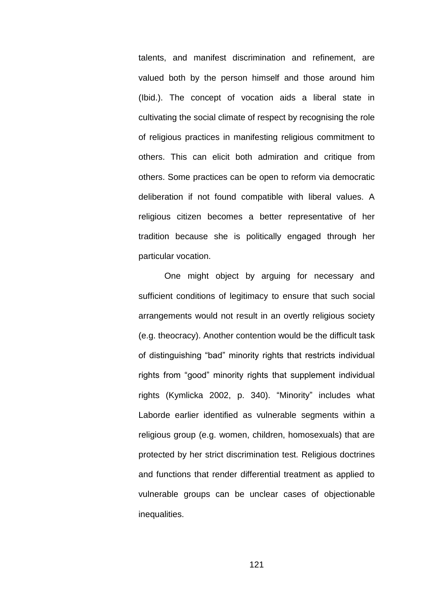talents, and manifest discrimination and refinement, are valued both by the person himself and those around him (Ibid.). The concept of vocation aids a liberal state in cultivating the social climate of respect by recognising the role of religious practices in manifesting religious commitment to others. This can elicit both admiration and critique from others. Some practices can be open to reform via democratic deliberation if not found compatible with liberal values. A religious citizen becomes a better representative of her tradition because she is politically engaged through her particular vocation.

One might object by arguing for necessary and sufficient conditions of legitimacy to ensure that such social arrangements would not result in an overtly religious society (e.g. theocracy). Another contention would be the difficult task of distinguishing "bad" minority rights that restricts individual rights from "good" minority rights that supplement individual rights (Kymlicka 2002, p. 340). "Minority" includes what Laborde earlier identified as vulnerable segments within a religious group (e.g. women, children, homosexuals) that are protected by her strict discrimination test. Religious doctrines and functions that render differential treatment as applied to vulnerable groups can be unclear cases of objectionable inequalities.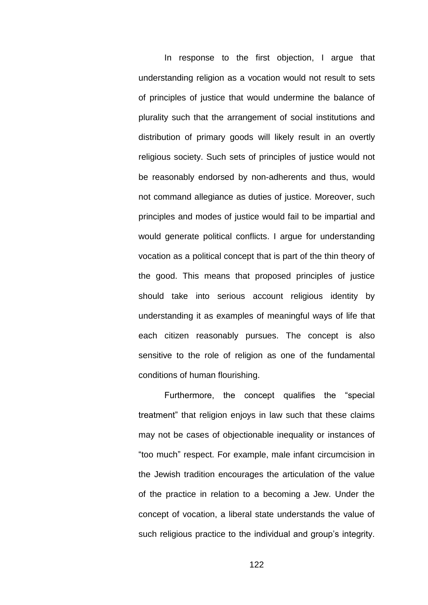In response to the first objection, I argue that understanding religion as a vocation would not result to sets of principles of justice that would undermine the balance of plurality such that the arrangement of social institutions and distribution of primary goods will likely result in an overtly religious society. Such sets of principles of justice would not be reasonably endorsed by non-adherents and thus, would not command allegiance as duties of justice. Moreover, such principles and modes of justice would fail to be impartial and would generate political conflicts. I argue for understanding vocation as a political concept that is part of the thin theory of the good. This means that proposed principles of justice should take into serious account religious identity by understanding it as examples of meaningful ways of life that each citizen reasonably pursues. The concept is also sensitive to the role of religion as one of the fundamental conditions of human flourishing.

Furthermore, the concept qualifies the "special treatment‖ that religion enjoys in law such that these claims may not be cases of objectionable inequality or instances of ―too much‖ respect. For example, male infant circumcision in the Jewish tradition encourages the articulation of the value of the practice in relation to a becoming a Jew. Under the concept of vocation, a liberal state understands the value of such religious practice to the individual and group's integrity.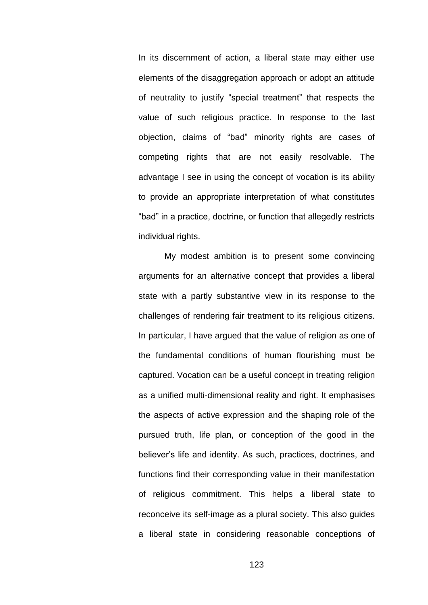In its discernment of action, a liberal state may either use elements of the disaggregation approach or adopt an attitude of neutrality to justify "special treatment" that respects the value of such religious practice. In response to the last objection, claims of "bad" minority rights are cases of competing rights that are not easily resolvable. The advantage I see in using the concept of vocation is its ability to provide an appropriate interpretation of what constitutes "bad" in a practice, doctrine, or function that allegedly restricts individual rights.

My modest ambition is to present some convincing arguments for an alternative concept that provides a liberal state with a partly substantive view in its response to the challenges of rendering fair treatment to its religious citizens. In particular, I have argued that the value of religion as one of the fundamental conditions of human flourishing must be captured. Vocation can be a useful concept in treating religion as a unified multi-dimensional reality and right. It emphasises the aspects of active expression and the shaping role of the pursued truth, life plan, or conception of the good in the believer's life and identity. As such, practices, doctrines, and functions find their corresponding value in their manifestation of religious commitment. This helps a liberal state to reconceive its self-image as a plural society. This also guides a liberal state in considering reasonable conceptions of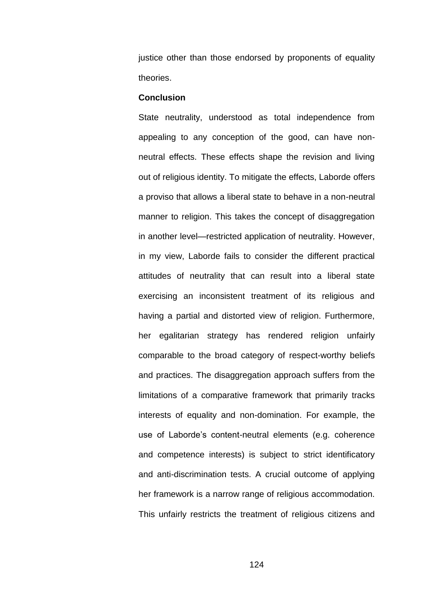justice other than those endorsed by proponents of equality theories.

#### **Conclusion**

State neutrality, understood as total independence from appealing to any conception of the good, can have nonneutral effects. These effects shape the revision and living out of religious identity. To mitigate the effects, Laborde offers a proviso that allows a liberal state to behave in a non-neutral manner to religion. This takes the concept of disaggregation in another level—restricted application of neutrality. However, in my view, Laborde fails to consider the different practical attitudes of neutrality that can result into a liberal state exercising an inconsistent treatment of its religious and having a partial and distorted view of religion. Furthermore, her egalitarian strategy has rendered religion unfairly comparable to the broad category of respect-worthy beliefs and practices. The disaggregation approach suffers from the limitations of a comparative framework that primarily tracks interests of equality and non-domination. For example, the use of Laborde's content-neutral elements (e.g. coherence and competence interests) is subject to strict identificatory and anti-discrimination tests. A crucial outcome of applying her framework is a narrow range of religious accommodation. This unfairly restricts the treatment of religious citizens and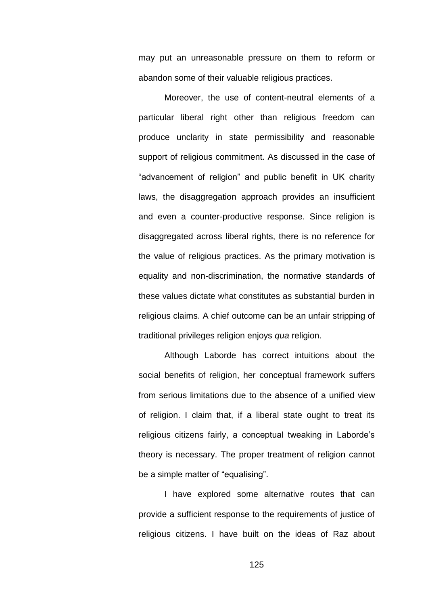may put an unreasonable pressure on them to reform or abandon some of their valuable religious practices.

Moreover, the use of content-neutral elements of a particular liberal right other than religious freedom can produce unclarity in state permissibility and reasonable support of religious commitment. As discussed in the case of "advancement of religion" and public benefit in UK charity laws, the disaggregation approach provides an insufficient and even a counter-productive response. Since religion is disaggregated across liberal rights, there is no reference for the value of religious practices. As the primary motivation is equality and non-discrimination, the normative standards of these values dictate what constitutes as substantial burden in religious claims. A chief outcome can be an unfair stripping of traditional privileges religion enjoys *qua* religion.

Although Laborde has correct intuitions about the social benefits of religion, her conceptual framework suffers from serious limitations due to the absence of a unified view of religion. I claim that, if a liberal state ought to treat its religious citizens fairly, a conceptual tweaking in Laborde's theory is necessary. The proper treatment of religion cannot be a simple matter of "equalising".

I have explored some alternative routes that can provide a sufficient response to the requirements of justice of religious citizens. I have built on the ideas of Raz about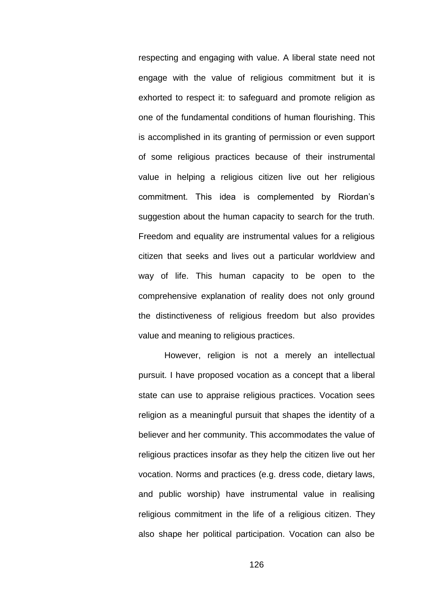respecting and engaging with value. A liberal state need not engage with the value of religious commitment but it is exhorted to respect it: to safeguard and promote religion as one of the fundamental conditions of human flourishing. This is accomplished in its granting of permission or even support of some religious practices because of their instrumental value in helping a religious citizen live out her religious commitment. This idea is complemented by Riordan's suggestion about the human capacity to search for the truth. Freedom and equality are instrumental values for a religious citizen that seeks and lives out a particular worldview and way of life. This human capacity to be open to the comprehensive explanation of reality does not only ground the distinctiveness of religious freedom but also provides value and meaning to religious practices.

However, religion is not a merely an intellectual pursuit. I have proposed vocation as a concept that a liberal state can use to appraise religious practices. Vocation sees religion as a meaningful pursuit that shapes the identity of a believer and her community. This accommodates the value of religious practices insofar as they help the citizen live out her vocation. Norms and practices (e.g. dress code, dietary laws, and public worship) have instrumental value in realising religious commitment in the life of a religious citizen. They also shape her political participation. Vocation can also be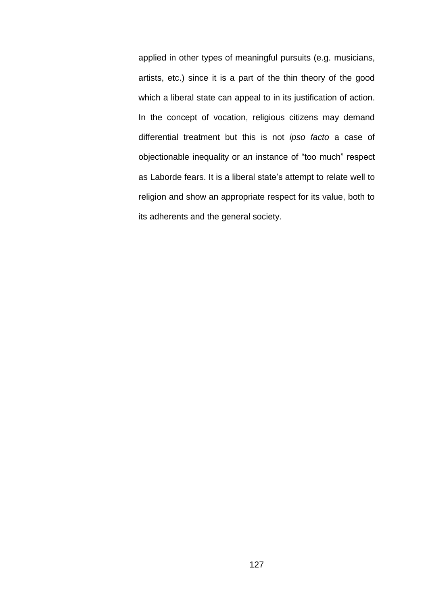applied in other types of meaningful pursuits (e.g. musicians, artists, etc.) since it is a part of the thin theory of the good which a liberal state can appeal to in its justification of action. In the concept of vocation, religious citizens may demand differential treatment but this is not *ipso facto* a case of objectionable inequality or an instance of "too much" respect as Laborde fears. It is a liberal state's attempt to relate well to religion and show an appropriate respect for its value, both to its adherents and the general society.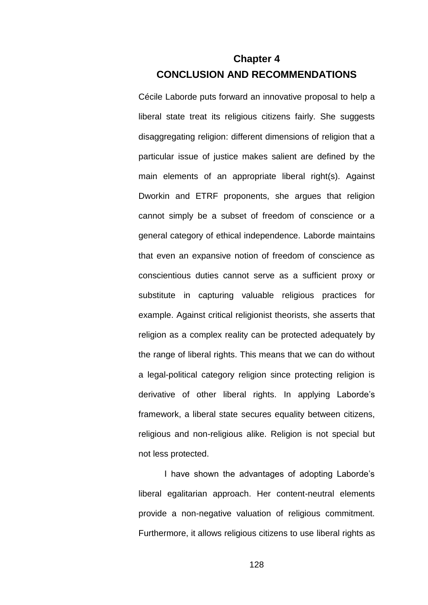# **Chapter 4 CONCLUSION AND RECOMMENDATIONS**

Cécile Laborde puts forward an innovative proposal to help a liberal state treat its religious citizens fairly. She suggests disaggregating religion: different dimensions of religion that a particular issue of justice makes salient are defined by the main elements of an appropriate liberal right(s). Against Dworkin and ETRF proponents, she argues that religion cannot simply be a subset of freedom of conscience or a general category of ethical independence. Laborde maintains that even an expansive notion of freedom of conscience as conscientious duties cannot serve as a sufficient proxy or substitute in capturing valuable religious practices for example. Against critical religionist theorists, she asserts that religion as a complex reality can be protected adequately by the range of liberal rights. This means that we can do without a legal-political category religion since protecting religion is derivative of other liberal rights. In applying Laborde's framework, a liberal state secures equality between citizens, religious and non-religious alike. Religion is not special but not less protected.

I have shown the advantages of adopting Laborde's liberal egalitarian approach. Her content-neutral elements provide a non-negative valuation of religious commitment. Furthermore, it allows religious citizens to use liberal rights as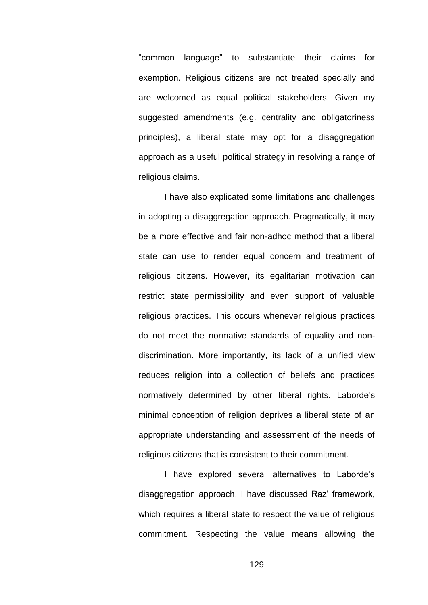―common language‖ to substantiate their claims for exemption. Religious citizens are not treated specially and are welcomed as equal political stakeholders. Given my suggested amendments (e.g. centrality and obligatoriness principles), a liberal state may opt for a disaggregation approach as a useful political strategy in resolving a range of religious claims.

I have also explicated some limitations and challenges in adopting a disaggregation approach. Pragmatically, it may be a more effective and fair non-adhoc method that a liberal state can use to render equal concern and treatment of religious citizens. However, its egalitarian motivation can restrict state permissibility and even support of valuable religious practices. This occurs whenever religious practices do not meet the normative standards of equality and nondiscrimination. More importantly, its lack of a unified view reduces religion into a collection of beliefs and practices normatively determined by other liberal rights. Laborde's minimal conception of religion deprives a liberal state of an appropriate understanding and assessment of the needs of religious citizens that is consistent to their commitment.

I have explored several alternatives to Laborde's disaggregation approach. I have discussed Raz' framework, which requires a liberal state to respect the value of religious commitment. Respecting the value means allowing the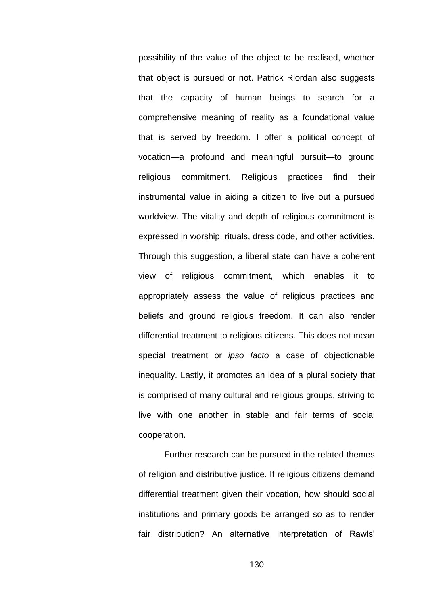possibility of the value of the object to be realised, whether that object is pursued or not. Patrick Riordan also suggests that the capacity of human beings to search for a comprehensive meaning of reality as a foundational value that is served by freedom. I offer a political concept of vocation—a profound and meaningful pursuit—to ground religious commitment. Religious practices find their instrumental value in aiding a citizen to live out a pursued worldview. The vitality and depth of religious commitment is expressed in worship, rituals, dress code, and other activities. Through this suggestion, a liberal state can have a coherent view of religious commitment, which enables it to appropriately assess the value of religious practices and beliefs and ground religious freedom. It can also render differential treatment to religious citizens. This does not mean special treatment or *ipso facto* a case of objectionable inequality. Lastly, it promotes an idea of a plural society that is comprised of many cultural and religious groups, striving to live with one another in stable and fair terms of social cooperation.

Further research can be pursued in the related themes of religion and distributive justice. If religious citizens demand differential treatment given their vocation, how should social institutions and primary goods be arranged so as to render fair distribution? An alternative interpretation of Rawls'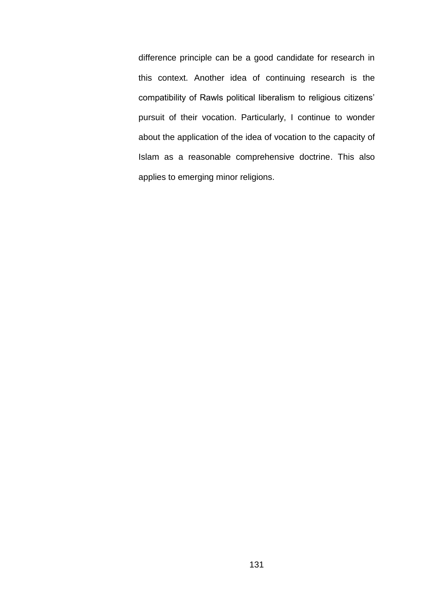difference principle can be a good candidate for research in this context. Another idea of continuing research is the compatibility of Rawls political liberalism to religious citizens' pursuit of their vocation. Particularly, I continue to wonder about the application of the idea of vocation to the capacity of Islam as a reasonable comprehensive doctrine. This also applies to emerging minor religions.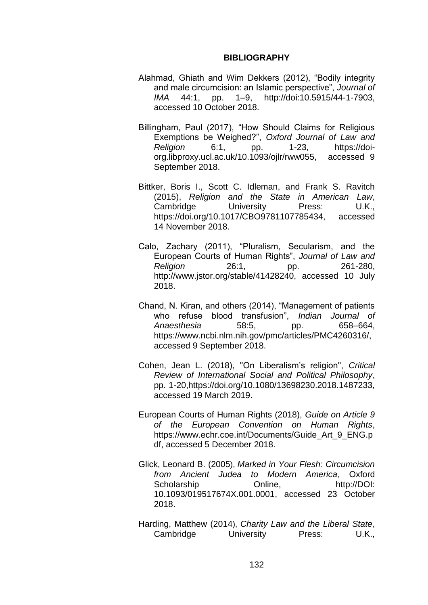## **BIBLIOGRAPHY**

- Alahmad, Ghiath and Wim Dekkers (2012), "Bodily integrity and male circumcision: an Islamic perspective‖, *Journal of IMA* 44:1, pp. 1–9, http://doi:10.5915/44-1-7903, accessed 10 October 2018.
- Billingham, Paul (2017), "How Should Claims for Religious Exemptions be Weighed?‖, *Oxford Journal of Law and Religion* 6:1, pp. 1-23, https://doiorg.libproxy.ucl.ac.uk/10.1093/ojlr/rww055, accessed 9 September 2018.
- Bittker, Boris I., Scott C. Idleman, and Frank S. Ravitch (2015), *Religion and the State in American Law*, Cambridge University Press: U.K., https://doi.org/10.1017/CBO9781107785434, accessed 14 November 2018.
- Calo, Zachary (2011), "Pluralism, Secularism, and the European Courts of Human Rights‖, *Journal of Law and Religion* 26:1, pp. 261-280, http://www.jstor.org/stable/41428240, accessed 10 July 2018.
- Chand, N. Kiran, and others (2014), "Management of patients who refuse blood transfusion<sup>"</sup>. *Indian Journal of Anaesthesia* 58:5, pp. 658–664, https://www.ncbi.nlm.nih.gov/pmc/articles/PMC4260316/, accessed 9 September 2018.
- Cohen, Jean L. (2018), "On Liberalism's religion", *Critical Review of International Social and Political Philosophy*, pp. 1-20,https://doi.org/10.1080/13698230.2018.1487233, accessed 19 March 2019.
- European Courts of Human Rights (2018), *Guide on Article 9 of the European Convention on Human Rights*, https://www.echr.coe.int/Documents/Guide\_Art\_9\_ENG.p df, accessed 5 December 2018.
- Glick, Leonard B. (2005), *Marked in Your Flesh: Circumcision from Ancient Judea to Modern America*, Oxford Scholarship **Online**, http://DOI: 10.1093/019517674X.001.0001, accessed 23 October 2018.
- Harding, Matthew (2014), *Charity Law and the Liberal State*, Cambridge University Press: U.K.,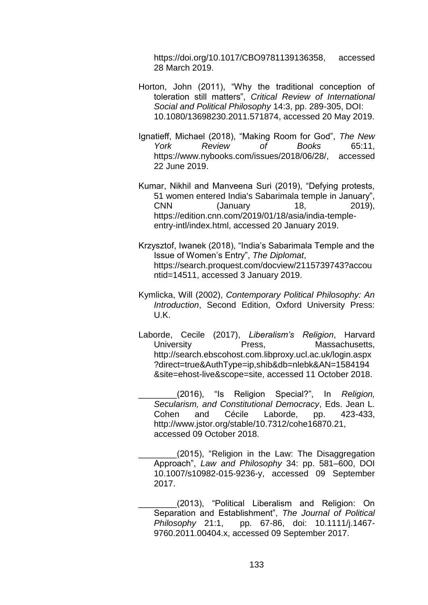https://doi.org/10.1017/CBO9781139136358, accessed 28 March 2019.

- Horton, John (2011), "Why the traditional conception of toleration still matters‖, *Critical Review of International Social and Political Philosophy* 14:3, pp. 289-305, DOI: 10.1080/13698230.2011.571874, accessed 20 May 2019.
- Ignatieff, Michael (2018), "Making Room for God", The New *York Review of Books* 65:11, https://www.nybooks.com/issues/2018/06/28/, accessed 22 June 2019.
- Kumar, Nikhil and Manveena Suri (2019), "Defying protests, 51 women entered India's Sabarimala temple in January", CNN (January 18, 2019), https://edition.cnn.com/2019/01/18/asia/india-templeentry-intl/index.html, accessed 20 January 2019.
- Krzysztof, Iwanek (2018), "India's Sabarimala Temple and the Issue of Women's Entry‖, *The Diplomat*, https://search.proquest.com/docview/2115739743?accou ntid=14511, accessed 3 January 2019.
- Kymlicka, Will (2002), *Contemporary Political Philosophy: An Introduction*, Second Edition, Oxford University Press: U.K.
- Laborde, Cecile (2017), *Liberalism's Religion*, Harvard University Press, Massachusetts, http://search.ebscohost.com.libproxy.ucl.ac.uk/login.aspx ?direct=true&AuthType=ip,shib&db=nlebk&AN=1584194 &site=ehost-live&scope=site, accessed 11 October 2018.
	- \_\_\_\_\_\_\_\_(2016), ―Is Religion Special?‖, In *Religion, Secularism, and Constitutional Democracy*, Eds. Jean L. Cohen and Cécile Laborde, pp. 423-433, http://www.jstor.org/stable/10.7312/cohe16870.21, accessed 09 October 2018.
	- (2015), "Religion in the Law: The Disaggregation Approach‖, *Law and Philosophy* 34: pp. 581–600, DOI 10.1007/s10982-015-9236-y, accessed 09 September 2017.
	- (2013), "Political Liberalism and Religion: On Separation and Establishment", The Journal of Political *Philosophy* 21:1, pp. 67-86, doi: 10.1111/j.1467- 9760.2011.00404.x, accessed 09 September 2017.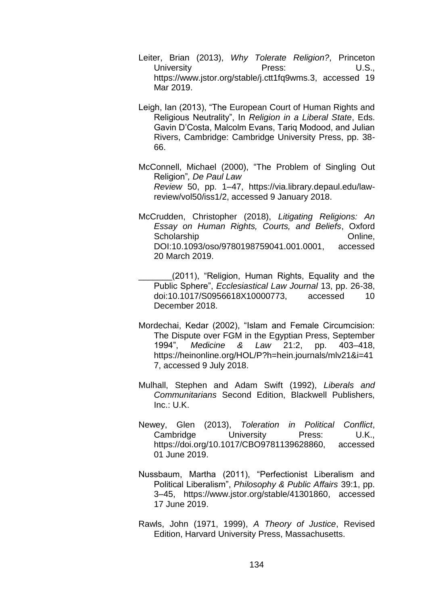- Leiter, Brian (2013), *Why Tolerate Religion?*, Princeton University **Press:** U.S., https://www.jstor.org/stable/j.ctt1fq9wms.3, accessed 19 Mar 2019.
- Leigh, Ian (2013), "The European Court of Human Rights and Religious Neutrality‖, In *Religion in a Liberal State*, Eds. Gavin D'Costa, Malcolm Evans, Tariq Modood, and Julian Rivers, Cambridge: Cambridge University Press, pp. 38- 66.

McConnell, Michael (2000), "The Problem of Singling Out Religion‖*, De Paul Law Review* 50, pp. 1–47, https://via.library.depaul.edu/lawreview/vol50/iss1/2, accessed 9 January 2018.

- McCrudden, Christopher (2018), *Litigating Religions: An Essay on Human Rights, Courts, and Beliefs*, Oxford Scholarship **Contract Contract Contract Contract Contract Contract Contract Contract Contract Contract Contract Contract Contract Contract Contract Contract Contract Contract Contract Contract Contract Contract Contract Co** DOI:10.1093/oso/9780198759041.001.0001, accessed 20 March 2019.
- (2011), "Religion, Human Rights, Equality and the Public Sphere‖, *Ecclesiastical Law Journal* 13, pp. 26-38, doi:10.1017/S0956618X10000773, accessed 10 December 2018.
- Mordechai, Kedar (2002), "Islam and Female Circumcision: The Dispute over FGM in the Egyptian Press, September 1994‖, *Medicine & Law* 21:2, pp. 403–418, https://heinonline.org/HOL/P?h=hein.journals/mlv21&i=41 7, accessed 9 July 2018.
- Mulhall, Stephen and Adam Swift (1992), *Liberals and Communitarians* Second Edition, Blackwell Publishers, Inc.: U.K.
- Newey, Glen (2013), *Toleration in Political Conflict*, Cambridge University Press: U.K., https://doi.org/10.1017/CBO9781139628860, accessed 01 June 2019.
- Nussbaum, Martha (2011), "Perfectionist Liberalism and Political Liberalism‖, *Philosophy & Public Affairs* 39:1, pp. 3–45, https://www.jstor.org/stable/41301860, accessed 17 June 2019.
- Rawls, John (1971, 1999), *A Theory of Justice*, Revised Edition, Harvard University Press, Massachusetts.